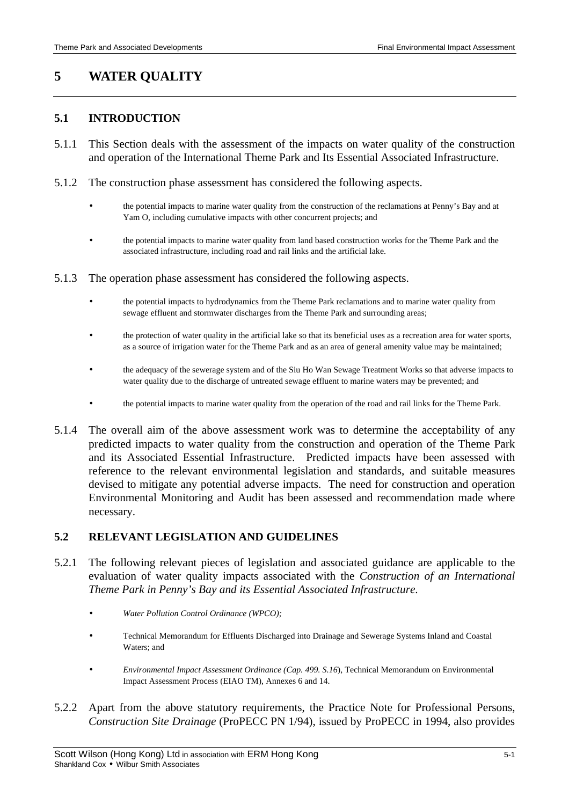# **5 WATER QUALITY**

## **5.1 INTRODUCTION**

- 5.1.1 This Section deals with the assessment of the impacts on water quality of the construction and operation of the International Theme Park and Its Essential Associated Infrastructure.
- 5.1.2 The construction phase assessment has considered the following aspects.
	- the potential impacts to marine water quality from the construction of the reclamations at Penny's Bay and at Yam O, including cumulative impacts with other concurrent projects; and
	- the potential impacts to marine water quality from land based construction works for the Theme Park and the associated infrastructure, including road and rail links and the artificial lake.
- 5.1.3 The operation phase assessment has considered the following aspects.
	- the potential impacts to hydrodynamics from the Theme Park reclamations and to marine water quality from sewage effluent and stormwater discharges from the Theme Park and surrounding areas;
	- the protection of water quality in the artificial lake so that its beneficial uses as a recreation area for water sports, as a source of irrigation water for the Theme Park and as an area of general amenity value may be maintained;
	- the adequacy of the sewerage system and of the Siu Ho Wan Sewage Treatment Works so that adverse impacts to water quality due to the discharge of untreated sewage effluent to marine waters may be prevented; and
	- the potential impacts to marine water quality from the operation of the road and rail links for the Theme Park.
- 5.1.4 The overall aim of the above assessment work was to determine the acceptability of any predicted impacts to water quality from the construction and operation of the Theme Park and its Associated Essential Infrastructure. Predicted impacts have been assessed with reference to the relevant environmental legislation and standards, and suitable measures devised to mitigate any potential adverse impacts. The need for construction and operation Environmental Monitoring and Audit has been assessed and recommendation made where necessary.

## **5.2 RELEVANT LEGISLATION AND GUIDELINES**

- 5.2.1 The following relevant pieces of legislation and associated guidance are applicable to the evaluation of water quality impacts associated with the *Construction of an International Theme Park in Penny's Bay and its Essential Associated Infrastructure*.
	- *Water Pollution Control Ordinance (WPCO);*
	- Technical Memorandum for Effluents Discharged into Drainage and Sewerage Systems Inland and Coastal Waters; and
	- *Environmental Impact Assessment Ordinance (Cap. 499. S.16*), Technical Memorandum on Environmental Impact Assessment Process (EIAO TM), Annexes 6 and 14.
- 5.2.2 Apart from the above statutory requirements, the Practice Note for Professional Persons, *Construction Site Drainage* (ProPECC PN 1/94), issued by ProPECC in 1994, also provides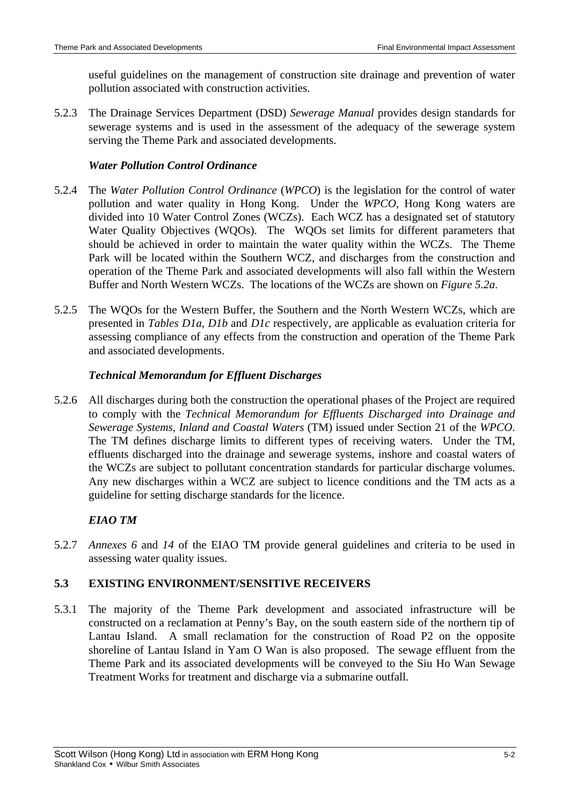useful guidelines on the management of construction site drainage and prevention of water pollution associated with construction activities.

5.2.3 The Drainage Services Department (DSD) *Sewerage Manual* provides design standards for sewerage systems and is used in the assessment of the adequacy of the sewerage system serving the Theme Park and associated developments.

## *Water Pollution Control Ordinance*

- 5.2.4 The *Water Pollution Control Ordinance* (*WPCO*) is the legislation for the control of water pollution and water quality in Hong Kong. Under the *WPCO*, Hong Kong waters are divided into 10 Water Control Zones (WCZs). Each WCZ has a designated set of statutory Water Quality Objectives (WQOs). The WQOs set limits for different parameters that should be achieved in order to maintain the water quality within the WCZs. The Theme Park will be located within the Southern WCZ, and discharges from the construction and operation of the Theme Park and associated developments will also fall within the Western Buffer and North Western WCZs. The locations of the WCZs are shown on *Figure 5.2a*.
- 5.2.5 The WQOs for the Western Buffer, the Southern and the North Western WCZs, which are presented in *Tables D1a, D1b* and *D1c* respectively, are applicable as evaluation criteria for assessing compliance of any effects from the construction and operation of the Theme Park and associated developments.

## *Technical Memorandum for Effluent Discharges*

5.2.6 All discharges during both the construction the operational phases of the Project are required to comply with the *Technical Memorandum for Effluents Discharged into Drainage and Sewerage Systems, Inland and Coastal Waters* (TM) issued under Section 21 of the *WPCO*. The TM defines discharge limits to different types of receiving waters. Under the TM, effluents discharged into the drainage and sewerage systems, inshore and coastal waters of the WCZs are subject to pollutant concentration standards for particular discharge volumes. Any new discharges within a WCZ are subject to licence conditions and the TM acts as a guideline for setting discharge standards for the licence.

## *EIAO TM*

5.2.7 *Annexes 6* and *14* of the EIAO TM provide general guidelines and criteria to be used in assessing water quality issues.

## **5.3 EXISTING ENVIRONMENT/SENSITIVE RECEIVERS**

5.3.1 The majority of the Theme Park development and associated infrastructure will be constructed on a reclamation at Penny's Bay, on the south eastern side of the northern tip of Lantau Island. A small reclamation for the construction of Road P2 on the opposite shoreline of Lantau Island in Yam O Wan is also proposed. The sewage effluent from the Theme Park and its associated developments will be conveyed to the Siu Ho Wan Sewage Treatment Works for treatment and discharge via a submarine outfall.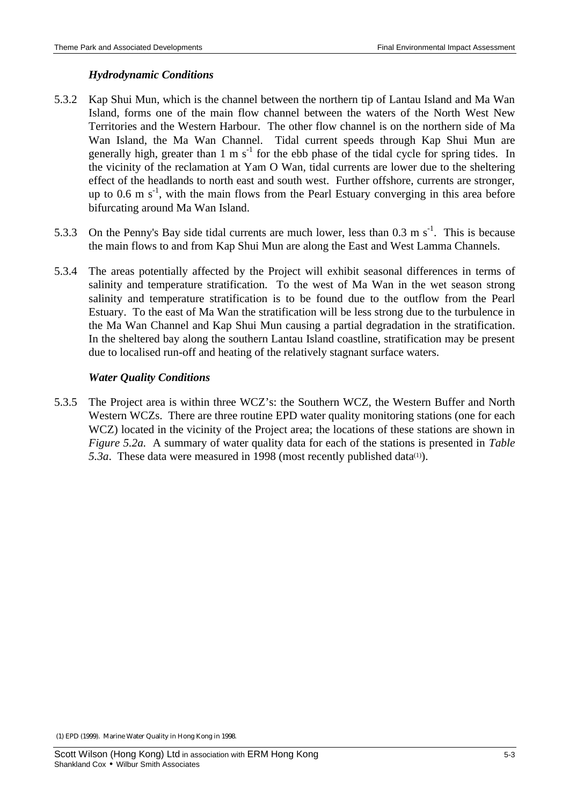## *Hydrodynamic Conditions*

- 5.3.2 Kap Shui Mun, which is the channel between the northern tip of Lantau Island and Ma Wan Island, forms one of the main flow channel between the waters of the North West New Territories and the Western Harbour. The other flow channel is on the northern side of Ma Wan Island, the Ma Wan Channel. Tidal current speeds through Kap Shui Mun are generally high, greater than 1 m  $s^{-1}$  for the ebb phase of the tidal cycle for spring tides. In the vicinity of the reclamation at Yam O Wan, tidal currents are lower due to the sheltering effect of the headlands to north east and south west. Further offshore, currents are stronger, up to 0.6 m  $s^{-1}$ , with the main flows from the Pearl Estuary converging in this area before bifurcating around Ma Wan Island.
- 5.3.3 On the Penny's Bay side tidal currents are much lower, less than  $0.3 \text{ m s}^{-1}$ . This is because the main flows to and from Kap Shui Mun are along the East and West Lamma Channels.
- 5.3.4 The areas potentially affected by the Project will exhibit seasonal differences in terms of salinity and temperature stratification. To the west of Ma Wan in the wet season strong salinity and temperature stratification is to be found due to the outflow from the Pearl Estuary. To the east of Ma Wan the stratification will be less strong due to the turbulence in the Ma Wan Channel and Kap Shui Mun causing a partial degradation in the stratification. In the sheltered bay along the southern Lantau Island coastline, stratification may be present due to localised run-off and heating of the relatively stagnant surface waters.

## *Water Quality Conditions*

5.3.5 The Project area is within three WCZ's: the Southern WCZ, the Western Buffer and North Western WCZs. There are three routine EPD water quality monitoring stations (one for each WCZ) located in the vicinity of the Project area; the locations of these stations are shown in *Figure 5.2a.* A summary of water quality data for each of the stations is presented in *Table*  5.3a. These data were measured in 1998 (most recently published data<sup>(1)</sup>).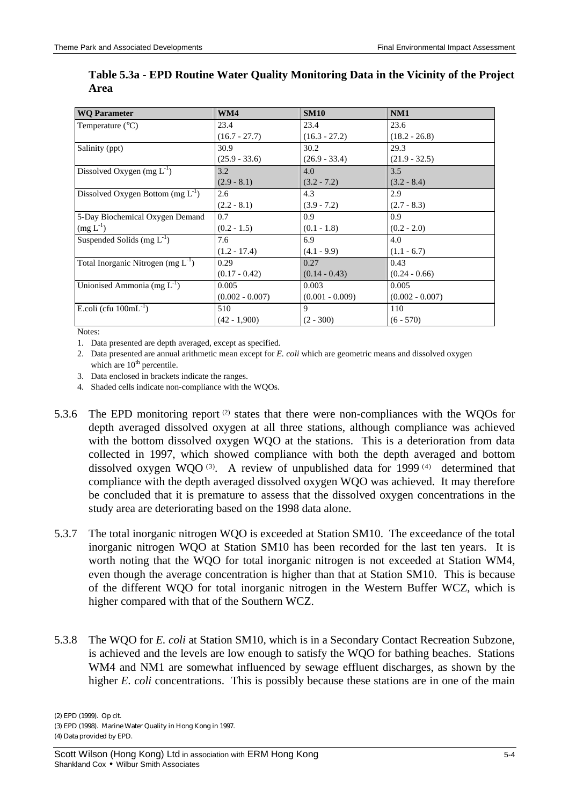| <b>WO Parameter</b>                     | WM4               | <b>SM10</b>       | NM1               |
|-----------------------------------------|-------------------|-------------------|-------------------|
| Temperature $(^{\circ}C)$               | 23.4              | 23.4              | 23.6              |
|                                         | $(16.7 - 27.7)$   | $(16.3 - 27.2)$   | $(18.2 - 26.8)$   |
| Salinity (ppt)                          | 30.9              | 30.2              | 29.3              |
|                                         | $(25.9 - 33.6)$   | $(26.9 - 33.4)$   | $(21.9 - 32.5)$   |
| Dissolved Oxygen (mg $L^{-1}$ )         | 3.2               | 4.0               | 3.5               |
|                                         | $(2.9 - 8.1)$     | $(3.2 - 7.2)$     | $(3.2 - 8.4)$     |
| Dissolved Oxygen Bottom $(mg L^{-1})$   | 2.6               | 4.3               | 2.9               |
|                                         | $(2.2 - 8.1)$     | $(3.9 - 7.2)$     | $(2.7 - 8.3)$     |
| 5-Day Biochemical Oxygen Demand         | 0.7               | 0.9               | 0.9               |
| $(mg L^{-1})$                           | $(0.2 - 1.5)$     | $(0.1 - 1.8)$     | $(0.2 - 2.0)$     |
| Suspended Solids (mg $L^{-1}$ )         | 7.6               | 6.9               | 4.0               |
|                                         | $(1.2 - 17.4)$    | $(4.1 - 9.9)$     | $(1.1 - 6.7)$     |
| Total Inorganic Nitrogen (mg $L^{-1}$ ) | 0.29              | 0.27              | 0.43              |
|                                         | $(0.17 - 0.42)$   | $(0.14 - 0.43)$   | $(0.24 - 0.66)$   |
| Unionised Ammonia (mg $L^{-1}$ )        | 0.005             | 0.003             | 0.005             |
|                                         | $(0.002 - 0.007)$ | $(0.001 - 0.009)$ | $(0.002 - 0.007)$ |
| E.coli (cfu $100mL^{-1}$ )              | 510               | 9                 | 110               |
|                                         | $(42 - 1,900)$    | $(2 - 300)$       | $(6 - 570)$       |

**Table 5.3a - EPD Routine Water Quality Monitoring Data in the Vicinity of the Project Area**

Notes:

1. Data presented are depth averaged, except as specified.

2. Data presented are annual arithmetic mean except for *E. coli* which are geometric means and dissolved oxygen which are  $10<sup>th</sup>$  percentile.

3. Data enclosed in brackets indicate the ranges.

4. Shaded cells indicate non-compliance with the WQOs.

- 5.3.6 The EPD monitoring report  $(2)$  states that there were non-compliances with the WQOs for depth averaged dissolved oxygen at all three stations, although compliance was achieved with the bottom dissolved oxygen WQO at the stations. This is a deterioration from data collected in 1997, which showed compliance with both the depth averaged and bottom dissolved oxygen WQO<sup>(3)</sup>. A review of unpublished data for 1999<sup>(4)</sup> determined that compliance with the depth averaged dissolved oxygen WQO was achieved. It may therefore be concluded that it is premature to assess that the dissolved oxygen concentrations in the study area are deteriorating based on the 1998 data alone.
- 5.3.7 The total inorganic nitrogen WQO is exceeded at Station SM10. The exceedance of the total inorganic nitrogen WQO at Station SM10 has been recorded for the last ten years. It is worth noting that the WQO for total inorganic nitrogen is not exceeded at Station WM4, even though the average concentration is higher than that at Station SM10. This is because of the different WQO for total inorganic nitrogen in the Western Buffer WCZ, which is higher compared with that of the Southern WCZ.
- 5.3.8 The WQO for *E. coli* at Station SM10, which is in a Secondary Contact Recreation Subzone, is achieved and the levels are low enough to satisfy the WQO for bathing beaches. Stations WM4 and NM1 are somewhat influenced by sewage effluent discharges, as shown by the higher *E. coli* concentrations. This is possibly because these stations are in one of the main

(2) EPD (1999). Op cit.

(3) EPD (1998). Marine Water Quality in Hong Kong in 1997.

(4) Data provided by EPD.

Scott Wilson (Hong Kong) Ltd in association with ERM Hong Kong 5-4 Shankland Cox • Wilbur Smith Associates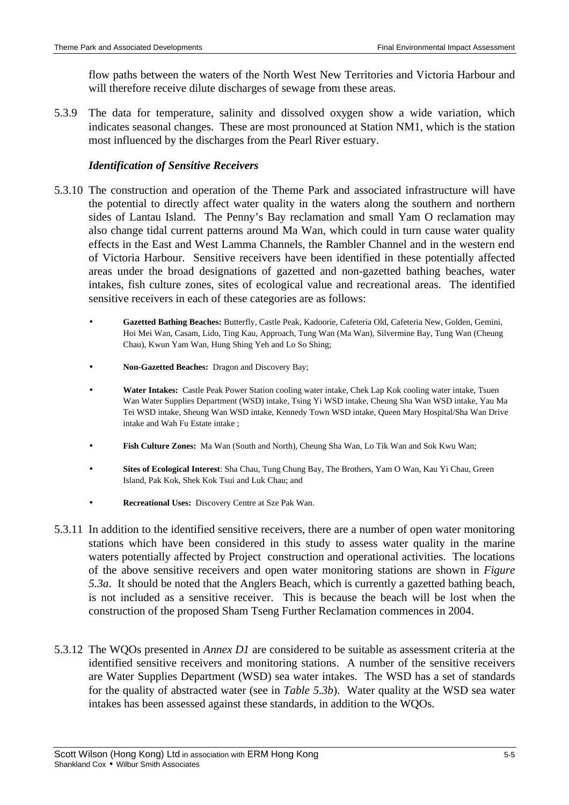flow paths between the waters of the North West New Territories and Victoria Harbour and will therefore receive dilute discharges of sewage from these areas.

5.3.9 The data for temperature, salinity and dissolved oxygen show a wide variation, which indicates seasonal changes. These are most pronounced at Station NM1, which is the station most influenced by the discharges from the Pearl River estuary.

## *Identification of Sensitive Receivers*

- 5.3.10 The construction and operation of the Theme Park and associated infrastructure will have the potential to directly affect water quality in the waters along the southern and northern sides of Lantau Island. The Penny's Bay reclamation and small Yam O reclamation may also change tidal current patterns around Ma Wan, which could in turn cause water quality effects in the East and West Lamma Channels, the Rambler Channel and in the western end of Victoria Harbour. Sensitive receivers have been identified in these potentially affected areas under the broad designations of gazetted and non-gazetted bathing beaches, water intakes, fish culture zones, sites of ecological value and recreational areas. The identified sensitive receivers in each of these categories are as follows:
	- **Gazetted Bathing Beaches:** Butterfly, Castle Peak, Kadoorie, Cafeteria Old, Cafeteria New, Golden, Gemini, Hoi Mei Wan, Casam, Lido, Ting Kau, Approach, Tung Wan (Ma Wan), Silvermine Bay, Tung Wan (Cheung Chau), Kwun Yam Wan, Hung Shing Yeh and Lo So Shing;
	- **Non-Gazetted Beaches:** Dragon and Discovery Bay;
	- **Water Intakes:** Castle Peak Power Station cooling water intake, Chek Lap Kok cooling water intake, Tsuen Wan Water Supplies Department (WSD) intake, Tsing Yi WSD intake, Cheung Sha Wan WSD intake, Yau Ma Tei WSD intake, Sheung Wan WSD intake, Kennedy Town WSD intake, Queen Mary Hospital/Sha Wan Drive intake and Wah Fu Estate intake ;
	- **Fish Culture Zones:** Ma Wan (South and North), Cheung Sha Wan, Lo Tik Wan and Sok Kwu Wan;
	- **Sites of Ecological Interest**: Sha Chau, Tung Chung Bay, The Brothers, Yam O Wan, Kau Yi Chau, Green Island, Pak Kok, Shek Kok Tsui and Luk Chau; and
	- **Recreational Uses:** Discovery Centre at Sze Pak Wan.
- 5.3.11 In addition to the identified sensitive receivers, there are a number of open water monitoring stations which have been considered in this study to assess water quality in the marine waters potentially affected by Project construction and operational activities. The locations of the above sensitive receivers and open water monitoring stations are shown in *Figure 5.3a*. It should be noted that the Anglers Beach, which is currently a gazetted bathing beach, is not included as a sensitive receiver. This is because the beach will be lost when the construction of the proposed Sham Tseng Further Reclamation commences in 2004.
- 5.3.12 The WQOs presented in *Annex D1* are considered to be suitable as assessment criteria at the identified sensitive receivers and monitoring stations. A number of the sensitive receivers are Water Supplies Department (WSD) sea water intakes. The WSD has a set of standards for the quality of abstracted water (see in *Table 5.3b*). Water quality at the WSD sea water intakes has been assessed against these standards, in addition to the WQOs.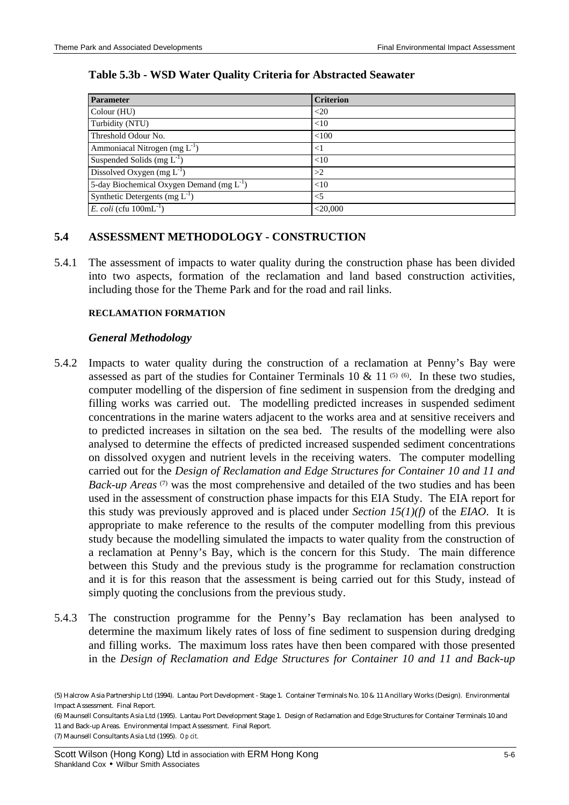## **Table 5.3b - WSD Water Quality Criteria for Abstracted Seawater**

| <b>Parameter</b>                               | <b>Criterion</b> |
|------------------------------------------------|------------------|
| Colour (HU)                                    | $<$ 20           |
| Turbidity (NTU)                                | <10              |
| Threshold Odour No.                            | < 100            |
| Ammoniacal Nitrogen (mg $L^{-1}$ )             | $<$ 1            |
| Suspended Solids (mg $L^{-1}$ )                | <10              |
| Dissolved Oxygen (mg $L^{-1}$ )                | >2               |
| 5-day Biochemical Oxygen Demand (mg $L^{-1}$ ) | <10              |
| Synthetic Detergents (mg $L^{-1}$ )            | $<$ 5            |
| E. coli (cfu $100mL^{-1}$ )                    | $<$ 20,000       |

## **5.4 ASSESSMENT METHODOLOGY - CONSTRUCTION**

5.4.1 The assessment of impacts to water quality during the construction phase has been divided into two aspects, formation of the reclamation and land based construction activities, including those for the Theme Park and for the road and rail links.

#### **RECLAMATION FORMATION**

#### *General Methodology*

- 5.4.2 Impacts to water quality during the construction of a reclamation at Penny's Bay were assessed as part of the studies for Container Terminals  $10 \& 11^{(5)(6)}$ . In these two studies, computer modelling of the dispersion of fine sediment in suspension from the dredging and filling works was carried out. The modelling predicted increases in suspended sediment concentrations in the marine waters adjacent to the works area and at sensitive receivers and to predicted increases in siltation on the sea bed. The results of the modelling were also analysed to determine the effects of predicted increased suspended sediment concentrations on dissolved oxygen and nutrient levels in the receiving waters. The computer modelling carried out for the *Design of Reclamation and Edge Structures for Container 10 and 11 and Back-up Areas*<sup>(7)</sup> was the most comprehensive and detailed of the two studies and has been used in the assessment of construction phase impacts for this EIA Study. The EIA report for this study was previously approved and is placed under *Section 15(1)(f)* of the *EIAO*. It is appropriate to make reference to the results of the computer modelling from this previous study because the modelling simulated the impacts to water quality from the construction of a reclamation at Penny's Bay, which is the concern for this Study. The main difference between this Study and the previous study is the programme for reclamation construction and it is for this reason that the assessment is being carried out for this Study, instead of simply quoting the conclusions from the previous study.
- 5.4.3 The construction programme for the Penny's Bay reclamation has been analysed to determine the maximum likely rates of loss of fine sediment to suspension during dredging and filling works. The maximum loss rates have then been compared with those presented in the *Design of Reclamation and Edge Structures for Container 10 and 11 and Back-up*

(7) Maunsell Consultants Asia Ltd (1995). *Op cit.*

<sup>(5)</sup> Halcrow Asia Partnership Ltd (1994). Lantau Port Development - Stage 1. Container Terminals No. 10 & 11 Ancillary Works (Design). Environmental Impact Assessment. Final Report.

<sup>(6)</sup> Maunsell Consultants Asia Ltd (1995). Lantau Port Development Stage 1. Design of Reclamation and Edge Structures for Container Terminals 10 and 11 and Back-up Areas. Environmental Impact Assessment. Final Report.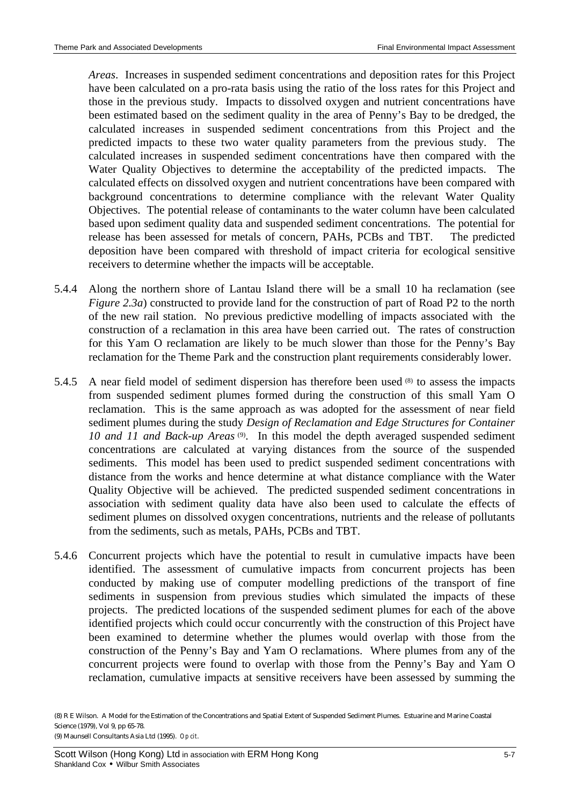*Areas*. Increases in suspended sediment concentrations and deposition rates for this Project have been calculated on a pro-rata basis using the ratio of the loss rates for this Project and those in the previous study. Impacts to dissolved oxygen and nutrient concentrations have been estimated based on the sediment quality in the area of Penny's Bay to be dredged, the calculated increases in suspended sediment concentrations from this Project and the predicted impacts to these two water quality parameters from the previous study. The calculated increases in suspended sediment concentrations have then compared with the Water Quality Objectives to determine the acceptability of the predicted impacts. The calculated effects on dissolved oxygen and nutrient concentrations have been compared with background concentrations to determine compliance with the relevant Water Quality Objectives. The potential release of contaminants to the water column have been calculated based upon sediment quality data and suspended sediment concentrations. The potential for release has been assessed for metals of concern, PAHs, PCBs and TBT. The predicted deposition have been compared with threshold of impact criteria for ecological sensitive receivers to determine whether the impacts will be acceptable.

- 5.4.4 Along the northern shore of Lantau Island there will be a small 10 ha reclamation (see *Figure 2.3a*) constructed to provide land for the construction of part of Road P2 to the north of the new rail station. No previous predictive modelling of impacts associated with the construction of a reclamation in this area have been carried out. The rates of construction for this Yam O reclamation are likely to be much slower than those for the Penny's Bay reclamation for the Theme Park and the construction plant requirements considerably lower.
- 5.4.5 A near field model of sediment dispersion has therefore been used (8) to assess the impacts from suspended sediment plumes formed during the construction of this small Yam O reclamation. This is the same approach as was adopted for the assessment of near field sediment plumes during the study *Design of Reclamation and Edge Structures for Container*  10 and 11 and Back-up Areas<sup>(9)</sup>. In this model the depth averaged suspended sediment concentrations are calculated at varying distances from the source of the suspended sediments. This model has been used to predict suspended sediment concentrations with distance from the works and hence determine at what distance compliance with the Water Quality Objective will be achieved. The predicted suspended sediment concentrations in association with sediment quality data have also been used to calculate the effects of sediment plumes on dissolved oxygen concentrations, nutrients and the release of pollutants from the sediments, such as metals, PAHs, PCBs and TBT.
- 5.4.6 Concurrent projects which have the potential to result in cumulative impacts have been identified. The assessment of cumulative impacts from concurrent projects has been conducted by making use of computer modelling predictions of the transport of fine sediments in suspension from previous studies which simulated the impacts of these projects. The predicted locations of the suspended sediment plumes for each of the above identified projects which could occur concurrently with the construction of this Project have been examined to determine whether the plumes would overlap with those from the construction of the Penny's Bay and Yam O reclamations. Where plumes from any of the concurrent projects were found to overlap with those from the Penny's Bay and Yam O reclamation, cumulative impacts at sensitive receivers have been assessed by summing the

<sup>(8)</sup> R E Wilson. A Model for the Estimation of the Concentrations and Spatial Extent of Suspended Sediment Plumes. Estuarine and Marine Coastal Science (1979), Vol 9, pp 65-78. (9) Maunsell Consultants Asia Ltd (1995). *Op cit*.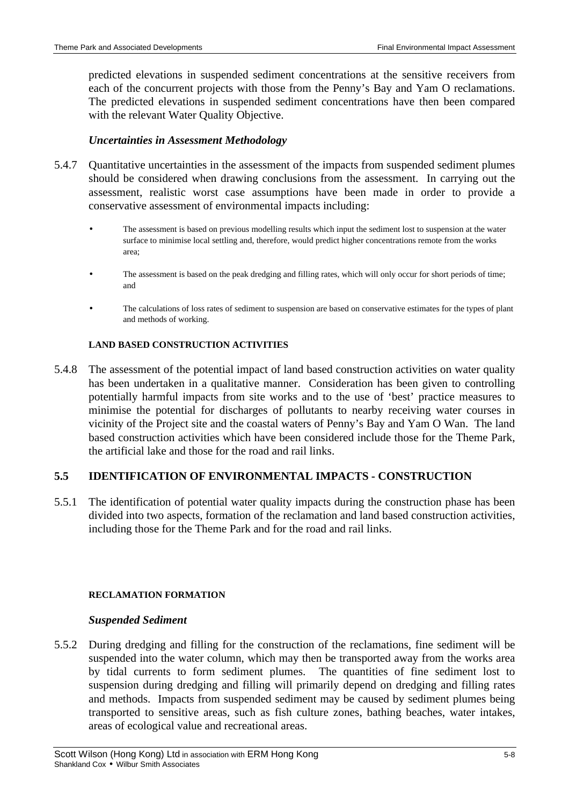predicted elevations in suspended sediment concentrations at the sensitive receivers from each of the concurrent projects with those from the Penny's Bay and Yam O reclamations. The predicted elevations in suspended sediment concentrations have then been compared with the relevant Water Quality Objective.

## *Uncertainties in Assessment Methodology*

- 5.4.7 Quantitative uncertainties in the assessment of the impacts from suspended sediment plumes should be considered when drawing conclusions from the assessment. In carrying out the assessment, realistic worst case assumptions have been made in order to provide a conservative assessment of environmental impacts including:
	- The assessment is based on previous modelling results which input the sediment lost to suspension at the water surface to minimise local settling and, therefore, would predict higher concentrations remote from the works area;
	- The assessment is based on the peak dredging and filling rates, which will only occur for short periods of time; and
	- The calculations of loss rates of sediment to suspension are based on conservative estimates for the types of plant and methods of working.

#### **LAND BASED CONSTRUCTION ACTIVITIES**

5.4.8 The assessment of the potential impact of land based construction activities on water quality has been undertaken in a qualitative manner. Consideration has been given to controlling potentially harmful impacts from site works and to the use of 'best' practice measures to minimise the potential for discharges of pollutants to nearby receiving water courses in vicinity of the Project site and the coastal waters of Penny's Bay and Yam O Wan. The land based construction activities which have been considered include those for the Theme Park, the artificial lake and those for the road and rail links.

## **5.5 IDENTIFICATION OF ENVIRONMENTAL IMPACTS - CONSTRUCTION**

5.5.1 The identification of potential water quality impacts during the construction phase has been divided into two aspects, formation of the reclamation and land based construction activities, including those for the Theme Park and for the road and rail links.

#### **RECLAMATION FORMATION**

#### *Suspended Sediment*

5.5.2 During dredging and filling for the construction of the reclamations, fine sediment will be suspended into the water column, which may then be transported away from the works area by tidal currents to form sediment plumes. The quantities of fine sediment lost to suspension during dredging and filling will primarily depend on dredging and filling rates and methods. Impacts from suspended sediment may be caused by sediment plumes being transported to sensitive areas, such as fish culture zones, bathing beaches, water intakes, areas of ecological value and recreational areas.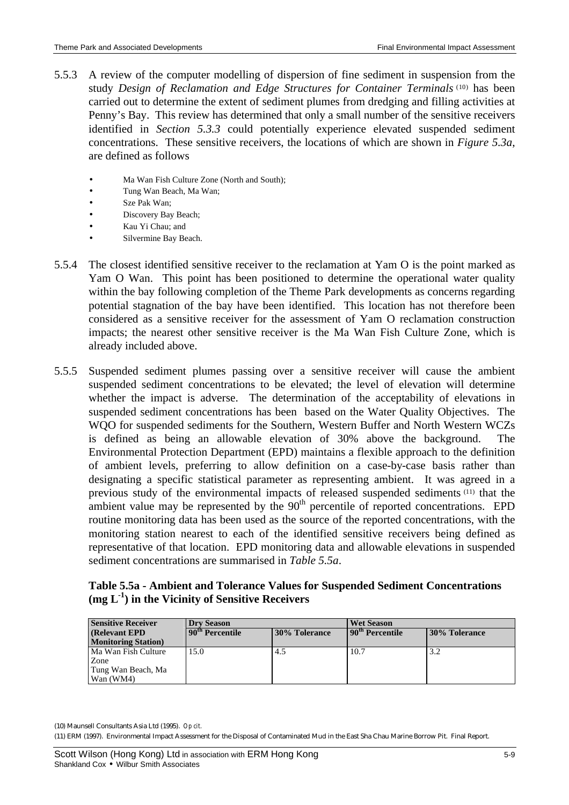- 5.5.3 A review of the computer modelling of dispersion of fine sediment in suspension from the study Design of Reclamation and Edge Structures for Container Terminals<sup>(10)</sup> has been carried out to determine the extent of sediment plumes from dredging and filling activities at Penny's Bay. This review has determined that only a small number of the sensitive receivers identified in *Section 5.3.3* could potentially experience elevated suspended sediment concentrations. These sensitive receivers, the locations of which are shown in *Figure 5.3a*, are defined as follows
	- Ma Wan Fish Culture Zone (North and South);
	- Tung Wan Beach, Ma Wan;
	- Sze Pak Wan;
	- Discovery Bay Beach;
	- Kau Yi Chau; and
	- Silvermine Bay Beach.
- 5.5.4 The closest identified sensitive receiver to the reclamation at Yam O is the point marked as Yam O Wan. This point has been positioned to determine the operational water quality within the bay following completion of the Theme Park developments as concerns regarding potential stagnation of the bay have been identified. This location has not therefore been considered as a sensitive receiver for the assessment of Yam O reclamation construction impacts; the nearest other sensitive receiver is the Ma Wan Fish Culture Zone, which is already included above.
- 5.5.5 Suspended sediment plumes passing over a sensitive receiver will cause the ambient suspended sediment concentrations to be elevated; the level of elevation will determine whether the impact is adverse. The determination of the acceptability of elevations in suspended sediment concentrations has been based on the Water Quality Objectives. The WQO for suspended sediments for the Southern, Western Buffer and North Western WCZs is defined as being an allowable elevation of 30% above the background. The Environmental Protection Department (EPD) maintains a flexible approach to the definition of ambient levels, preferring to allow definition on a case-by-case basis rather than designating a specific statistical parameter as representing ambient. It was agreed in a previous study of the environmental impacts of released suspended sediments <sup>(11)</sup> that the ambient value may be represented by the  $90<sup>th</sup>$  percentile of reported concentrations. EPD routine monitoring data has been used as the source of the reported concentrations, with the monitoring station nearest to each of the identified sensitive receivers being defined as representative of that location. EPD monitoring data and allowable elevations in suspended sediment concentrations are summarised in *Table 5.5a*.

**Table 5.5a - Ambient and Tolerance Values for Suspended Sediment Concentrations (mg L-1 ) in the Vicinity of Sensitive Receivers**

| <b>Sensitive Receiver</b>                                      | <b>Drv Season</b>           |                      | <b>Wet Season</b>            |               |  |
|----------------------------------------------------------------|-----------------------------|----------------------|------------------------------|---------------|--|
| (Relevant EPD)<br><b>Monitoring Station</b>                    | 90 <sup>th</sup> Percentile | <b>30% Tolerance</b> | 190 <sup>th</sup> Percentile | 30% Tolerance |  |
| Ma Wan Fish Culture<br>Zone<br>Tung Wan Beach, Ma<br>Wan (WM4) | 15.0                        | 4.5                  | 10.7                         | 3.2           |  |

(10) Maunsell Consultants Asia Ltd (1995). *Op cit.*

<sup>(11)</sup> ERM (1997). Environmental Impact Assessment for the Disposal of Contaminated Mud in the East Sha Chau Marine Borrow Pit. Final Report.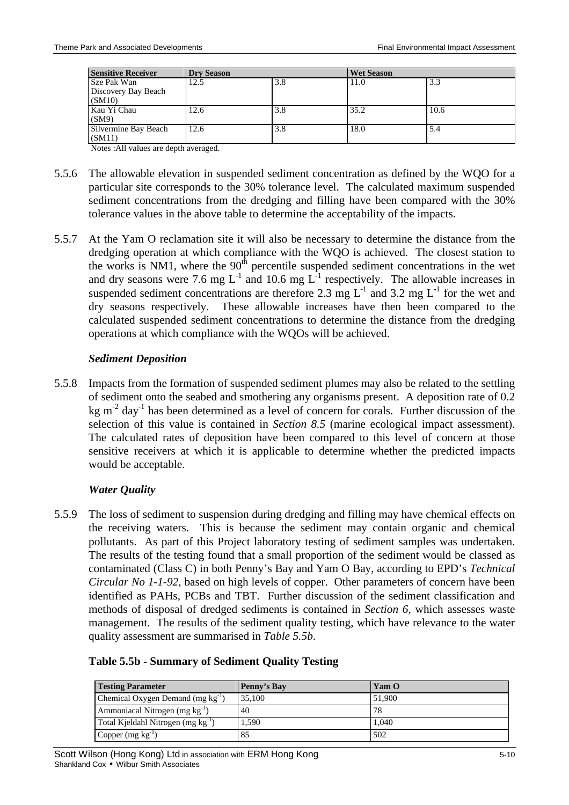| <b>Sensitive Receiver</b>                                                                          | <b>Dry Season</b> |     | <b>Wet Season</b> |      |
|----------------------------------------------------------------------------------------------------|-------------------|-----|-------------------|------|
| Sze Pak Wan<br>Discovery Bay Beach<br>(SM10)                                                       | 12.5              | 3.8 | 11.0              | 3.3  |
| Kau Yi Chau<br>(SM9)                                                                               | 12.6              | 3.8 | 35.2              | 10.6 |
| Silvermine Bay Beach<br>(SM11)<br>$\mathbf{M}$ $\mathbf{L}$ $\mathbf{M}$ $\mathbf{M}$ $\mathbf{M}$ | 12.6              | 3.8 | 18.0              | 5.4  |

Notes :All values are depth averaged.

- 5.5.6 The allowable elevation in suspended sediment concentration as defined by the WQO for a particular site corresponds to the 30% tolerance level. The calculated maximum suspended sediment concentrations from the dredging and filling have been compared with the 30% tolerance values in the above table to determine the acceptability of the impacts.
- 5.5.7 At the Yam O reclamation site it will also be necessary to determine the distance from the dredging operation at which compliance with the WQO is achieved. The closest station to the works is NM1, where the  $90<sup>th</sup>$  percentile suspended sediment concentrations in the wet and dry seasons were 7.6 mg  $L^{-1}$  and 10.6 mg  $L^{-1}$  respectively. The allowable increases in suspended sediment concentrations are therefore 2.3 mg  $L^{-1}$  and 3.2 mg  $L^{-1}$  for the wet and dry seasons respectively. These allowable increases have then been compared to the calculated suspended sediment concentrations to determine the distance from the dredging operations at which compliance with the WQOs will be achieved.

### *Sediment Deposition*

5.5.8 Impacts from the formation of suspended sediment plumes may also be related to the settling of sediment onto the seabed and smothering any organisms present. A deposition rate of 0.2 kg  $m<sup>-2</sup>$  day<sup>-1</sup> has been determined as a level of concern for corals. Further discussion of the selection of this value is contained in *Section 8.5* (marine ecological impact assessment). The calculated rates of deposition have been compared to this level of concern at those sensitive receivers at which it is applicable to determine whether the predicted impacts would be acceptable.

## *Water Quality*

5.5.9 The loss of sediment to suspension during dredging and filling may have chemical effects on the receiving waters. This is because the sediment may contain organic and chemical pollutants. As part of this Project laboratory testing of sediment samples was undertaken. The results of the testing found that a small proportion of the sediment would be classed as contaminated (Class C) in both Penny's Bay and Yam O Bay, according to EPD's *Technical Circular No 1-1-92*, based on high levels of copper. Other parameters of concern have been identified as PAHs, PCBs and TBT. Further discussion of the sediment classification and methods of disposal of dredged sediments is contained in *Section 6*, which assesses waste management. The results of the sediment quality testing, which have relevance to the water quality assessment are summarised in *Table 5.5b*.

|  |  |  | Table 5.5b - Summary of Sediment Quality Testing |  |
|--|--|--|--------------------------------------------------|--|
|  |  |  |                                                  |  |

| <b>Testing Parameter</b>                       | Penny's Bay | Yam O  |
|------------------------------------------------|-------------|--------|
| Chemical Oxygen Demand (mg kg <sup>-1</sup> )  | 35,100      | 51,900 |
| Ammoniacal Nitrogen (mg kg <sup>-1</sup> )     | 40          | 78     |
| Total Kjeldahl Nitrogen (mg kg <sup>-1</sup> ) | 1,590       | 1.040  |
| Copper $(mg kg^{-1})$                          | 85          | 502    |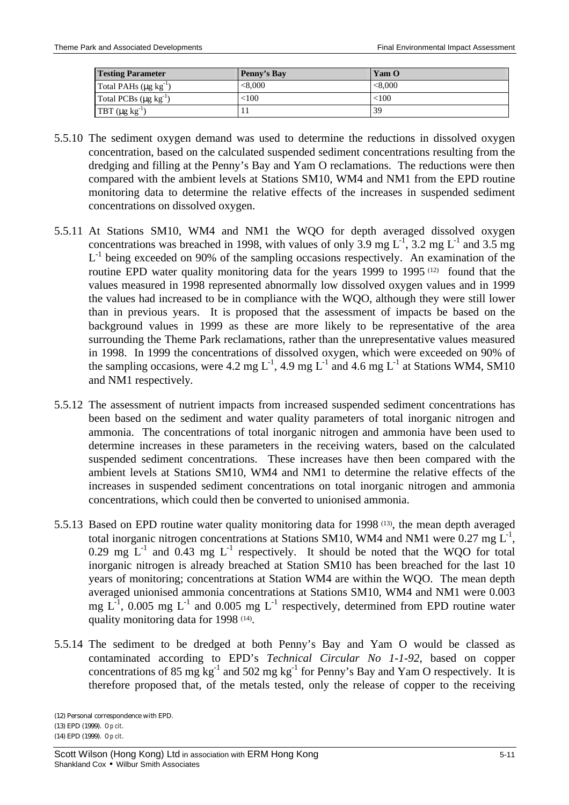| <b>Testing Parameter</b>        | Penny's Bay | Yam O   |
|---------------------------------|-------------|---------|
| Total PAHs $(\mu g kg^{-1})$    | < 8.000     | < 8.000 |
| Total PCBs $(\mu g \, kg^{-1})$ | < 100       | <100    |
| TBT $(\mu g kg^{-1})$           |             | 39      |

- 5.5.10 The sediment oxygen demand was used to determine the reductions in dissolved oxygen concentration, based on the calculated suspended sediment concentrations resulting from the dredging and filling at the Penny's Bay and Yam O reclamations. The reductions were then compared with the ambient levels at Stations SM10, WM4 and NM1 from the EPD routine monitoring data to determine the relative effects of the increases in suspended sediment concentrations on dissolved oxygen.
- 5.5.11 At Stations SM10, WM4 and NM1 the WQO for depth averaged dissolved oxygen concentrations was breached in 1998, with values of only 3.9 mg  $L^{-1}$ , 3.2 mg  $L^{-1}$  and 3.5 mg L<sup>-1</sup> being exceeded on 90% of the sampling occasions respectively. An examination of the routine EPD water quality monitoring data for the years 1999 to 1995<sup>(12)</sup> found that the values measured in 1998 represented abnormally low dissolved oxygen values and in 1999 the values had increased to be in compliance with the WQO, although they were still lower than in previous years. It is proposed that the assessment of impacts be based on the background values in 1999 as these are more likely to be representative of the area surrounding the Theme Park reclamations, rather than the unrepresentative values measured in 1998. In 1999 the concentrations of dissolved oxygen, which were exceeded on 90% of the sampling occasions, were 4.2 mg L<sup>-1</sup>, 4.9 mg L<sup>-1</sup> and 4.6 mg L<sup>-1</sup> at Stations WM4, SM10 and NM1 respectively.
- 5.5.12 The assessment of nutrient impacts from increased suspended sediment concentrations has been based on the sediment and water quality parameters of total inorganic nitrogen and ammonia. The concentrations of total inorganic nitrogen and ammonia have been used to determine increases in these parameters in the receiving waters, based on the calculated suspended sediment concentrations. These increases have then been compared with the ambient levels at Stations SM10, WM4 and NM1 to determine the relative effects of the increases in suspended sediment concentrations on total inorganic nitrogen and ammonia concentrations, which could then be converted to unionised ammonia.
- 5.5.13 Based on EPD routine water quality monitoring data for 1998 (13) , the mean depth averaged total inorganic nitrogen concentrations at Stations SM10, WM4 and NM1 were  $0.27 \text{ mg L}^1$ , 0.29 mg  $L^{-1}$  and 0.43 mg  $L^{-1}$  respectively. It should be noted that the WQO for total inorganic nitrogen is already breached at Station SM10 has been breached for the last 10 years of monitoring; concentrations at Station WM4 are within the WQO. The mean depth averaged unionised ammonia concentrations at Stations SM10, WM4 and NM1 were 0.003 mg  $L^{-1}$ , 0.005 mg  $L^{-1}$  and 0.005 mg  $L^{-1}$  respectively, determined from EPD routine water quality monitoring data for 1998<sup>(14)</sup>.
- 5.5.14 The sediment to be dredged at both Penny's Bay and Yam O would be classed as contaminated according to EPD's *Technical Circular No 1-1-92*, based on copper concentrations of 85 mg  $kg^{-1}$  and 502 mg  $kg^{-1}$  for Penny's Bay and Yam O respectively. It is therefore proposed that, of the metals tested, only the release of copper to the receiving

(12) Personal correspondence with EPD. (13) EPD (1999). *Op cit*. (14) EPD (1999). *Op cit*.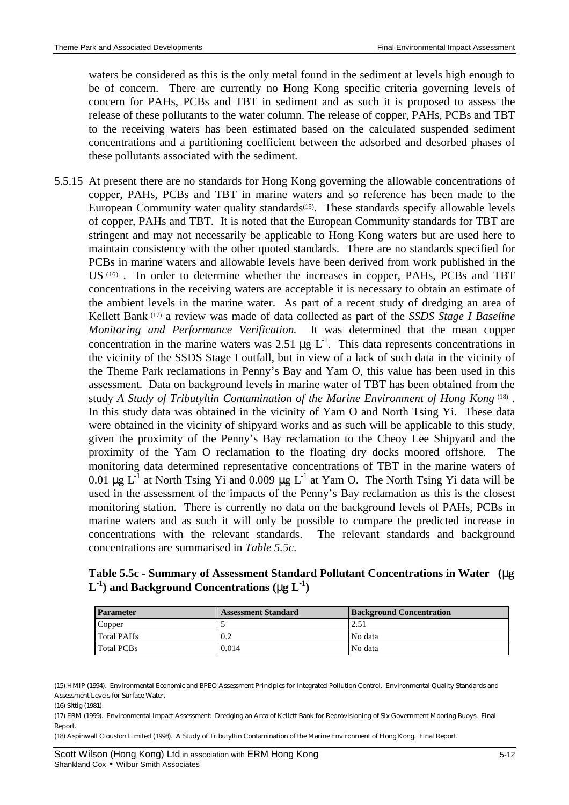waters be considered as this is the only metal found in the sediment at levels high enough to be of concern. There are currently no Hong Kong specific criteria governing levels of concern for PAHs, PCBs and TBT in sediment and as such it is proposed to assess the release of these pollutants to the water column. The release of copper, PAHs, PCBs and TBT to the receiving waters has been estimated based on the calculated suspended sediment concentrations and a partitioning coefficient between the adsorbed and desorbed phases of these pollutants associated with the sediment.

5.5.15 At present there are no standards for Hong Kong governing the allowable concentrations of copper, PAHs, PCBs and TBT in marine waters and so reference has been made to the European Community water quality standards<sup>(15)</sup>. These standards specify allowable levels of copper, PAHs and TBT. It is noted that the European Community standards for TBT are stringent and may not necessarily be applicable to Hong Kong waters but are used here to maintain consistency with the other quoted standards. There are no standards specified for PCBs in marine waters and allowable levels have been derived from work published in the US<sup>(16)</sup>. In order to determine whether the increases in copper, PAHs, PCBs and TBT concentrations in the receiving waters are acceptable it is necessary to obtain an estimate of the ambient levels in the marine water. As part of a recent study of dredging an area of Kellett Bank (17) a review was made of data collected as part of the *SSDS Stage I Baseline Monitoring and Performance Verification.* It was determined that the mean copper concentration in the marine waters was 2.51  $\mu$ g L<sup>-1</sup>. This data represents concentrations in the vicinity of the SSDS Stage I outfall, but in view of a lack of such data in the vicinity of the Theme Park reclamations in Penny's Bay and Yam O, this value has been used in this assessment. Data on background levels in marine water of TBT has been obtained from the study A Study of Tributyltin Contamination of the Marine Environment of Hong Kong<sup>(18)</sup>. In this study data was obtained in the vicinity of Yam O and North Tsing Yi. These data were obtained in the vicinity of shipyard works and as such will be applicable to this study, given the proximity of the Penny's Bay reclamation to the Cheoy Lee Shipyard and the proximity of the Yam O reclamation to the floating dry docks moored offshore. The monitoring data determined representative concentrations of TBT in the marine waters of 0.01 μg L<sup>-1</sup> at North Tsing Yi and 0.009 μg L<sup>-1</sup> at Yam O. The North Tsing Yi data will be used in the assessment of the impacts of the Penny's Bay reclamation as this is the closest monitoring station. There is currently no data on the background levels of PAHs, PCBs in marine waters and as such it will only be possible to compare the predicted increase in concentrations with the relevant standards. The relevant standards and background concentrations are summarised in *Table 5.5c*.

**Table 5.5c - Summary of Assessment Standard Pollutant Concentrations in Water (mg L -1 ) and Background Concentrations (mg L-1 )**

| <b>Parameter</b> | <b>Assessment Standard</b> | <b>Background Concentration</b> |  |
|------------------|----------------------------|---------------------------------|--|
| Copper           |                            | 2.51                            |  |
| Total PAHs       | 0.2                        | No data                         |  |
| Total PCBs       | 0.014                      | No data                         |  |

(15) HMIP (1994). Environmental Economic and BPEO Assessment Principles for Integrated Pollution Control. Environmental Quality Standards and Assessment Levels for Surface Water.

(17) ERM (1999). Environmental Impact Assessment: Dredging an Area of Kellett Bank for Reprovisioning of Six Government Mooring Buoys. Final Report.

(18) Aspinwall Clouston Limited (1998). A Study of Tributyltin Contamination of the Marine Environment of Hong Kong. Final Report.

<sup>(16)</sup> Sittig (1981).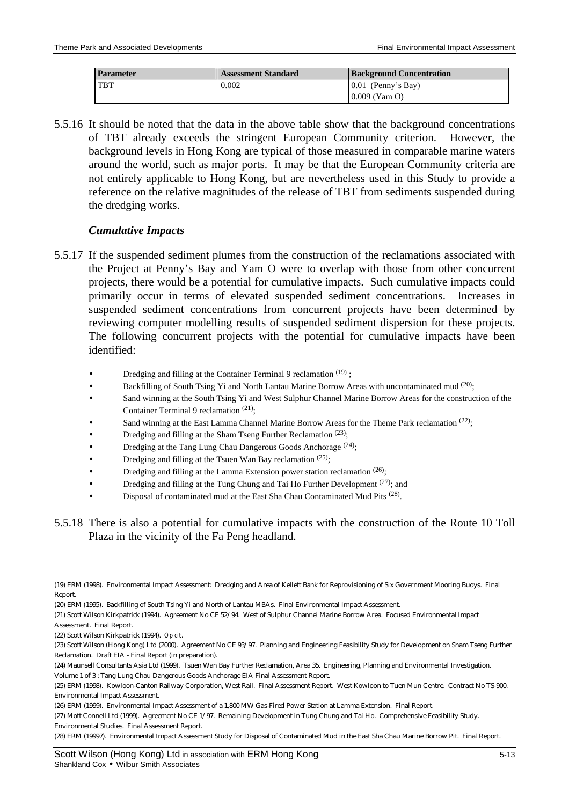| <b>Assessment Standard</b><br><b>Parameter</b> |       | <b>Background Concentration</b> |  |
|------------------------------------------------|-------|---------------------------------|--|
| <b>TBT</b>                                     | 0.002 | $0.01$ (Penny's Bay)            |  |
|                                                |       | $0.009$ (Yam O)                 |  |

5.5.16 It should be noted that the data in the above table show that the background concentrations of TBT already exceeds the stringent European Community criterion. However, the background levels in Hong Kong are typical of those measured in comparable marine waters around the world, such as major ports. It may be that the European Community criteria are not entirely applicable to Hong Kong, but are nevertheless used in this Study to provide a reference on the relative magnitudes of the release of TBT from sediments suspended during the dredging works.

### *Cumulative Impacts*

- 5.5.17 If the suspended sediment plumes from the construction of the reclamations associated with the Project at Penny's Bay and Yam O were to overlap with those from other concurrent projects, there would be a potential for cumulative impacts. Such cumulative impacts could primarily occur in terms of elevated suspended sediment concentrations. Increases in suspended sediment concentrations from concurrent projects have been determined by reviewing computer modelling results of suspended sediment dispersion for these projects. The following concurrent projects with the potential for cumulative impacts have been identified:
	- Dredging and filling at the Container Terminal 9 reclamation  $(19)$ ;
	- Backfilling of South Tsing Yi and North Lantau Marine Borrow Areas with uncontaminated mud <sup>(20)</sup>;
	- Sand winning at the South Tsing Yi and West Sulphur Channel Marine Borrow Areas for the construction of the Container Terminal 9 reclamation <sup>(21)</sup>;
	- Sand winning at the East Lamma Channel Marine Borrow Areas for the Theme Park reclamation  $(22)$ ;
	- Dredging and filling at the Sham Tseng Further Reclamation<sup>(23)</sup>;
	- Dredging at the Tang Lung Chau Dangerous Goods Anchorage (24);
	- Dredging and filling at the Tsuen Wan Bay reclamation  $(25)$ ;
	- Dredging and filling at the Lamma Extension power station reclamation (26);
	- Dredging and filling at the Tung Chung and Tai Ho Further Development  $(27)$ ; and
	- Disposal of contaminated mud at the East Sha Chau Contaminated Mud Pits (28).
- 5.5.18 There is also a potential for cumulative impacts with the construction of the Route 10 Toll Plaza in the vicinity of the Fa Peng headland.

(22) Scott Wilson Kirkpatrick (1994). *Op cit*.

(23) Scott Wilson (Hong Kong) Ltd (2000). Agreement No CE 93/97. Planning and Engineering Feasibility Study for Development on Sham Tseng Further Reclamation. Draft EIA - Final Report (in preparation).

(24) Maunsell Consultants Asia Ltd (1999). Tsuen Wan Bay Further Reclamation, Area 35. Engineering, Planning and Environmental Investigation. Volume 1 of 3 : Tang Lung Chau Dangerous Goods Anchorage EIA Final Assessment Report.

(27) Mott Connell Ltd (1999). Agreement No CE 1/97. Remaining Development in Tung Chung and Tai Ho. Comprehensive Feasibility Study. Environmental Studies. Final Assessment Report.

(28) ERM (19997). Environmental Impact Assessment Study for Disposal of Contaminated Mud in the East Sha Chau Marine Borrow Pit. Final Report.

<sup>(19)</sup> ERM (1998). Environmental Impact Assessment: Dredging and Area of Kellett Bank for Reprovisioning of Six Government Mooring Buoys. Final Report.

<sup>(20)</sup> ERM (1995). Backfilling of South Tsing Yi and North of Lantau MBAs. Final Environmental Impact Assessment.

<sup>(21)</sup> Scott Wilson Kirkpatrick (1994). Agreement No CE 52/94. West of Sulphur Channel Marine Borrow Area. Focused Environmental Impact Assessment. Final Report.

<sup>(25)</sup> ERM (1998). Kowloon-Canton Railway Corporation, West Rail. Final Assessment Report. West Kowloon to Tuen Mun Centre. Contract No TS-900. Environmental Impact Assessment.

<sup>(26)</sup> ERM (1999). Environmental Impact Assessment of a 1,800 MW Gas-Fired Power Station at Lamma Extension. Final Report.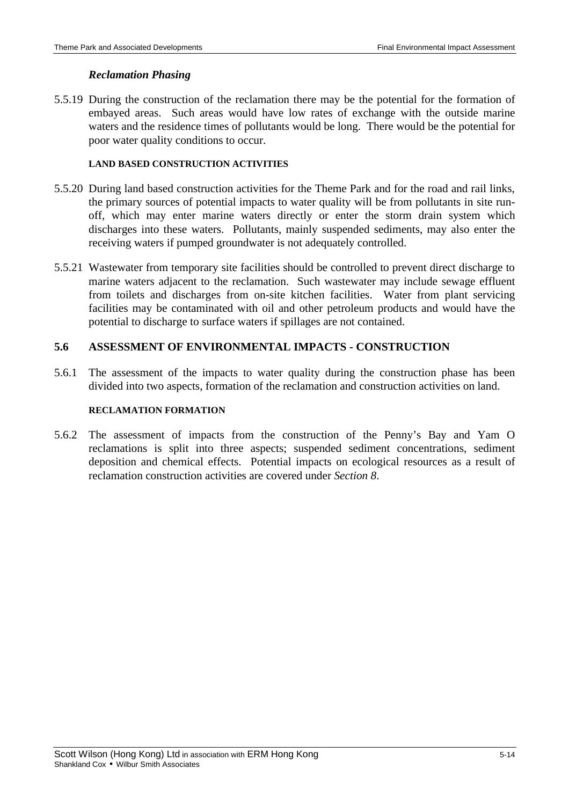## *Reclamation Phasing*

5.5.19 During the construction of the reclamation there may be the potential for the formation of embayed areas. Such areas would have low rates of exchange with the outside marine waters and the residence times of pollutants would be long. There would be the potential for poor water quality conditions to occur.

## **LAND BASED CONSTRUCTION ACTIVITIES**

- 5.5.20 During land based construction activities for the Theme Park and for the road and rail links, the primary sources of potential impacts to water quality will be from pollutants in site runoff, which may enter marine waters directly or enter the storm drain system which discharges into these waters. Pollutants, mainly suspended sediments, may also enter the receiving waters if pumped groundwater is not adequately controlled.
- 5.5.21 Wastewater from temporary site facilities should be controlled to prevent direct discharge to marine waters adjacent to the reclamation. Such wastewater may include sewage effluent from toilets and discharges from on-site kitchen facilities. Water from plant servicing facilities may be contaminated with oil and other petroleum products and would have the potential to discharge to surface waters if spillages are not contained.

## **5.6 ASSESSMENT OF ENVIRONMENTAL IMPACTS - CONSTRUCTION**

5.6.1 The assessment of the impacts to water quality during the construction phase has been divided into two aspects, formation of the reclamation and construction activities on land.

#### **RECLAMATION FORMATION**

5.6.2 The assessment of impacts from the construction of the Penny's Bay and Yam O reclamations is split into three aspects; suspended sediment concentrations, sediment deposition and chemical effects. Potential impacts on ecological resources as a result of reclamation construction activities are covered under *Section 8*.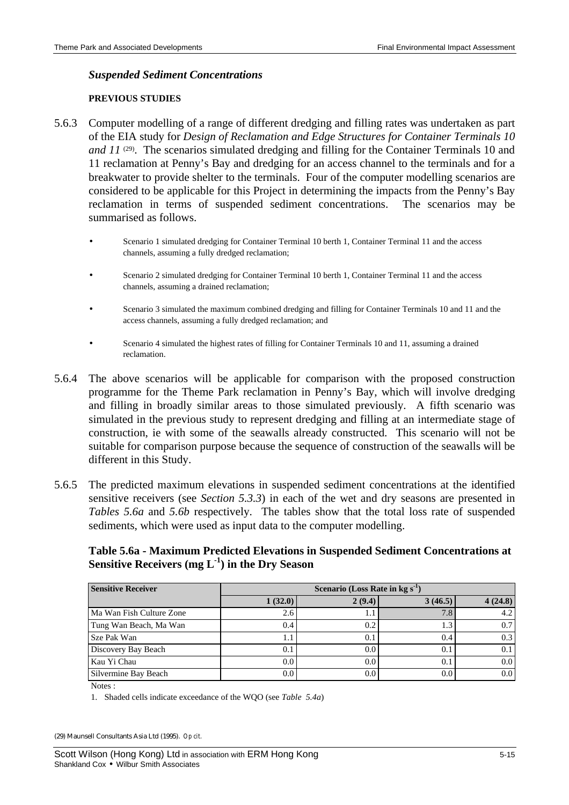### *Suspended Sediment Concentrations*

#### **PREVIOUS STUDIES**

- 5.6.3 Computer modelling of a range of different dredging and filling rates was undertaken as part of the EIA study for *Design of Reclamation and Edge Structures for Container Terminals 10*  and 11<sup>(29)</sup>. The scenarios simulated dredging and filling for the Container Terminals 10 and 11 reclamation at Penny's Bay and dredging for an access channel to the terminals and for a breakwater to provide shelter to the terminals. Four of the computer modelling scenarios are considered to be applicable for this Project in determining the impacts from the Penny's Bay reclamation in terms of suspended sediment concentrations. The scenarios may be summarised as follows.
	- Scenario 1 simulated dredging for Container Terminal 10 berth 1, Container Terminal 11 and the access channels, assuming a fully dredged reclamation;
	- Scenario 2 simulated dredging for Container Terminal 10 berth 1, Container Terminal 11 and the access channels, assuming a drained reclamation;
	- Scenario 3 simulated the maximum combined dredging and filling for Container Terminals 10 and 11 and the access channels, assuming a fully dredged reclamation; and
	- Scenario 4 simulated the highest rates of filling for Container Terminals 10 and 11, assuming a drained reclamation.
- 5.6.4 The above scenarios will be applicable for comparison with the proposed construction programme for the Theme Park reclamation in Penny's Bay, which will involve dredging and filling in broadly similar areas to those simulated previously. A fifth scenario was simulated in the previous study to represent dredging and filling at an intermediate stage of construction, ie with some of the seawalls already constructed. This scenario will not be suitable for comparison purpose because the sequence of construction of the seawalls will be different in this Study.
- 5.6.5 The predicted maximum elevations in suspended sediment concentrations at the identified sensitive receivers (see *Section 5.3.3*) in each of the wet and dry seasons are presented in *Tables 5.6a* and *5.6b* respectively. The tables show that the total loss rate of suspended sediments, which were used as input data to the computer modelling.

## **Table 5.6a - Maximum Predicted Elevations in Suspended Sediment Concentrations at Sensitive Receivers (mg L-1 ) in the Dry Season**

| <b>Sensitive Receiver</b> | Scenario (Loss Rate in $kg s^{-1}$ ) |            |         |         |  |  |
|---------------------------|--------------------------------------|------------|---------|---------|--|--|
|                           | 1(32.0)                              | 2(9.4)     | 3(46.5) | 4(24.8) |  |  |
| Ma Wan Fish Culture Zone  | 2.6                                  |            | 7.8     | 4.2     |  |  |
| Tung Wan Beach, Ma Wan    | 0.4                                  | 0.2        |         | 0.7     |  |  |
| Sze Pak Wan               | 1.1                                  | $\Omega$ . | 0.4     | 0.3     |  |  |
| Discovery Bay Beach       | 0.1                                  | 0.0        | 0.1     | 0.1     |  |  |
| Kau Yi Chau               | 0.0                                  | 0.0        | 0.1     | 0.0     |  |  |
| Silvermine Bay Beach      | 0.0                                  | 0.0        | 0.0     | 0.0     |  |  |

Notes :

1. Shaded cells indicate exceedance of the WQO (see *Table 5.4a*)

(29) Maunsell Consultants Asia Ltd (1995). *Op cit.*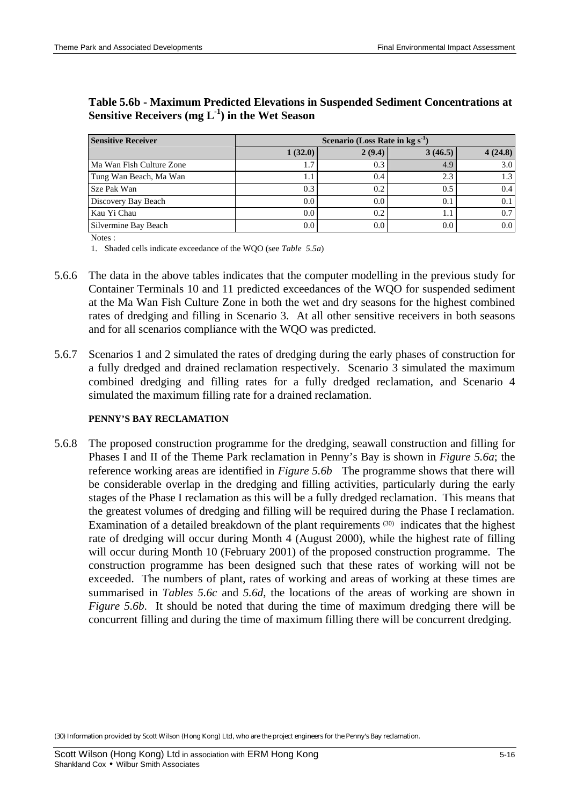| <b>Sensitive Receiver</b> | Scenario (Loss Rate in kg s <sup>-1</sup> |        |         |                  |  |  |  |
|---------------------------|-------------------------------------------|--------|---------|------------------|--|--|--|
|                           | 1(32.0)                                   | 2(9.4) | 3(46.5) | 4(24.8)          |  |  |  |
| Ma Wan Fish Culture Zone  |                                           | 0.3    | 4.9     | 3.0 <sub>1</sub> |  |  |  |
| Tung Wan Beach, Ma Wan    | 1.1                                       | 0.4    | 2.3     | 1.3 <sub>1</sub> |  |  |  |
| Sze Pak Wan               | 0.3                                       | 0.2    | 0.5     | 0.4              |  |  |  |
| Discovery Bay Beach       | 0.0                                       | 0.0    | 0.1     | 0.1              |  |  |  |
| Kau Yi Chau               | 0.0                                       | 0.2    | 1. I    | $0.7^{\circ}$    |  |  |  |
| Silvermine Bay Beach      | 0.0                                       | 0.0    | 0.0     | 0.0 <sub>1</sub> |  |  |  |

## **Table 5.6b - Maximum Predicted Elevations in Suspended Sediment Concentrations at Sensitive Receivers (mg L-1 ) in the Wet Season**

Notes :

1. Shaded cells indicate exceedance of the WQO (see *Table 5.5a*)

- 5.6.6 The data in the above tables indicates that the computer modelling in the previous study for Container Terminals 10 and 11 predicted exceedances of the WQO for suspended sediment at the Ma Wan Fish Culture Zone in both the wet and dry seasons for the highest combined rates of dredging and filling in Scenario 3. At all other sensitive receivers in both seasons and for all scenarios compliance with the WQO was predicted.
- 5.6.7 Scenarios 1 and 2 simulated the rates of dredging during the early phases of construction for a fully dredged and drained reclamation respectively. Scenario 3 simulated the maximum combined dredging and filling rates for a fully dredged reclamation, and Scenario 4 simulated the maximum filling rate for a drained reclamation.

#### **PENNY'S BAY RECLAMATION**

5.6.8 The proposed construction programme for the dredging, seawall construction and filling for Phases I and II of the Theme Park reclamation in Penny's Bay is shown in *Figure 5.6a*; the reference working areas are identified in *Figure 5.6b* The programme shows that there will be considerable overlap in the dredging and filling activities, particularly during the early stages of the Phase I reclamation as this will be a fully dredged reclamation. This means that the greatest volumes of dredging and filling will be required during the Phase I reclamation. Examination of a detailed breakdown of the plant requirements<sup>(30)</sup> indicates that the highest rate of dredging will occur during Month 4 (August 2000), while the highest rate of filling will occur during Month 10 (February 2001) of the proposed construction programme. The construction programme has been designed such that these rates of working will not be exceeded. The numbers of plant, rates of working and areas of working at these times are summarised in *Tables 5.6c* and *5.6d*, the locations of the areas of working are shown in *Figure 5.6b.* It should be noted that during the time of maximum dredging there will be concurrent filling and during the time of maximum filling there will be concurrent dredging.

(30) Information provided by Scott Wilson (Hong Kong) Ltd, who are the project engineers for the Penny's Bay reclamation.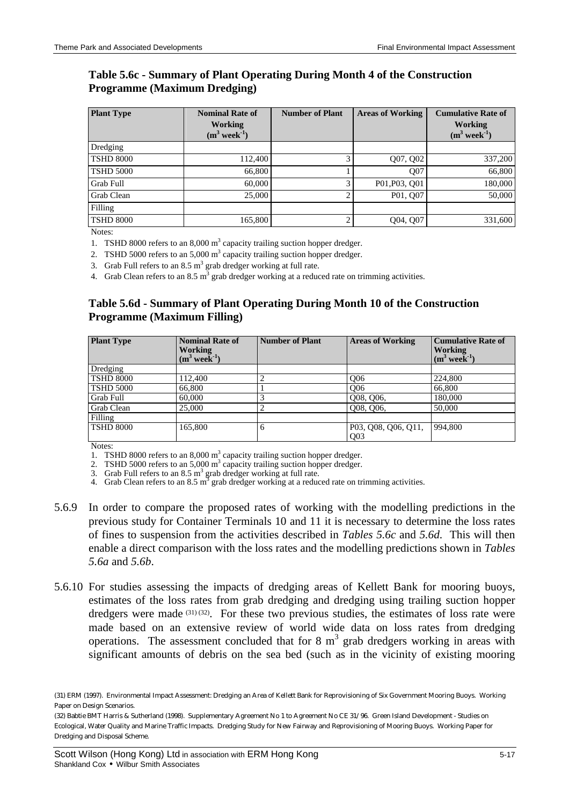## **Table 5.6c - Summary of Plant Operating During Month 4 of the Construction Programme (Maximum Dredging)**

| <b>Plant Type</b> | <b>Nominal Rate of</b><br><b>Working</b><br>$(m^3$ week <sup>-1</sup> ) | <b>Number of Plant</b> | <b>Areas of Working</b> | <b>Cumulative Rate of</b><br>Working<br>$(m^3$ week <sup>-1</sup> ) |
|-------------------|-------------------------------------------------------------------------|------------------------|-------------------------|---------------------------------------------------------------------|
| Dredging          |                                                                         |                        |                         |                                                                     |
| <b>TSHD 8000</b>  | 112,400                                                                 |                        | Q07, Q02                | 337,200                                                             |
| <b>TSHD 5000</b>  | 66,800                                                                  |                        | O07                     | 66,800                                                              |
| Grab Full         | 60,000                                                                  | 3                      | P01, P03, O01           | 180,000                                                             |
| Grab Clean        | 25,000                                                                  | ◠                      | P01, Q07                | 50,000                                                              |
| Filling           |                                                                         |                        |                         |                                                                     |
| <b>TSHD 8000</b>  | 165,800                                                                 | ◠                      | Q04, Q07                | 331,600                                                             |

Notes:

1. TSHD 8000 refers to an  $8,000 \text{ m}^3$  capacity trailing suction hopper dredger.

2. TSHD 5000 refers to an 5,000  $m<sup>3</sup>$  capacity trailing suction hopper dredger.

3. Grab Full refers to an 8.5  $m<sup>3</sup>$  grab dredger working at full rate.

4. Grab Clean refers to an 8.5 m<sup>3</sup> grab dredger working at a reduced rate on trimming activities.

## **Table 5.6d - Summary of Plant Operating During Month 10 of the Construction Programme (Maximum Filling)**

| <b>Plant Type</b> | <b>Nominal Rate of</b><br><b>Working</b><br>$(m^3$ week <sup>-1</sup> ) | <b>Number of Plant</b> | <b>Areas of Working</b>                | <b>Cumulative Rate of</b><br><b>Working</b><br>$(m^3$ week <sup>-1</sup> ) |
|-------------------|-------------------------------------------------------------------------|------------------------|----------------------------------------|----------------------------------------------------------------------------|
| Dredging          |                                                                         |                        |                                        |                                                                            |
| <b>TSHD 8000</b>  | 112,400                                                                 | ↵                      | O <sub>06</sub>                        | 224,800                                                                    |
| <b>TSHD 5000</b>  | 66,800                                                                  |                        | O <sub>06</sub>                        | 66,800                                                                     |
| Grab Full         | 60,000                                                                  |                        | Q08, Q06,                              | 180,000                                                                    |
| Grab Clean        | 25,000                                                                  | $\overline{2}$         | Q08, Q06,                              | 50,000                                                                     |
| Filling           |                                                                         |                        |                                        |                                                                            |
| <b>TSHD 8000</b>  | 165,800                                                                 | 6                      | P03, Q08, Q06, Q11,<br>Q <sub>03</sub> | 994.800                                                                    |

Notes:

1. TSHD 8000 refers to an  $8,000 \text{ m}^3$  capacity trailing suction hopper dredger.

2. TSHD 5000 refers to an  $5,000 \text{ m}^3$  capacity trailing suction hopper dredger.

3. Grab Full refers to an  $8.5 \text{ m}^3$  grab dredger working at full rate.

- 4. Grab Clean refers to an 8.5  $m^3$  grab dredger working at a reduced rate on trimming activities.
- 5.6.9 In order to compare the proposed rates of working with the modelling predictions in the previous study for Container Terminals 10 and 11 it is necessary to determine the loss rates of fines to suspension from the activities described in *Tables 5.6c* and *5.6d*. This will then enable a direct comparison with the loss rates and the modelling predictions shown in *Tables 5.6a* and *5.6b*.
- 5.6.10 For studies assessing the impacts of dredging areas of Kellett Bank for mooring buoys, estimates of the loss rates from grab dredging and dredging using trailing suction hopper dredgers were made (31) (32). For these two previous studies, the estimates of loss rate were made based on an extensive review of world wide data on loss rates from dredging operations. The assessment concluded that for 8  $m<sup>3</sup>$  grab dredgers working in areas with significant amounts of debris on the sea bed (such as in the vicinity of existing mooring

<sup>(31)</sup> ERM (1997). Environmental Impact Assessment: Dredging an Area of Kellett Bank for Reprovisioning of Six Government Mooring Buoys. Working Paper on Design Scenarios.

<sup>(32)</sup> Babtie BMT Harris & Sutherland (1998). Supplementary Agreement No 1 to Agreement No CE 31/96. Green Island Development - Studies on Ecological, Water Quality and Marine Traffic Impacts. Dredging Study for New Fairway and Reprovisioning of Mooring Buoys. Working Paper for Dredging and Disposal Scheme.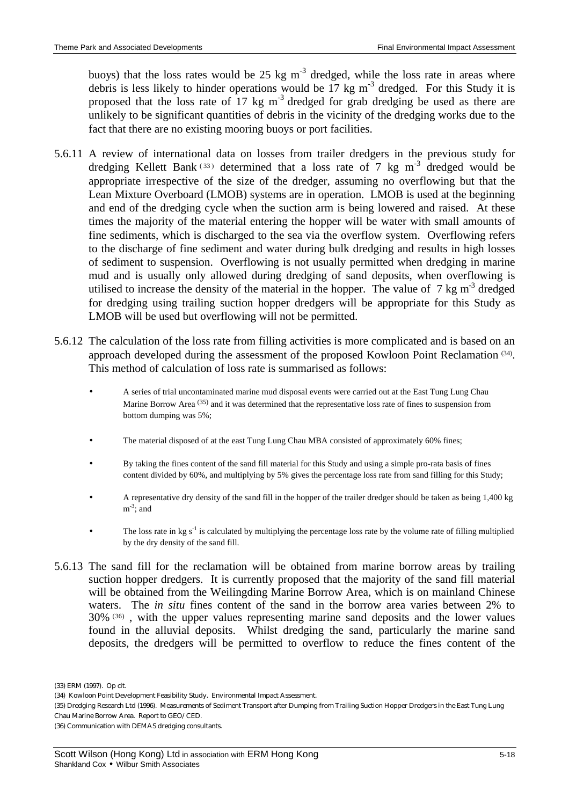buoys) that the loss rates would be 25 kg  $m<sup>-3</sup>$  dredged, while the loss rate in areas where debris is less likely to hinder operations would be  $17 \text{ kg m}^3$  dredged. For this Study it is proposed that the loss rate of  $17 \text{ kg m}^{-3}$  dredged for grab dredging be used as there are unlikely to be significant quantities of debris in the vicinity of the dredging works due to the fact that there are no existing mooring buoys or port facilities.

- 5.6.11 A review of international data on losses from trailer dredgers in the previous study for dredging Kellett Bank<sup>(33)</sup> determined that a loss rate of 7 kg m<sup>-3</sup> dredged would be appropriate irrespective of the size of the dredger, assuming no overflowing but that the Lean Mixture Overboard (LMOB) systems are in operation. LMOB is used at the beginning and end of the dredging cycle when the suction arm is being lowered and raised. At these times the majority of the material entering the hopper will be water with small amounts of fine sediments, which is discharged to the sea via the overflow system. Overflowing refers to the discharge of fine sediment and water during bulk dredging and results in high losses of sediment to suspension. Overflowing is not usually permitted when dredging in marine mud and is usually only allowed during dredging of sand deposits, when overflowing is utilised to increase the density of the material in the hopper. The value of  $7 \text{ kg m}^3$  dredged for dredging using trailing suction hopper dredgers will be appropriate for this Study as LMOB will be used but overflowing will not be permitted.
- 5.6.12 The calculation of the loss rate from filling activities is more complicated and is based on an approach developed during the assessment of the proposed Kowloon Point Reclamation (34). This method of calculation of loss rate is summarised as follows:
	- A series of trial uncontaminated marine mud disposal events were carried out at the East Tung Lung Chau Marine Borrow Area <sup>(35)</sup> and it was determined that the representative loss rate of fines to suspension from bottom dumping was 5%;
	- The material disposed of at the east Tung Lung Chau MBA consisted of approximately 60% fines;
	- By taking the fines content of the sand fill material for this Study and using a simple pro-rata basis of fines content divided by 60%, and multiplying by 5% gives the percentage loss rate from sand filling for this Study;
	- A representative dry density of the sand fill in the hopper of the trailer dredger should be taken as being 1,400 kg  $m^{-3}$ ; and
	- The loss rate in kg  $s^{-1}$  is calculated by multiplying the percentage loss rate by the volume rate of filling multiplied by the dry density of the sand fill.
- 5.6.13 The sand fill for the reclamation will be obtained from marine borrow areas by trailing suction hopper dredgers. It is currently proposed that the majority of the sand fill material will be obtained from the Weilingding Marine Borrow Area, which is on mainland Chinese waters. The *in situ* fines content of the sand in the borrow area varies between 2% to 30%<sup>(36)</sup>, with the upper values representing marine sand deposits and the lower values found in the alluvial deposits. Whilst dredging the sand, particularly the marine sand deposits, the dredgers will be permitted to overflow to reduce the fines content of the

<sup>(33)</sup> ERM (1997). Op cit.

<sup>(34)</sup> Kowloon Point Development Feasibility Study. Environmental Impact Assessment.

<sup>(35)</sup> Dredging Research Ltd (1996). Measurements of Sediment Transport after Dumping from Trailing Suction Hopper Dredgers in the East Tung Lung Chau Marine Borrow Area. Report to GEO/CED.

<sup>(36)</sup> Communication with DEMAS dredging consultants.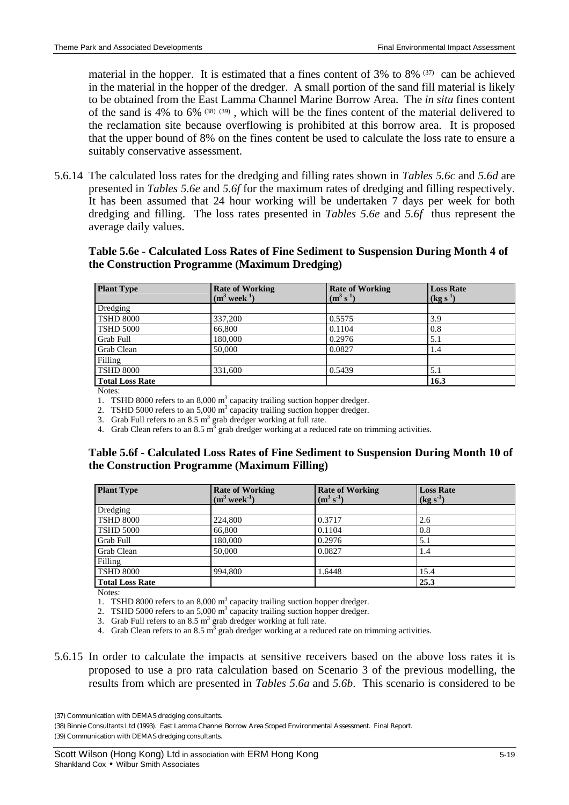material in the hopper. It is estimated that a fines content of 3% to 8% (37) can be achieved in the material in the hopper of the dredger. A small portion of the sand fill material is likely to be obtained from the East Lamma Channel Marine Borrow Area. The *in situ* fines content of the sand is 4% to 6% (38) (39), which will be the fines content of the material delivered to the reclamation site because overflowing is prohibited at this borrow area. It is proposed that the upper bound of 8% on the fines content be used to calculate the loss rate to ensure a suitably conservative assessment.

5.6.14 The calculated loss rates for the dredging and filling rates shown in *Tables 5.6c* and *5.6d* are presented in *Tables 5.6e* and *5.6f* for the maximum rates of dredging and filling respectively. It has been assumed that 24 hour working will be undertaken 7 days per week for both dredging and filling. The loss rates presented in *Tables 5.6e* and *5.6f* thus represent the average daily values.

## **Table 5.6e - Calculated Loss Rates of Fine Sediment to Suspension During Month 4 of the Construction Programme (Maximum Dredging)**

| <b>Plant Type</b>                      | <b>Rate of Working</b><br>$(m^3$ week <sup>-1</sup> ) | <b>Rate of Working</b><br>$(m^3 s^{-1})$ | <b>Loss Rate</b><br>$(kg s^{-1})$ |
|----------------------------------------|-------------------------------------------------------|------------------------------------------|-----------------------------------|
| Dredging                               |                                                       |                                          |                                   |
| <b>TSHD 8000</b>                       | 337,200                                               | 0.5575                                   | 3.9                               |
| <b>TSHD 5000</b>                       | 66,800                                                | 0.1104                                   | 0.8                               |
| Grab Full                              | 180,000                                               | 0.2976                                   | 5.1                               |
| Grab Clean                             | 50,000                                                | 0.0827                                   | 1.4                               |
| Filling                                |                                                       |                                          |                                   |
| <b>TSHD 8000</b>                       | 331,600                                               | 0.5439                                   | 5.1                               |
| <b>Total Loss Rate</b><br>$\mathbf{X}$ |                                                       |                                          | 16.3                              |

Notes:

1. TSHD 8000 refers to an  $8,000 \text{ m}^3$  capacity trailing suction hopper dredger.

2. TSHD 5000 refers to an 5,000  $m^3$  capacity trailing suction hopper dredger.

3. Grab Full refers to an  $8.5 \text{ m}^3$  grab dredger working at full rate.

4. Grab Clean refers to an 8.5  $m^3$  grab dredger working at a reduced rate on trimming activities.

## **Table 5.6f - Calculated Loss Rates of Fine Sediment to Suspension During Month 10 of the Construction Programme (Maximum Filling)**

| <b>Plant Type</b>      | <b>Rate of Working</b><br>$(m^3$ week <sup>-1</sup> ) | <b>Rate of Working</b><br>$(m^3 s^{-1})$ | <b>Loss Rate</b><br>$\log s^{-1}$ |
|------------------------|-------------------------------------------------------|------------------------------------------|-----------------------------------|
| Dredging               |                                                       |                                          |                                   |
| <b>TSHD 8000</b>       | 224,800                                               | 0.3717                                   | 2.6                               |
| <b>TSHD 5000</b>       | 66,800                                                | 0.1104                                   | 0.8                               |
| <b>Grab Full</b>       | 180,000                                               | 0.2976                                   | 5.1                               |
| Grab Clean             | 50,000                                                | 0.0827                                   | 1.4                               |
| Filling                |                                                       |                                          |                                   |
| <b>TSHD 8000</b>       | 994,800                                               | 1.6448                                   | 15.4                              |
| <b>Total Loss Rate</b> |                                                       |                                          | 25.3                              |

Notes:

1. TSHD 8000 refers to an  $8,000 \text{ m}^3$  capacity trailing suction hopper dredger.

2. TSHD 5000 refers to an 5,000  $m^3$  capacity trailing suction hopper dredger.

3. Grab Full refers to an  $8.5 \text{ m}^3$  grab dredger working at full rate.

4. Grab Clean refers to an 8.5  $m^3$  grab dredger working at a reduced rate on trimming activities.

5.6.15 In order to calculate the impacts at sensitive receivers based on the above loss rates it is proposed to use a pro rata calculation based on Scenario 3 of the previous modelling, the results from which are presented in *Tables 5.6a* and *5.6b*. This scenario is considered to be

(38) Binnie Consultants Ltd (1993). East Lamma Channel Borrow Area Scoped Environmental Assessment. Final Report.

(39) Communication with DEMAS dredging consultants.

<sup>(37)</sup> Communication with DEMAS dredging consultants.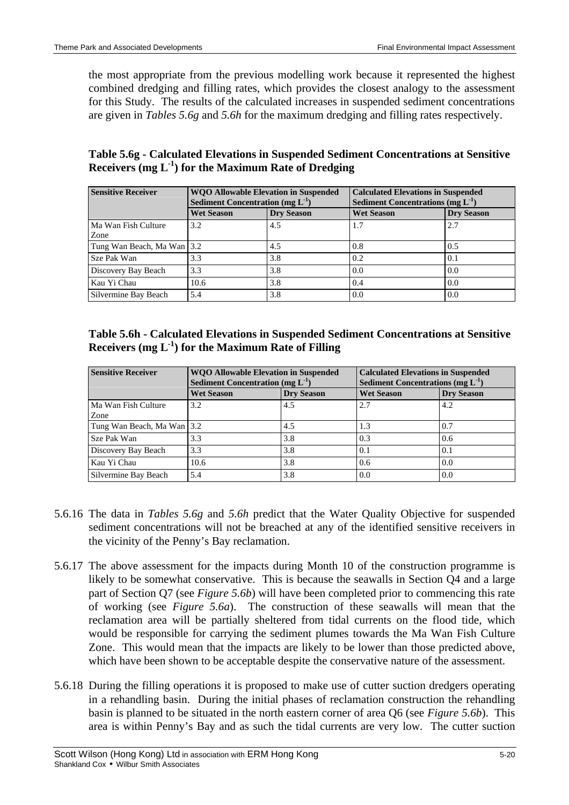the most appropriate from the previous modelling work because it represented the highest combined dredging and filling rates, which provides the closest analogy to the assessment for this Study. The results of the calculated increases in suspended sediment concentrations are given in *Tables 5.6g* and *5.6h* for the maximum dredging and filling rates respectively.

## **Table 5.6g - Calculated Elevations in Suspended Sediment Concentrations at Sensitive Receivers (mg L-1 ) for the Maximum Rate of Dredging**

| <b>Sensitive Receiver</b>   | <b>WQO Allowable Elevation in Suspended</b><br>Sediment Concentration (mg $L^{-1}$ ) |                   | <b>Calculated Elevations in Suspended</b><br><b>Sediment Concentrations (mg <math>L^{-1}</math>)</b> |                   |
|-----------------------------|--------------------------------------------------------------------------------------|-------------------|------------------------------------------------------------------------------------------------------|-------------------|
|                             | <b>Wet Season</b>                                                                    | <b>Drv Season</b> | <b>Wet Season</b>                                                                                    | <b>Dry Season</b> |
| Ma Wan Fish Culture<br>Zone | 3.2                                                                                  | 4.5               | 1.7                                                                                                  | 2.7               |
| Tung Wan Beach, Ma Wan 3.2  |                                                                                      | 4.5               | 0.8                                                                                                  | 0.5               |
| Sze Pak Wan                 | 3.3                                                                                  | 3.8               | 0.2                                                                                                  | 0.1               |
| Discovery Bay Beach         | 3.3                                                                                  | 3.8               | 0.0                                                                                                  | 0.0               |
| Kau Yi Chau                 | 10.6                                                                                 | 3.8               | 0.4                                                                                                  | 0.0               |
| Silvermine Bay Beach        | 5.4                                                                                  | 3.8               | 0.0                                                                                                  | 0.0               |

## **Table 5.6h - Calculated Elevations in Suspended Sediment Concentrations at Sensitive Receivers (mg L-1 ) for the Maximum Rate of Filling**

| <b>Sensitive Receiver</b>  | <b>WQO Allowable Elevation in Suspended</b><br>Sediment Concentration (mg $L^{-1}$ ) |                   | <b>Calculated Elevations in Suspended</b><br><b>Sediment Concentrations (mg <math>L^{-1}</math>)</b> |                   |
|----------------------------|--------------------------------------------------------------------------------------|-------------------|------------------------------------------------------------------------------------------------------|-------------------|
|                            | <b>Wet Season</b>                                                                    | <b>Dry Season</b> | <b>Wet Season</b>                                                                                    | <b>Dry Season</b> |
| Ma Wan Fish Culture        | 3.2                                                                                  | 4.5               | 2.7                                                                                                  | 4.2               |
| Zone                       |                                                                                      |                   |                                                                                                      |                   |
| Tung Wan Beach, Ma Wan 3.2 |                                                                                      | 4.5               | 1.3                                                                                                  | 0.7               |
| Sze Pak Wan                | 3.3                                                                                  | 3.8               | 0.3                                                                                                  | 0.6               |
| Discovery Bay Beach        | 3.3                                                                                  | 3.8               | 0.1                                                                                                  | 0.1               |
| Kau Yi Chau                | 10.6                                                                                 | 3.8               | 0.6                                                                                                  | 0.0               |
| Silvermine Bay Beach       | 5.4                                                                                  | 3.8               | 0.0                                                                                                  | 0.0               |

- 5.6.16 The data in *Tables 5.6g* and *5.6h* predict that the Water Quality Objective for suspended sediment concentrations will not be breached at any of the identified sensitive receivers in the vicinity of the Penny's Bay reclamation.
- 5.6.17 The above assessment for the impacts during Month 10 of the construction programme is likely to be somewhat conservative. This is because the seawalls in Section Q4 and a large part of Section Q7 (see *Figure 5.6b*) will have been completed prior to commencing this rate of working (see *Figure 5.6a*). The construction of these seawalls will mean that the reclamation area will be partially sheltered from tidal currents on the flood tide, which would be responsible for carrying the sediment plumes towards the Ma Wan Fish Culture Zone. This would mean that the impacts are likely to be lower than those predicted above, which have been shown to be acceptable despite the conservative nature of the assessment.
- 5.6.18 During the filling operations it is proposed to make use of cutter suction dredgers operating in a rehandling basin. During the initial phases of reclamation construction the rehandling basin is planned to be situated in the north eastern corner of area Q6 (see *Figure 5.6b*). This area is within Penny's Bay and as such the tidal currents are very low. The cutter suction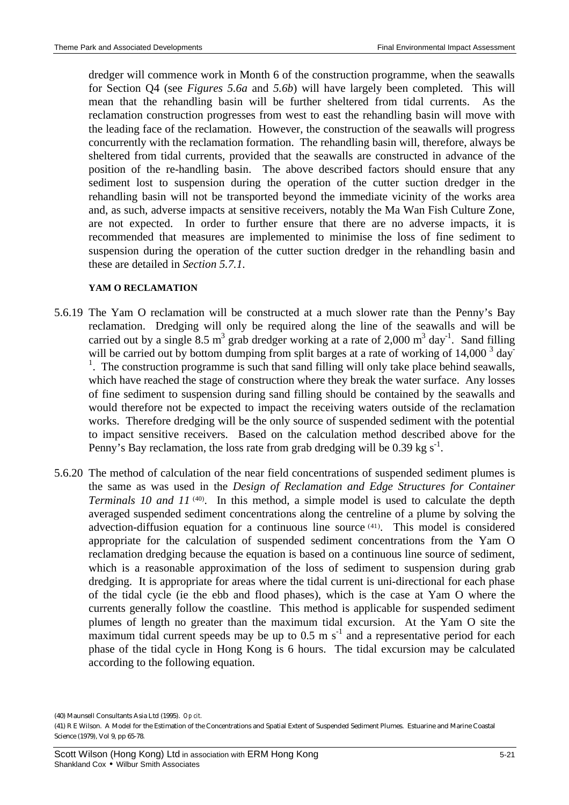dredger will commence work in Month 6 of the construction programme, when the seawalls for Section Q4 (see *Figures 5.6a* and *5.6b*) will have largely been completed. This will mean that the rehandling basin will be further sheltered from tidal currents. As the reclamation construction progresses from west to east the rehandling basin will move with the leading face of the reclamation. However, the construction of the seawalls will progress concurrently with the reclamation formation. The rehandling basin will, therefore, always be sheltered from tidal currents, provided that the seawalls are constructed in advance of the position of the re-handling basin. The above described factors should ensure that any sediment lost to suspension during the operation of the cutter suction dredger in the rehandling basin will not be transported beyond the immediate vicinity of the works area and, as such, adverse impacts at sensitive receivers, notably the Ma Wan Fish Culture Zone, are not expected. In order to further ensure that there are no adverse impacts, it is recommended that measures are implemented to minimise the loss of fine sediment to suspension during the operation of the cutter suction dredger in the rehandling basin and these are detailed in *Section 5.7.1*.

### **YAM O RECLAMATION**

- 5.6.19 The Yam O reclamation will be constructed at a much slower rate than the Penny's Bay reclamation. Dredging will only be required along the line of the seawalls and will be carried out by a single 8.5 m<sup>3</sup> grab dredger working at a rate of 2,000 m<sup>3</sup> day<sup>-1</sup>. Sand filling will be carried out by bottom dumping from split barges at a rate of working of  $14,000^3$  day  $<sup>1</sup>$ . The construction programme is such that sand filling will only take place behind seawalls,</sup> which have reached the stage of construction where they break the water surface. Any losses of fine sediment to suspension during sand filling should be contained by the seawalls and would therefore not be expected to impact the receiving waters outside of the reclamation works. Therefore dredging will be the only source of suspended sediment with the potential to impact sensitive receivers. Based on the calculation method described above for the Penny's Bay reclamation, the loss rate from grab dredging will be 0.39 kg  $s^{-1}$ .
- 5.6.20 The method of calculation of the near field concentrations of suspended sediment plumes is the same as was used in the *Design of Reclamation and Edge Structures for Container* Terminals 10 and 11<sup>(40)</sup>. In this method, a simple model is used to calculate the depth averaged suspended sediment concentrations along the centreline of a plume by solving the advection-diffusion equation for a continuous line source (41) . This model is considered appropriate for the calculation of suspended sediment concentrations from the Yam O reclamation dredging because the equation is based on a continuous line source of sediment, which is a reasonable approximation of the loss of sediment to suspension during grab dredging. It is appropriate for areas where the tidal current is uni-directional for each phase of the tidal cycle (ie the ebb and flood phases), which is the case at Yam O where the currents generally follow the coastline. This method is applicable for suspended sediment plumes of length no greater than the maximum tidal excursion. At the Yam O site the maximum tidal current speeds may be up to  $0.5 \text{ m s}^{-1}$  and a representative period for each phase of the tidal cycle in Hong Kong is 6 hours. The tidal excursion may be calculated according to the following equation.

(40) Maunsell Consultants Asia Ltd (1995). *Op cit.*

<sup>(41)</sup> R E Wilson. A Model for the Estimation of the Concentrations and Spatial Extent of Suspended Sediment Plumes. Estuarine and Marine Coastal Science (1979), Vol 9, pp 65-78.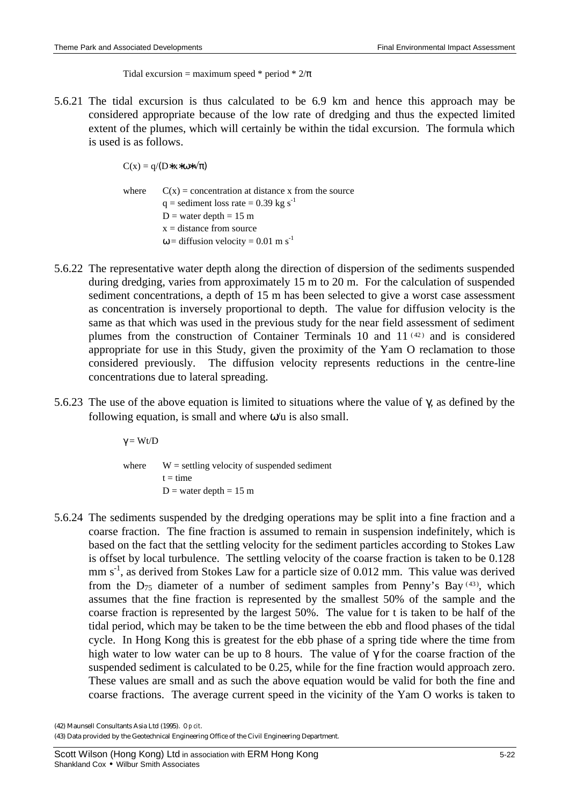Tidal excursion = maximum speed \* period \*  $2/\pi$ 

5.6.21 The tidal excursion is thus calculated to be 6.9 km and hence this approach may be considered appropriate because of the low rate of dredging and thus the expected limited extent of the plumes, which will certainly be within the tidal excursion. The formula which is used is as follows.

 $C(x) = g/(D*x*\omega*\sqrt{\pi})$ 

where  $C(x) =$  concentration at distance x from the source  $q =$  sediment loss rate = 0.39 kg s<sup>-1</sup>  $D =$  water depth = 15 m  $x = distance from source$  $\omega$  = diffusion velocity = 0.01 m s<sup>-1</sup>

- 5.6.22 The representative water depth along the direction of dispersion of the sediments suspended during dredging, varies from approximately 15 m to 20 m. For the calculation of suspended sediment concentrations, a depth of 15 m has been selected to give a worst case assessment as concentration is inversely proportional to depth. The value for diffusion velocity is the same as that which was used in the previous study for the near field assessment of sediment plumes from the construction of Container Terminals 10 and 11<sup>(42)</sup> and is considered appropriate for use in this Study, given the proximity of the Yam O reclamation to those considered previously. The diffusion velocity represents reductions in the centre-line concentrations due to lateral spreading.
- 5.6.23 The use of the above equation is limited to situations where the value of γ, as defined by the following equation, is small and where  $\omega$  is also small.

where  $W =$  settling velocity of suspended sediment  $t = time$  $D$  = water depth = 15 m

5.6.24 The sediments suspended by the dredging operations may be split into a fine fraction and a coarse fraction. The fine fraction is assumed to remain in suspension indefinitely, which is based on the fact that the settling velocity for the sediment particles according to Stokes Law is offset by local turbulence. The settling velocity of the coarse fraction is taken to be 0.128 mm s<sup>-1</sup>, as derived from Stokes Law for a particle size of 0.012 mm. This value was derived from the  $D_{75}$  diameter of a number of sediment samples from Penny's Bay  $(43)$ , which assumes that the fine fraction is represented by the smallest 50% of the sample and the coarse fraction is represented by the largest 50%. The value for t is taken to be half of the tidal period, which may be taken to be the time between the ebb and flood phases of the tidal cycle. In Hong Kong this is greatest for the ebb phase of a spring tide where the time from high water to low water can be up to 8 hours. The value of γ for the coarse fraction of the suspended sediment is calculated to be 0.25, while for the fine fraction would approach zero. These values are small and as such the above equation would be valid for both the fine and coarse fractions. The average current speed in the vicinity of the Yam O works is taken to

 $\gamma = Wt/D$ 

<sup>(42)</sup> Maunsell Consultants Asia Ltd (1995). *Op cit*.

<sup>(43)</sup> Data provided by the Geotechnical Engineering Office of the Civil Engineering Department.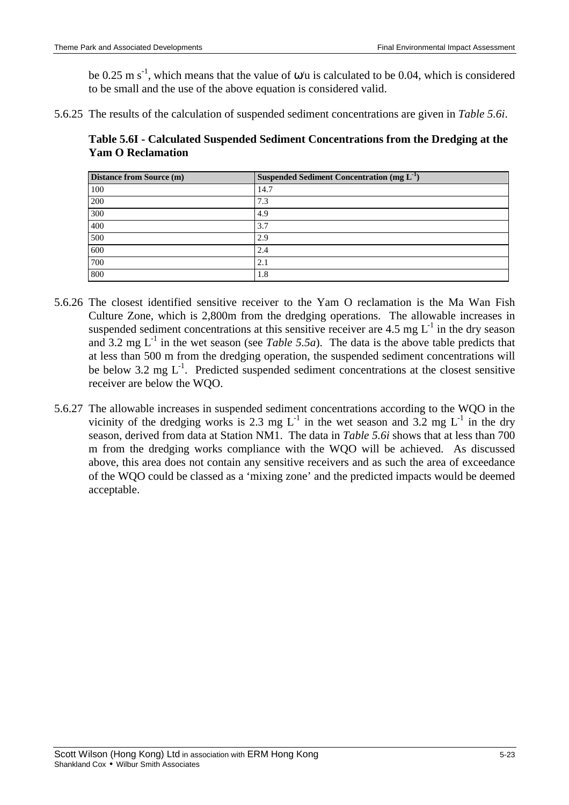be 0.25 m s<sup>-1</sup>, which means that the value of  $\omega/u$  is calculated to be 0.04, which is considered to be small and the use of the above equation is considered valid.

5.6.25 The results of the calculation of suspended sediment concentrations are given in *Table 5.6i*.

**Table 5.6I - Calculated Suspended Sediment Concentrations from the Dredging at the Yam O Reclamation**

| <b>Distance from Source (m)</b> | Suspended Sediment Concentration (mg $L^{-1}$ ) |
|---------------------------------|-------------------------------------------------|
| 100                             | 14.7                                            |
| 200                             | 7.3                                             |
| 300                             | 4.9                                             |
| 400                             | 3.7                                             |
| 500                             | 2.9                                             |
| 600                             | 2.4                                             |
| 700                             | 2.1                                             |
| 800                             | 1.8                                             |

- 5.6.26 The closest identified sensitive receiver to the Yam O reclamation is the Ma Wan Fish Culture Zone, which is 2,800m from the dredging operations. The allowable increases in suspended sediment concentrations at this sensitive receiver are 4.5 mg  $L^{-1}$  in the dry season and 3.2 mg  $L^{-1}$  in the wet season (see *Table 5.5a*). The data is the above table predicts that at less than 500 m from the dredging operation, the suspended sediment concentrations will be below 3.2 mg L<sup>-1</sup>. Predicted suspended sediment concentrations at the closest sensitive receiver are below the WQO.
- 5.6.27 The allowable increases in suspended sediment concentrations according to the WQO in the vicinity of the dredging works is 2.3 mg  $L^{-1}$  in the wet season and 3.2 mg  $L^{-1}$  in the dry season, derived from data at Station NM1. The data in *Table 5.6i* shows that at less than 700 m from the dredging works compliance with the WQO will be achieved. As discussed above, this area does not contain any sensitive receivers and as such the area of exceedance of the WQO could be classed as a 'mixing zone' and the predicted impacts would be deemed acceptable.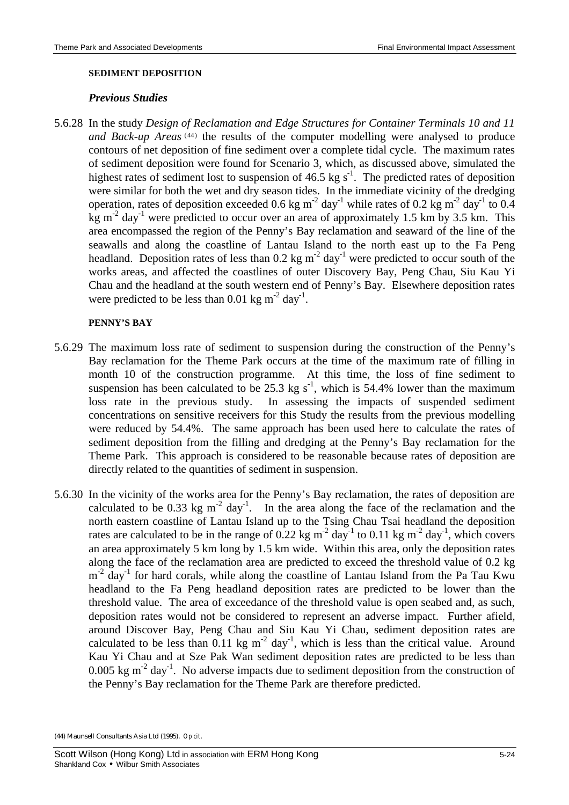#### **SEDIMENT DEPOSITION**

### *Previous Studies*

5.6.28 In the study *Design of Reclamation and Edge Structures for Container Terminals 10 and 11*  and Back-up Areas<sup>(44)</sup> the results of the computer modelling were analysed to produce contours of net deposition of fine sediment over a complete tidal cycle. The maximum rates of sediment deposition were found for Scenario 3, which, as discussed above, simulated the highest rates of sediment lost to suspension of 46.5 kg  $s^{-1}$ . The predicted rates of deposition were similar for both the wet and dry season tides. In the immediate vicinity of the dredging operation, rates of deposition exceeded 0.6 kg m<sup>-2</sup> day<sup>-1</sup> while rates of 0.2 kg m<sup>-2</sup> day<sup>-1</sup> to 0.4 kg m<sup>-2</sup> day<sup>-1</sup> were predicted to occur over an area of approximately 1.5 km by 3.5 km. This area encompassed the region of the Penny's Bay reclamation and seaward of the line of the seawalls and along the coastline of Lantau Island to the north east up to the Fa Peng headland. Deposition rates of less than  $0.2 \text{ kg m}^{-2}$  day<sup>-1</sup> were predicted to occur south of the works areas, and affected the coastlines of outer Discovery Bay, Peng Chau, Siu Kau Yi Chau and the headland at the south western end of Penny's Bay. Elsewhere deposition rates were predicted to be less than 0.01 kg  $m^{-2}$  day<sup>-1</sup>.

### **PENNY'S BAY**

- 5.6.29 The maximum loss rate of sediment to suspension during the construction of the Penny's Bay reclamation for the Theme Park occurs at the time of the maximum rate of filling in month 10 of the construction programme. At this time, the loss of fine sediment to suspension has been calculated to be 25.3 kg s<sup>-1</sup>, which is 54.4% lower than the maximum loss rate in the previous study. In assessing the impacts of suspended sediment concentrations on sensitive receivers for this Study the results from the previous modelling were reduced by 54.4%. The same approach has been used here to calculate the rates of sediment deposition from the filling and dredging at the Penny's Bay reclamation for the Theme Park. This approach is considered to be reasonable because rates of deposition are directly related to the quantities of sediment in suspension.
- 5.6.30 In the vicinity of the works area for the Penny's Bay reclamation, the rates of deposition are calculated to be 0.33 kg  $m^{-2}$  day<sup>-1</sup>. In the area along the face of the reclamation and the north eastern coastline of Lantau Island up to the Tsing Chau Tsai headland the deposition rates are calculated to be in the range of 0.22 kg  $m^{-2}$  day<sup>-1</sup> to 0.11 kg  $m^{-2}$  day<sup>-1</sup>, which covers an area approximately 5 km long by 1.5 km wide. Within this area, only the deposition rates along the face of the reclamation area are predicted to exceed the threshold value of 0.2 kg m<sup>-2</sup> day<sup>-1</sup> for hard corals, while along the coastline of Lantau Island from the Pa Tau Kwu headland to the Fa Peng headland deposition rates are predicted to be lower than the threshold value. The area of exceedance of the threshold value is open seabed and, as such, deposition rates would not be considered to represent an adverse impact. Further afield, around Discover Bay, Peng Chau and Siu Kau Yi Chau, sediment deposition rates are calculated to be less than  $0.11 \text{ kg m}^{-2}$  day<sup>-1</sup>, which is less than the critical value. Around Kau Yi Chau and at Sze Pak Wan sediment deposition rates are predicted to be less than 0.005 kg m<sup>-2</sup> day<sup>-1</sup>. No adverse impacts due to sediment deposition from the construction of the Penny's Bay reclamation for the Theme Park are therefore predicted.

<sup>(44)</sup> Maunsell Consultants Asia Ltd (1995). *Op cit*.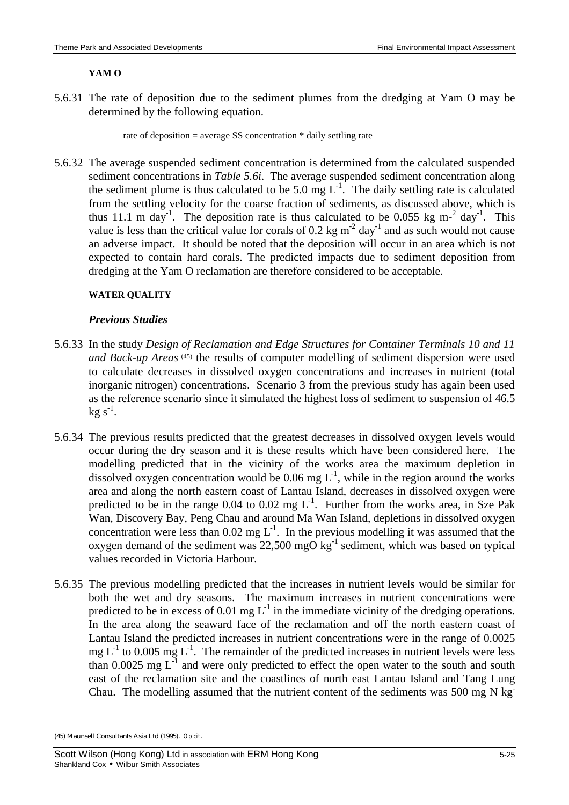#### **YAM O**

5.6.31 The rate of deposition due to the sediment plumes from the dredging at Yam O may be determined by the following equation.

rate of deposition = average SS concentration \* daily settling rate

5.6.32 The average suspended sediment concentration is determined from the calculated suspended sediment concentrations in *Table 5.6i*. The average suspended sediment concentration along the sediment plume is thus calculated to be 5.0 mg  $L^{-1}$ . The daily settling rate is calculated from the settling velocity for the coarse fraction of sediments, as discussed above, which is thus 11.1 m day<sup>-1</sup>. The deposition rate is thus calculated to be 0.055 kg m<sup>-2</sup> day<sup>-1</sup>. This value is less than the critical value for corals of 0.2 kg  $m^{-2}$  day<sup>-1</sup> and as such would not cause an adverse impact. It should be noted that the deposition will occur in an area which is not expected to contain hard corals. The predicted impacts due to sediment deposition from dredging at the Yam O reclamation are therefore considered to be acceptable.

## **WATER QUALITY**

## *Previous Studies*

- 5.6.33 In the study *Design of Reclamation and Edge Structures for Container Terminals 10 and 11*  and Back-up Areas<sup>(45)</sup> the results of computer modelling of sediment dispersion were used to calculate decreases in dissolved oxygen concentrations and increases in nutrient (total inorganic nitrogen) concentrations. Scenario 3 from the previous study has again been used as the reference scenario since it simulated the highest loss of sediment to suspension of 46.5  $kg s^{-1}$ .
- 5.6.34 The previous results predicted that the greatest decreases in dissolved oxygen levels would occur during the dry season and it is these results which have been considered here. The modelling predicted that in the vicinity of the works area the maximum depletion in dissolved oxygen concentration would be 0.06 mg  $L^{-1}$ , while in the region around the works area and along the north eastern coast of Lantau Island, decreases in dissolved oxygen were predicted to be in the range  $0.04$  to  $0.02$  mg  $L^{-1}$ . Further from the works area, in Sze Pak Wan, Discovery Bay, Peng Chau and around Ma Wan Island, depletions in dissolved oxygen concentration were less than  $0.02$  mg  $L^{-1}$ . In the previous modelling it was assumed that the oxygen demand of the sediment was  $22,500$  mgO kg<sup>-1</sup> sediment, which was based on typical values recorded in Victoria Harbour.
- 5.6.35 The previous modelling predicted that the increases in nutrient levels would be similar for both the wet and dry seasons. The maximum increases in nutrient concentrations were predicted to be in excess of 0.01 mg  $L^{-1}$  in the immediate vicinity of the dredging operations. In the area along the seaward face of the reclamation and off the north eastern coast of Lantau Island the predicted increases in nutrient concentrations were in the range of 0.0025 mg  $L^{-1}$  to 0.005 mg  $L^{-1}$ . The remainder of the predicted increases in nutrient levels were less than 0.0025 mg  $L^{-1}$  and were only predicted to effect the open water to the south and south east of the reclamation site and the coastlines of north east Lantau Island and Tang Lung Chau. The modelling assumed that the nutrient content of the sediments was 500 mg N kg-

<sup>(45)</sup> Maunsell Consultants Asia Ltd (1995). *Op cit*.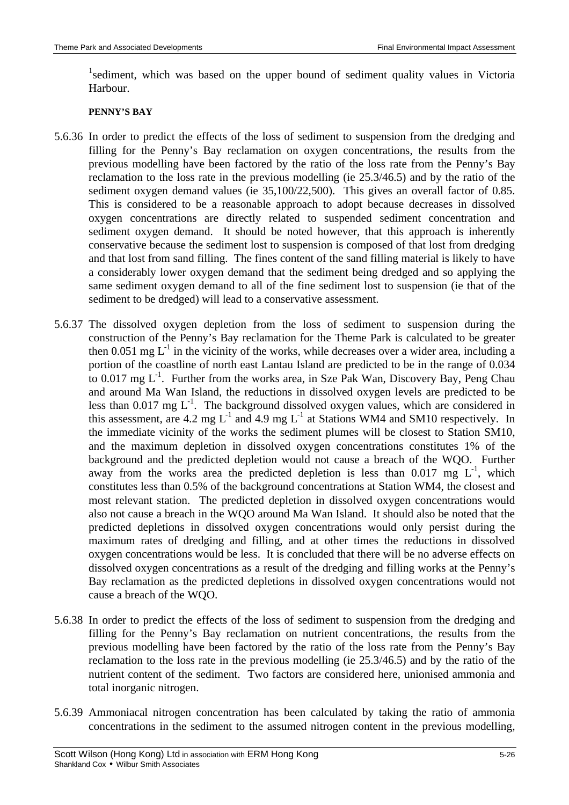<sup>1</sup>sediment, which was based on the upper bound of sediment quality values in Victoria Harbour.

#### **PENNY'S BAY**

- 5.6.36 In order to predict the effects of the loss of sediment to suspension from the dredging and filling for the Penny's Bay reclamation on oxygen concentrations, the results from the previous modelling have been factored by the ratio of the loss rate from the Penny's Bay reclamation to the loss rate in the previous modelling (ie 25.3/46.5) and by the ratio of the sediment oxygen demand values (ie 35,100/22,500). This gives an overall factor of 0.85. This is considered to be a reasonable approach to adopt because decreases in dissolved oxygen concentrations are directly related to suspended sediment concentration and sediment oxygen demand. It should be noted however, that this approach is inherently conservative because the sediment lost to suspension is composed of that lost from dredging and that lost from sand filling. The fines content of the sand filling material is likely to have a considerably lower oxygen demand that the sediment being dredged and so applying the same sediment oxygen demand to all of the fine sediment lost to suspension (ie that of the sediment to be dredged) will lead to a conservative assessment.
- 5.6.37 The dissolved oxygen depletion from the loss of sediment to suspension during the construction of the Penny's Bay reclamation for the Theme Park is calculated to be greater then 0.051 mg  $L^{-1}$  in the vicinity of the works, while decreases over a wider area, including a portion of the coastline of north east Lantau Island are predicted to be in the range of 0.034 to 0.017 mg  $L^{-1}$ . Further from the works area, in Sze Pak Wan, Discovery Bay, Peng Chau and around Ma Wan Island, the reductions in dissolved oxygen levels are predicted to be less than  $0.017$  mg  $L^{-1}$ . The background dissolved oxygen values, which are considered in this assessment, are 4.2 mg  $L^{-1}$  and 4.9 mg  $L^{-1}$  at Stations WM4 and SM10 respectively. In the immediate vicinity of the works the sediment plumes will be closest to Station SM10, and the maximum depletion in dissolved oxygen concentrations constitutes 1% of the background and the predicted depletion would not cause a breach of the WQO. Further away from the works area the predicted depletion is less than  $0.017 \text{ mg } L^{-1}$ , which constitutes less than 0.5% of the background concentrations at Station WM4, the closest and most relevant station. The predicted depletion in dissolved oxygen concentrations would also not cause a breach in the WQO around Ma Wan Island. It should also be noted that the predicted depletions in dissolved oxygen concentrations would only persist during the maximum rates of dredging and filling, and at other times the reductions in dissolved oxygen concentrations would be less. It is concluded that there will be no adverse effects on dissolved oxygen concentrations as a result of the dredging and filling works at the Penny's Bay reclamation as the predicted depletions in dissolved oxygen concentrations would not cause a breach of the WQO.
- 5.6.38 In order to predict the effects of the loss of sediment to suspension from the dredging and filling for the Penny's Bay reclamation on nutrient concentrations, the results from the previous modelling have been factored by the ratio of the loss rate from the Penny's Bay reclamation to the loss rate in the previous modelling (ie 25.3/46.5) and by the ratio of the nutrient content of the sediment. Two factors are considered here, unionised ammonia and total inorganic nitrogen.
- 5.6.39 Ammoniacal nitrogen concentration has been calculated by taking the ratio of ammonia concentrations in the sediment to the assumed nitrogen content in the previous modelling,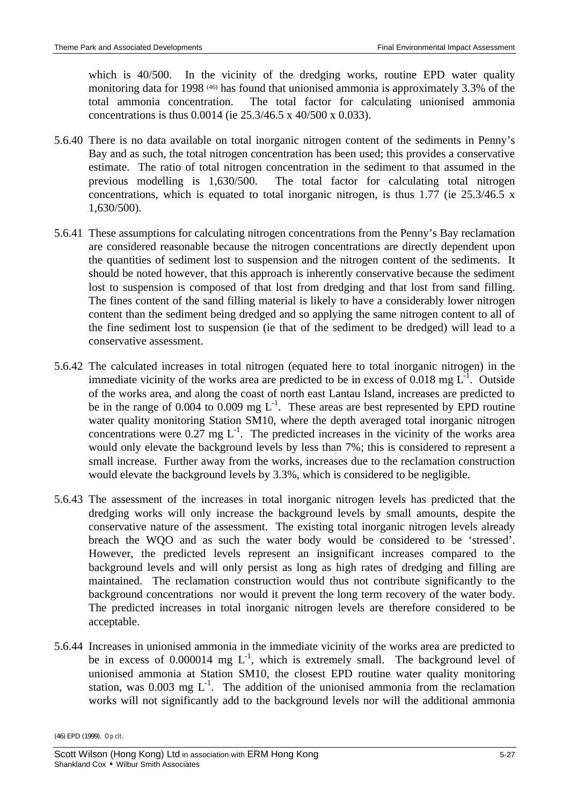which is 40/500. In the vicinity of the dredging works, routine EPD water quality monitoring data for 1998<sup>(46)</sup> has found that unionised ammonia is approximately 3.3% of the total ammonia concentration. The total factor for calculating unionised ammonia concentrations is thus 0.0014 (ie 25.3/46.5 x 40/500 x 0.033).

- 5.6.40 There is no data available on total inorganic nitrogen content of the sediments in Penny's Bay and as such, the total nitrogen concentration has been used; this provides a conservative estimate. The ratio of total nitrogen concentration in the sediment to that assumed in the previous modelling is 1,630/500. The total factor for calculating total nitrogen concentrations, which is equated to total inorganic nitrogen, is thus 1.77 (ie 25.3/46.5 x 1,630/500).
- 5.6.41 These assumptions for calculating nitrogen concentrations from the Penny's Bay reclamation are considered reasonable because the nitrogen concentrations are directly dependent upon the quantities of sediment lost to suspension and the nitrogen content of the sediments. It should be noted however, that this approach is inherently conservative because the sediment lost to suspension is composed of that lost from dredging and that lost from sand filling. The fines content of the sand filling material is likely to have a considerably lower nitrogen content than the sediment being dredged and so applying the same nitrogen content to all of the fine sediment lost to suspension (ie that of the sediment to be dredged) will lead to a conservative assessment.
- 5.6.42 The calculated increases in total nitrogen (equated here to total inorganic nitrogen) in the immediate vicinity of the works area are predicted to be in excess of  $0.018$  mg  $L^{-1}$ . Outside of the works area, and along the coast of north east Lantau Island, increases are predicted to be in the range of 0.004 to 0.009 mg  $L^{-1}$ . These areas are best represented by EPD routine water quality monitoring Station SM10, where the depth averaged total inorganic nitrogen concentrations were  $0.27 \text{ mg L}^{-1}$ . The predicted increases in the vicinity of the works area would only elevate the background levels by less than 7%; this is considered to represent a small increase. Further away from the works, increases due to the reclamation construction would elevate the background levels by 3.3%, which is considered to be negligible.
- 5.6.43 The assessment of the increases in total inorganic nitrogen levels has predicted that the dredging works will only increase the background levels by small amounts, despite the conservative nature of the assessment. The existing total inorganic nitrogen levels already breach the WQO and as such the water body would be considered to be 'stressed'. However, the predicted levels represent an insignificant increases compared to the background levels and will only persist as long as high rates of dredging and filling are maintained. The reclamation construction would thus not contribute significantly to the background concentrations nor would it prevent the long term recovery of the water body. The predicted increases in total inorganic nitrogen levels are therefore considered to be acceptable.
- 5.6.44 Increases in unionised ammonia in the immediate vicinity of the works area are predicted to be in excess of 0.000014 mg  $L^{-1}$ , which is extremely small. The background level of unionised ammonia at Station SM10, the closest EPD routine water quality monitoring station, was  $0.003$  mg  $L^{-1}$ . The addition of the unionised ammonia from the reclamation works will not significantly add to the background levels nor will the additional ammonia

<sup>(46)</sup> EPD (1999). *Op cit*.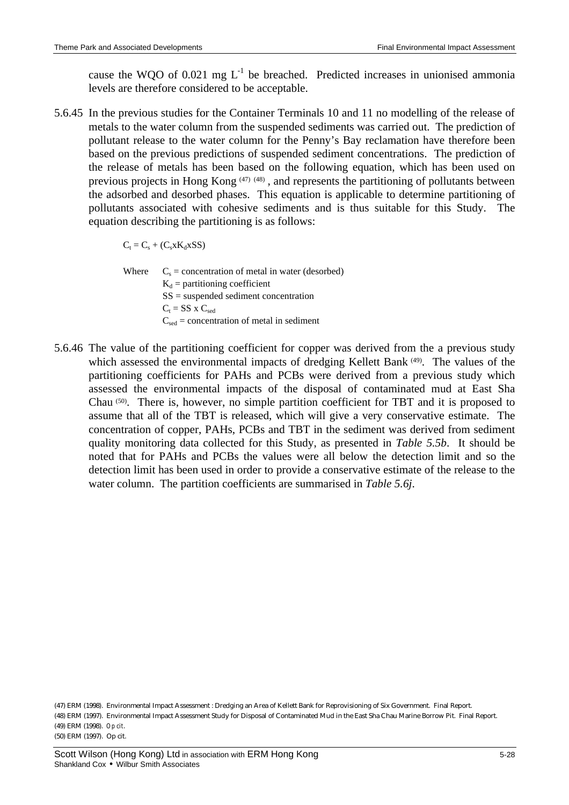cause the WQO of 0.021 mg  $L^{-1}$  be breached. Predicted increases in unionised ammonia levels are therefore considered to be acceptable.

5.6.45 In the previous studies for the Container Terminals 10 and 11 no modelling of the release of metals to the water column from the suspended sediments was carried out. The prediction of pollutant release to the water column for the Penny's Bay reclamation have therefore been based on the previous predictions of suspended sediment concentrations. The prediction of the release of metals has been based on the following equation, which has been used on previous projects in Hong Kong (47) (48), and represents the partitioning of pollutants between the adsorbed and desorbed phases. This equation is applicable to determine partitioning of pollutants associated with cohesive sediments and is thus suitable for this Study. The equation describing the partitioning is as follows:

 $C_t = C_s + (C_s x K_d x S S)$ 

Where  $C_s$  = concentration of metal in water (desorbed)  $K_d$  = partitioning coefficient SS = suspended sediment concentration  $C_t = SS \times C_{sed}$  $C_{\text{sed}}$  = concentration of metal in sediment

5.6.46 The value of the partitioning coefficient for copper was derived from the a previous study which assessed the environmental impacts of dredging Kellett Bank (49). The values of the partitioning coefficients for PAHs and PCBs were derived from a previous study which assessed the environmental impacts of the disposal of contaminated mud at East Sha Chau<sup>(50)</sup>. There is, however, no simple partition coefficient for TBT and it is proposed to assume that all of the TBT is released, which will give a very conservative estimate. The concentration of copper, PAHs, PCBs and TBT in the sediment was derived from sediment quality monitoring data collected for this Study, as presented in *Table 5.5b*. It should be noted that for PAHs and PCBs the values were all below the detection limit and so the detection limit has been used in order to provide a conservative estimate of the release to the water column. The partition coefficients are summarised in *Table 5.6j*.

(47) ERM (1998). Environmental Impact Assessment : Dredging an Area of Kellett Bank for Reprovisioning of Six Government. Final Report. (48) ERM (1997). Environmental Impact Assessment Study for Disposal of Contaminated Mud in the East Sha Chau Marine Borrow Pit. Final Report. (49) ERM (1998). *Op cit*. (50) ERM (1997). Op cit.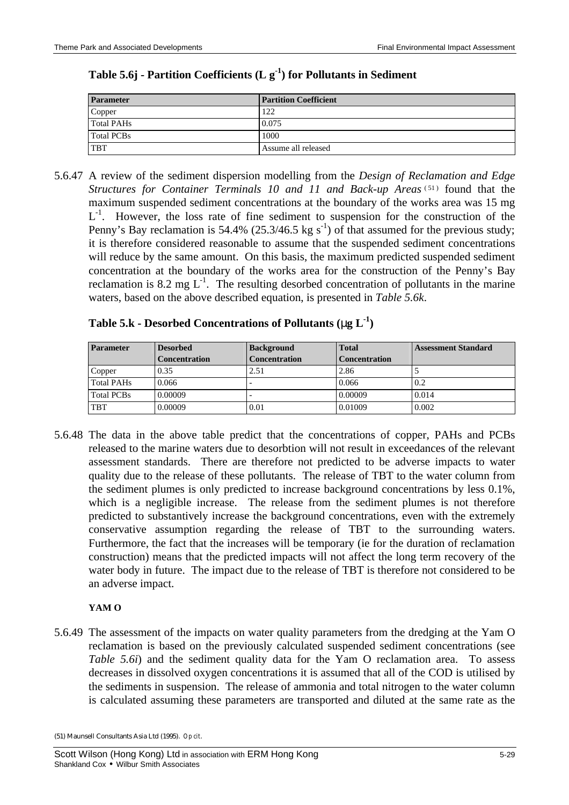| <b>Parameter</b>  | <b>Partition Coefficient</b> |
|-------------------|------------------------------|
| Copper            | 122                          |
| <b>Total PAHs</b> | 0.075                        |
| <b>Total PCBs</b> | 1000                         |
| <b>TBT</b>        | Assume all released          |

## **Table 5.6j - Partition Coefficients (L g-1 ) for Pollutants in Sediment**

5.6.47 A review of the sediment dispersion modelling from the *Design of Reclamation and Edge* Structures for Container Terminals 10 and 11 and Back-up Areas<sup>(51)</sup> found that the maximum suspended sediment concentrations at the boundary of the works area was 15 mg  $L^{-1}$ . However, the loss rate of fine sediment to suspension for the construction of the Penny's Bay reclamation is 54.4% (25.3/46.5 kg  $s^{-1}$ ) of that assumed for the previous study; it is therefore considered reasonable to assume that the suspended sediment concentrations will reduce by the same amount. On this basis, the maximum predicted suspended sediment concentration at the boundary of the works area for the construction of the Penny's Bay reclamation is 8.2 mg  $L^{-1}$ . The resulting desorbed concentration of pollutants in the marine waters, based on the above described equation, is presented in *Table 5.6k*.

| Table 5.k - Desorbed Concentrations of Pollutants (ng $L^{-1}$ ) |  |  |  |  |  |  |  |  |  |
|------------------------------------------------------------------|--|--|--|--|--|--|--|--|--|
|------------------------------------------------------------------|--|--|--|--|--|--|--|--|--|

| <b>Parameter</b>  | <b>Desorbed</b>      | <b>Background</b>        | <b>Total</b>         | <b>Assessment Standard</b> |
|-------------------|----------------------|--------------------------|----------------------|----------------------------|
|                   | <b>Concentration</b> | <b>Concentration</b>     | <b>Concentration</b> |                            |
| Copper            | 0.35                 | 2.51                     | 2.86                 |                            |
| <b>Total PAHs</b> | 0.066                | $\overline{\phantom{0}}$ | 0.066                | 0.2                        |
| <b>Total PCBs</b> | 0.00009              | $\overline{\phantom{0}}$ | 0.00009              | 0.014                      |
| <b>TBT</b>        | 0.00009              | 0.01                     | 0.01009              | 0.002                      |

5.6.48 The data in the above table predict that the concentrations of copper, PAHs and PCBs released to the marine waters due to desorbtion will not result in exceedances of the relevant assessment standards. There are therefore not predicted to be adverse impacts to water quality due to the release of these pollutants. The release of TBT to the water column from the sediment plumes is only predicted to increase background concentrations by less 0.1%, which is a negligible increase. The release from the sediment plumes is not therefore predicted to substantively increase the background concentrations, even with the extremely conservative assumption regarding the release of TBT to the surrounding waters. Furthermore, the fact that the increases will be temporary (ie for the duration of reclamation construction) means that the predicted impacts will not affect the long term recovery of the water body in future. The impact due to the release of TBT is therefore not considered to be an adverse impact.

## **YAM O**

5.6.49 The assessment of the impacts on water quality parameters from the dredging at the Yam O reclamation is based on the previously calculated suspended sediment concentrations (see *Table 5.6i*) and the sediment quality data for the Yam O reclamation area. To assess decreases in dissolved oxygen concentrations it is assumed that all of the COD is utilised by the sediments in suspension. The release of ammonia and total nitrogen to the water column is calculated assuming these parameters are transported and diluted at the same rate as the

<sup>(51)</sup> Maunsell Consultants Asia Ltd (1995). *Op cit*.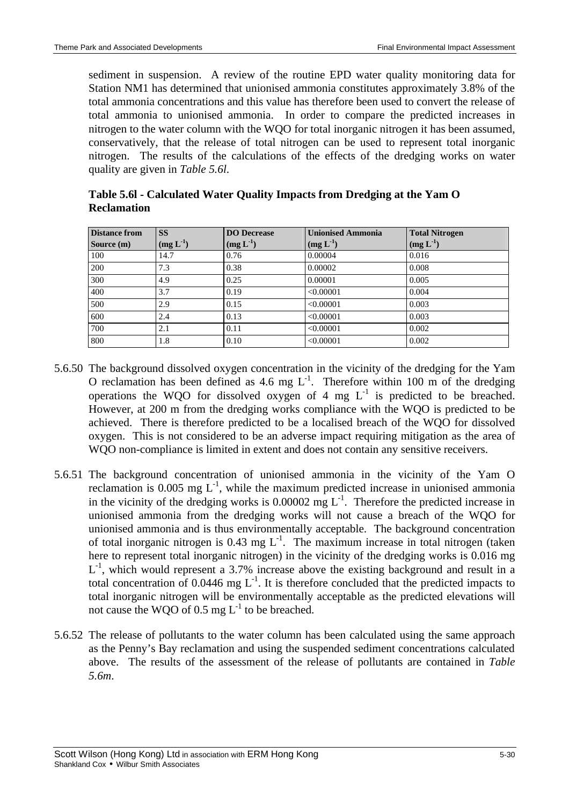sediment in suspension. A review of the routine EPD water quality monitoring data for Station NM1 has determined that unionised ammonia constitutes approximately 3.8% of the total ammonia concentrations and this value has therefore been used to convert the release of total ammonia to unionised ammonia. In order to compare the predicted increases in nitrogen to the water column with the WQO for total inorganic nitrogen it has been assumed, conservatively, that the release of total nitrogen can be used to represent total inorganic nitrogen. The results of the calculations of the effects of the dredging works on water quality are given in *Table 5.6l*.

| <b>Distance from</b><br>Source (m) | <b>SS</b><br>$(mg L^{-1})$ | <b>DO</b> Decrease<br>$(mg L^{-1})$ | <b>Unionised Ammonia</b><br>$(mg L^{-1})$ | <b>Total Nitrogen</b><br>$(mg L^{-1})$ |
|------------------------------------|----------------------------|-------------------------------------|-------------------------------------------|----------------------------------------|
| 100                                | 14.7                       | 0.76                                | 0.00004                                   | 0.016                                  |
| 200                                | 7.3                        | 0.38                                | 0.00002                                   | 0.008                                  |
| 300                                | 4.9                        | 0.25                                | 0.00001                                   | 0.005                                  |
| 400                                | 3.7                        | 0.19                                | < 0.00001                                 | 0.004                                  |
| 500                                | 2.9                        | 0.15                                | < 0.00001                                 | 0.003                                  |
| 600                                | 2.4                        | 0.13                                | < 0.00001                                 | 0.003                                  |
| 700                                | 2.1                        | 0.11                                | < 0.00001                                 | 0.002                                  |
| 800                                | 1.8                        | 0.10                                | < 0.00001                                 | 0.002                                  |

**Table 5.6l - Calculated Water Quality Impacts from Dredging at the Yam O Reclamation**

- 5.6.50 The background dissolved oxygen concentration in the vicinity of the dredging for the Yam O reclamation has been defined as 4.6 mg  $L^{-1}$ . Therefore within 100 m of the dredging operations the WQO for dissolved oxygen of 4 mg  $L^{-1}$  is predicted to be breached. However, at 200 m from the dredging works compliance with the WQO is predicted to be achieved. There is therefore predicted to be a localised breach of the WQO for dissolved oxygen. This is not considered to be an adverse impact requiring mitigation as the area of WQO non-compliance is limited in extent and does not contain any sensitive receivers.
- 5.6.51 The background concentration of unionised ammonia in the vicinity of the Yam O reclamation is 0.005 mg  $L^{-1}$ , while the maximum predicted increase in unionised ammonia in the vicinity of the dredging works is  $0.00002$  mg  $L^{-1}$ . Therefore the predicted increase in unionised ammonia from the dredging works will not cause a breach of the WQO for unionised ammonia and is thus environmentally acceptable. The background concentration of total inorganic nitrogen is 0.43 mg  $L^{-1}$ . The maximum increase in total nitrogen (taken here to represent total inorganic nitrogen) in the vicinity of the dredging works is 0.016 mg L<sup>-1</sup>, which would represent a 3.7% increase above the existing background and result in a total concentration of 0.0446 mg  $L^{-1}$ . It is therefore concluded that the predicted impacts to total inorganic nitrogen will be environmentally acceptable as the predicted elevations will not cause the WQO of  $0.5 \text{ mg } L^{-1}$  to be breached.
- 5.6.52 The release of pollutants to the water column has been calculated using the same approach as the Penny's Bay reclamation and using the suspended sediment concentrations calculated above. The results of the assessment of the release of pollutants are contained in *Table 5.6m*.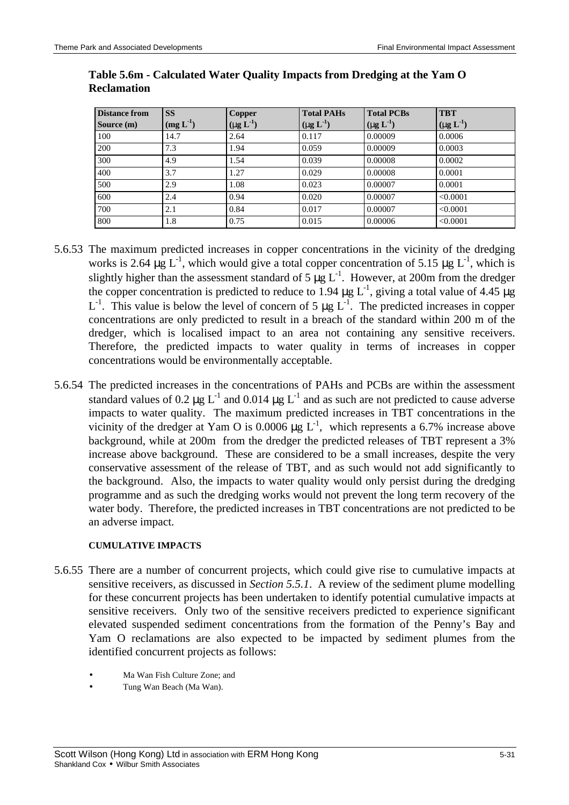| <b>Distance from</b> | <b>SS</b>     | <b>Copper</b>                   | <b>Total PAHs</b>               | <b>Total PCBs</b>               | <b>TBT</b>                      |
|----------------------|---------------|---------------------------------|---------------------------------|---------------------------------|---------------------------------|
| Source (m)           | $(mg L^{-1})$ | $(\mathbf{mg} \mathbf{L}^{-1})$ | $(\mathbf{ng} \mathbf{L}^{-1})$ | $(\mathbf{mg} \mathbf{L}^{-1})$ | $(\mathbf{ng} \mathbf{L}^{-1})$ |
| 100                  | 14.7          | 2.64                            | 0.117                           | 0.00009                         | 0.0006                          |
| 200                  | 7.3           | 1.94                            | 0.059                           | 0.00009                         | 0.0003                          |
| 300                  | 4.9           | 1.54                            | 0.039                           | 0.00008                         | 0.0002                          |
| 400                  | 3.7           | 1.27                            | 0.029                           | 0.00008                         | 0.0001                          |
| 500                  | 2.9           | 1.08                            | 0.023                           | 0.00007                         | 0.0001                          |
| 600                  | 2.4           | 0.94                            | 0.020                           | 0.00007                         | < 0.0001                        |
| 700                  | 2.1           | 0.84                            | 0.017                           | 0.00007                         | < 0.0001                        |
| 800                  | 1.8           | 0.75                            | 0.015                           | 0.00006                         | < 0.0001                        |

### **Table 5.6m - Calculated Water Quality Impacts from Dredging at the Yam O Reclamation**

- 5.6.53 The maximum predicted increases in copper concentrations in the vicinity of the dredging works is 2.64  $\mu$ g L<sup>-1</sup>, which would give a total copper concentration of 5.15  $\mu$ g L<sup>-1</sup>, which is slightly higher than the assessment standard of 5  $\mu$ g L<sup>-1</sup>. However, at 200m from the dredger the copper concentration is predicted to reduce to 1.94  $\mu$ g L<sup>-1</sup>, giving a total value of 4.45  $\mu$ g  $L^{-1}$ . This value is below the level of concern of 5  $\mu$ g  $L^{-1}$ . The predicted increases in copper concentrations are only predicted to result in a breach of the standard within 200 m of the dredger, which is localised impact to an area not containing any sensitive receivers. Therefore, the predicted impacts to water quality in terms of increases in copper concentrations would be environmentally acceptable.
- 5.6.54 The predicted increases in the concentrations of PAHs and PCBs are within the assessment standard values of 0.2  $\mu$ g L<sup>-1</sup> and 0.014  $\mu$ g L<sup>-1</sup> and as such are not predicted to cause adverse impacts to water quality. The maximum predicted increases in TBT concentrations in the vicinity of the dredger at Yam O is 0.0006  $\mu$ g L<sup>-1</sup>, which represents a 6.7% increase above background, while at 200m from the dredger the predicted releases of TBT represent a 3% increase above background. These are considered to be a small increases, despite the very conservative assessment of the release of TBT, and as such would not add significantly to the background. Also, the impacts to water quality would only persist during the dredging programme and as such the dredging works would not prevent the long term recovery of the water body. Therefore, the predicted increases in TBT concentrations are not predicted to be an adverse impact.

## **CUMULATIVE IMPACTS**

- 5.6.55 There are a number of concurrent projects, which could give rise to cumulative impacts at sensitive receivers, as discussed in *Section 5.5.1*. A review of the sediment plume modelling for these concurrent projects has been undertaken to identify potential cumulative impacts at sensitive receivers. Only two of the sensitive receivers predicted to experience significant elevated suspended sediment concentrations from the formation of the Penny's Bay and Yam O reclamations are also expected to be impacted by sediment plumes from the identified concurrent projects as follows:
	- Ma Wan Fish Culture Zone; and
	- Tung Wan Beach (Ma Wan).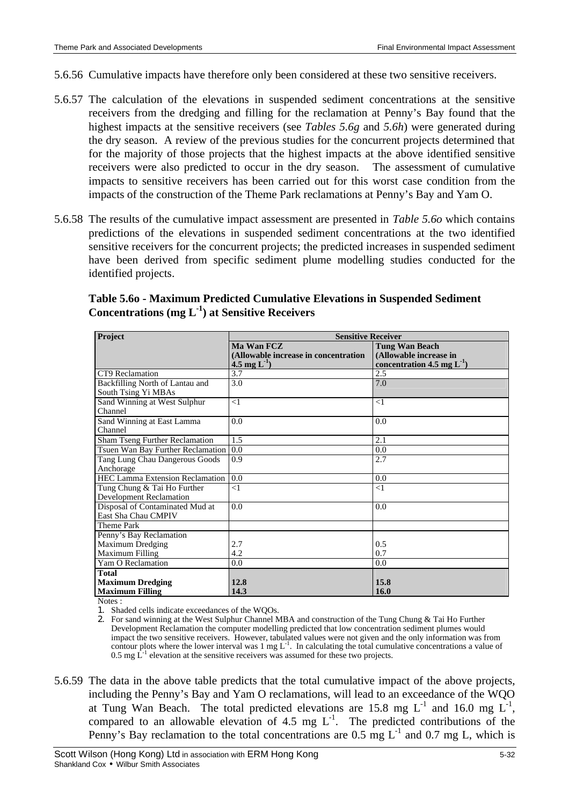- 5.6.56 Cumulative impacts have therefore only been considered at these two sensitive receivers.
- 5.6.57 The calculation of the elevations in suspended sediment concentrations at the sensitive receivers from the dredging and filling for the reclamation at Penny's Bay found that the highest impacts at the sensitive receivers (see *Tables 5.6g* and *5.6h*) were generated during the dry season. A review of the previous studies for the concurrent projects determined that for the majority of those projects that the highest impacts at the above identified sensitive receivers were also predicted to occur in the dry season. The assessment of cumulative impacts to sensitive receivers has been carried out for this worst case condition from the impacts of the construction of the Theme Park reclamations at Penny's Bay and Yam O.
- 5.6.58 The results of the cumulative impact assessment are presented in *Table 5.6o* which contains predictions of the elevations in suspended sediment concentrations at the two identified sensitive receivers for the concurrent projects; the predicted increases in suspended sediment have been derived from specific sediment plume modelling studies conducted for the identified projects.

| Project                                | <b>Sensitive Receiver</b>            |                                 |  |  |
|----------------------------------------|--------------------------------------|---------------------------------|--|--|
|                                        | Ma Wan FCZ                           | <b>Tung Wan Beach</b>           |  |  |
|                                        | (Allowable increase in concentration | (Allowable increase in          |  |  |
|                                        | 4.5 mg $L^{-1}$ )                    | concentration 4.5 mg $L^{-1}$ ) |  |  |
| CT9 Reclamation                        | 3.7                                  | 2.5                             |  |  |
| Backfilling North of Lantau and        | 3.0                                  | 7.0                             |  |  |
| South Tsing Yi MBAs                    |                                      |                                 |  |  |
| Sand Winning at West Sulphur           | <1                                   | $\leq$ 1                        |  |  |
| Channel                                |                                      |                                 |  |  |
| Sand Winning at East Lamma             | 0.0                                  | 0.0                             |  |  |
| Channel                                |                                      |                                 |  |  |
| <b>Sham Tseng Further Reclamation</b>  | 1.5                                  | 2.1                             |  |  |
| Tsuen Wan Bay Further Reclamation      | 0.0                                  | 0.0                             |  |  |
| Tang Lung Chau Dangerous Goods         | 0.9                                  | 2.7                             |  |  |
| Anchorage                              |                                      |                                 |  |  |
| <b>HEC Lamma Extension Reclamation</b> | 0.0                                  | 0.0                             |  |  |
| Tung Chung & Tai Ho Further            | $\leq$ 1                             | $\leq$ 1                        |  |  |
| <b>Development Reclamation</b>         |                                      |                                 |  |  |
| Disposal of Contaminated Mud at        | 0.0                                  | 0.0                             |  |  |
| East Sha Chau CMPIV                    |                                      |                                 |  |  |
| Theme Park                             |                                      |                                 |  |  |
| Penny's Bay Reclamation                |                                      |                                 |  |  |
| <b>Maximum Dredging</b>                | 2.7                                  | 0.5                             |  |  |
| Maximum Filling                        | 4.2                                  | 0.7                             |  |  |
| Yam O Reclamation                      | 0.0                                  | 0.0                             |  |  |
| <b>Total</b>                           |                                      |                                 |  |  |
| <b>Maximum Dredging</b>                | 12.8                                 | 15.8                            |  |  |
| <b>Maximum Filling</b><br><b>AT</b>    | 14.3                                 | 16.0                            |  |  |

## **Table 5.6o - Maximum Predicted Cumulative Elevations in Suspended Sediment Concentrations (mg L-1 ) at Sensitive Receivers**

Notes :

1. Shaded cells indicate exceedances of the WQOs.

2. For sand winning at the West Sulphur Channel MBA and construction of the Tung Chung & Tai Ho Further Development Reclamation the computer modelling predicted that low concentration sediment plumes would impact the two sensitive receivers. However, tabulated values were not given and the only information was from contour plots where the lower interval was  $1 \text{ mg } L^{-1}$ . In calculating the total cumulative concentrations a value of 0.5 mg  $\dot{L}^{-1}$  elevation at the sensitive receivers was assumed for these two projects.

5.6.59 The data in the above table predicts that the total cumulative impact of the above projects, including the Penny's Bay and Yam O reclamations, will lead to an exceedance of the WQO at Tung Wan Beach. The total predicted elevations are 15.8 mg  $L^{-1}$  and 16.0 mg  $L^{-1}$ , compared to an allowable elevation of 4.5 mg  $L^{-1}$ . The predicted contributions of the Penny's Bay reclamation to the total concentrations are 0.5 mg  $L^{-1}$  and 0.7 mg L, which is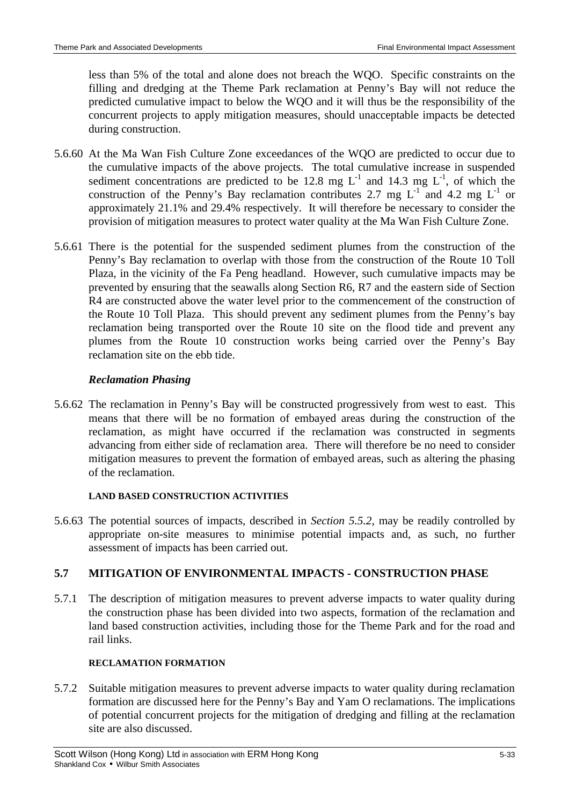less than 5% of the total and alone does not breach the WQO. Specific constraints on the filling and dredging at the Theme Park reclamation at Penny's Bay will not reduce the predicted cumulative impact to below the WQO and it will thus be the responsibility of the concurrent projects to apply mitigation measures, should unacceptable impacts be detected during construction.

- 5.6.60 At the Ma Wan Fish Culture Zone exceedances of the WQO are predicted to occur due to the cumulative impacts of the above projects. The total cumulative increase in suspended sediment concentrations are predicted to be 12.8 mg  $L^{-1}$  and 14.3 mg  $L^{-1}$ , of which the construction of the Penny's Bay reclamation contributes 2.7 mg  $L^{-1}$  and 4.2 mg  $L^{-1}$  or approximately 21.1% and 29.4% respectively. It will therefore be necessary to consider the provision of mitigation measures to protect water quality at the Ma Wan Fish Culture Zone.
- 5.6.61 There is the potential for the suspended sediment plumes from the construction of the Penny's Bay reclamation to overlap with those from the construction of the Route 10 Toll Plaza, in the vicinity of the Fa Peng headland. However, such cumulative impacts may be prevented by ensuring that the seawalls along Section R6, R7 and the eastern side of Section R4 are constructed above the water level prior to the commencement of the construction of the Route 10 Toll Plaza. This should prevent any sediment plumes from the Penny's bay reclamation being transported over the Route 10 site on the flood tide and prevent any plumes from the Route 10 construction works being carried over the Penny's Bay reclamation site on the ebb tide.

## *Reclamation Phasing*

5.6.62 The reclamation in Penny's Bay will be constructed progressively from west to east. This means that there will be no formation of embayed areas during the construction of the reclamation, as might have occurred if the reclamation was constructed in segments advancing from either side of reclamation area. There will therefore be no need to consider mitigation measures to prevent the formation of embayed areas, such as altering the phasing of the reclamation.

## **LAND BASED CONSTRUCTION ACTIVITIES**

5.6.63 The potential sources of impacts, described in *Section 5.5.2*, may be readily controlled by appropriate on-site measures to minimise potential impacts and, as such, no further assessment of impacts has been carried out.

## **5.7 MITIGATION OF ENVIRONMENTAL IMPACTS - CONSTRUCTION PHASE**

5.7.1 The description of mitigation measures to prevent adverse impacts to water quality during the construction phase has been divided into two aspects, formation of the reclamation and land based construction activities, including those for the Theme Park and for the road and rail links.

## **RECLAMATION FORMATION**

5.7.2 Suitable mitigation measures to prevent adverse impacts to water quality during reclamation formation are discussed here for the Penny's Bay and Yam O reclamations. The implications of potential concurrent projects for the mitigation of dredging and filling at the reclamation site are also discussed.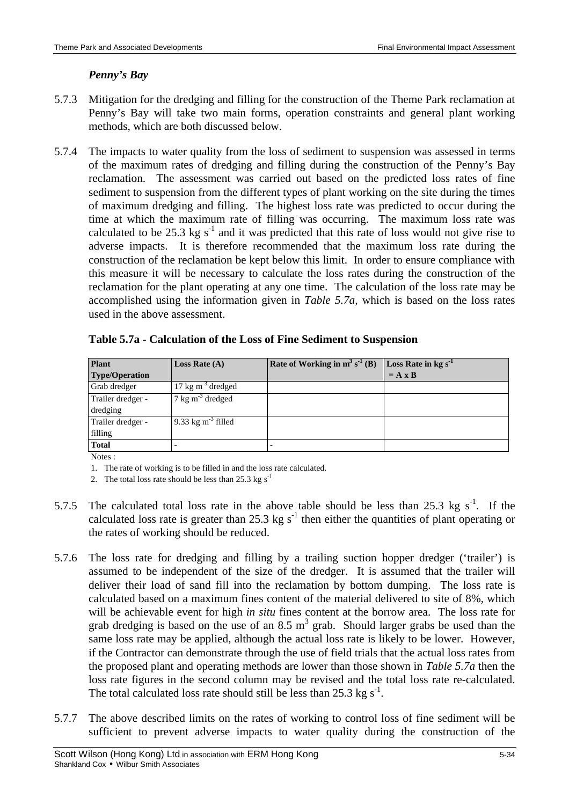## *Penny's Bay*

- 5.7.3 Mitigation for the dredging and filling for the construction of the Theme Park reclamation at Penny's Bay will take two main forms, operation constraints and general plant working methods, which are both discussed below.
- 5.7.4 The impacts to water quality from the loss of sediment to suspension was assessed in terms of the maximum rates of dredging and filling during the construction of the Penny's Bay reclamation. The assessment was carried out based on the predicted loss rates of fine sediment to suspension from the different types of plant working on the site during the times of maximum dredging and filling. The highest loss rate was predicted to occur during the time at which the maximum rate of filling was occurring. The maximum loss rate was calculated to be 25.3 kg  $s^{-1}$  and it was predicted that this rate of loss would not give rise to adverse impacts. It is therefore recommended that the maximum loss rate during the construction of the reclamation be kept below this limit. In order to ensure compliance with this measure it will be necessary to calculate the loss rates during the construction of the reclamation for the plant operating at any one time. The calculation of the loss rate may be accomplished using the information given in *Table 5.7a*, which is based on the loss rates used in the above assessment.

| <b>Plant</b><br><b>Type/Operation</b> | <b>Loss Rate</b> $(A)$      | Rate of Working in $m^3 s^{-1}$ (B) | Loss Rate in $kg s^{-1}$<br>$= A \times B$ |
|---------------------------------------|-----------------------------|-------------------------------------|--------------------------------------------|
| Grab dredger                          | $17 \text{ kg m}^3$ dredged |                                     |                                            |
| Trailer dredger -<br>dredging         | $7 \text{ kg m}^3$ dredged  |                                     |                                            |
| Trailer dredger -<br>filling          | 9.33 kg $m-3$ filled        |                                     |                                            |
| <b>Total</b>                          |                             |                                     |                                            |

|  | Table 5.7a - Calculation of the Loss of Fine Sediment to Suspension |  |
|--|---------------------------------------------------------------------|--|
|  |                                                                     |  |

Notes :

1. The rate of working is to be filled in and the loss rate calculated.

2. The total loss rate should be less than  $25.3 \text{ kg s}^{-1}$ 

- 5.7.5 The calculated total loss rate in the above table should be less than 25.3 kg  $s^{-1}$ . If the calculated loss rate is greater than 25.3 kg  $s^{-1}$  then either the quantities of plant operating or the rates of working should be reduced.
- 5.7.6 The loss rate for dredging and filling by a trailing suction hopper dredger ('trailer') is assumed to be independent of the size of the dredger. It is assumed that the trailer will deliver their load of sand fill into the reclamation by bottom dumping. The loss rate is calculated based on a maximum fines content of the material delivered to site of 8%, which will be achievable event for high *in situ* fines content at the borrow area. The loss rate for grab dredging is based on the use of an 8.5  $m<sup>3</sup>$  grab. Should larger grabs be used than the same loss rate may be applied, although the actual loss rate is likely to be lower. However, if the Contractor can demonstrate through the use of field trials that the actual loss rates from the proposed plant and operating methods are lower than those shown in *Table 5.7a* then the loss rate figures in the second column may be revised and the total loss rate re-calculated. The total calculated loss rate should still be less than 25.3 kg  $s^{-1}$ .
- 5.7.7 The above described limits on the rates of working to control loss of fine sediment will be sufficient to prevent adverse impacts to water quality during the construction of the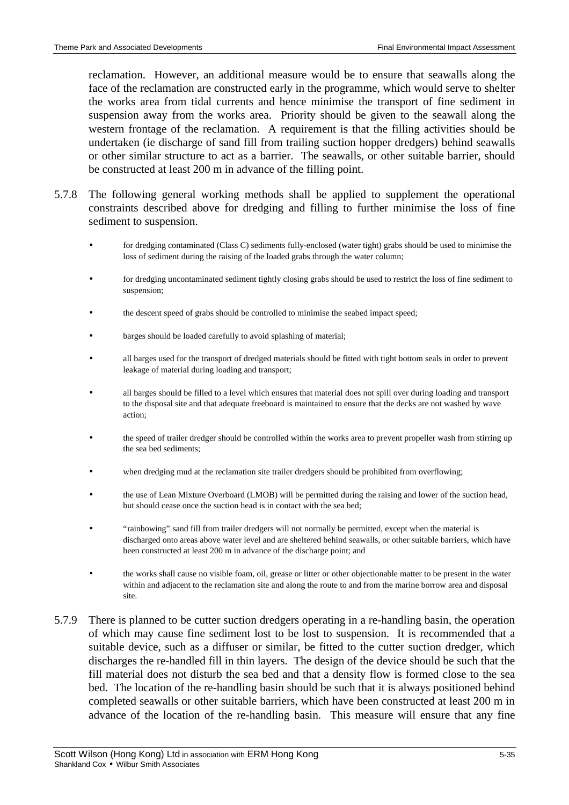reclamation. However, an additional measure would be to ensure that seawalls along the face of the reclamation are constructed early in the programme, which would serve to shelter the works area from tidal currents and hence minimise the transport of fine sediment in suspension away from the works area. Priority should be given to the seawall along the western frontage of the reclamation. A requirement is that the filling activities should be undertaken (ie discharge of sand fill from trailing suction hopper dredgers) behind seawalls or other similar structure to act as a barrier. The seawalls, or other suitable barrier, should be constructed at least 200 m in advance of the filling point.

- 5.7.8 The following general working methods shall be applied to supplement the operational constraints described above for dredging and filling to further minimise the loss of fine sediment to suspension.
	- for dredging contaminated (Class C) sediments fully-enclosed (water tight) grabs should be used to minimise the loss of sediment during the raising of the loaded grabs through the water column;
	- for dredging uncontaminated sediment tightly closing grabs should be used to restrict the loss of fine sediment to suspension;
	- the descent speed of grabs should be controlled to minimise the seabed impact speed;
	- barges should be loaded carefully to avoid splashing of material;
	- all barges used for the transport of dredged materials should be fitted with tight bottom seals in order to prevent leakage of material during loading and transport;
	- all barges should be filled to a level which ensures that material does not spill over during loading and transport to the disposal site and that adequate freeboard is maintained to ensure that the decks are not washed by wave action;
	- the speed of trailer dredger should be controlled within the works area to prevent propeller wash from stirring up the sea bed sediments;
	- when dredging mud at the reclamation site trailer dredgers should be prohibited from overflowing;
	- the use of Lean Mixture Overboard (LMOB) will be permitted during the raising and lower of the suction head, but should cease once the suction head is in contact with the sea bed;
	- "rainbowing" sand fill from trailer dredgers will not normally be permitted, except when the material is discharged onto areas above water level and are sheltered behind seawalls, or other suitable barriers, which have been constructed at least 200 m in advance of the discharge point; and
	- the works shall cause no visible foam, oil, grease or litter or other objectionable matter to be present in the water within and adjacent to the reclamation site and along the route to and from the marine borrow area and disposal site.
- 5.7.9 There is planned to be cutter suction dredgers operating in a re-handling basin, the operation of which may cause fine sediment lost to be lost to suspension. It is recommended that a suitable device, such as a diffuser or similar, be fitted to the cutter suction dredger, which discharges the re-handled fill in thin layers. The design of the device should be such that the fill material does not disturb the sea bed and that a density flow is formed close to the sea bed. The location of the re-handling basin should be such that it is always positioned behind completed seawalls or other suitable barriers, which have been constructed at least 200 m in advance of the location of the re-handling basin. This measure will ensure that any fine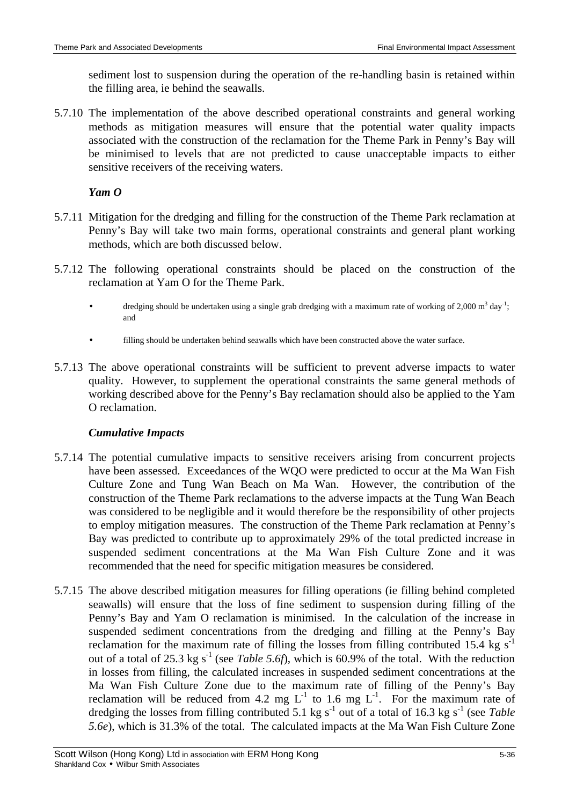sediment lost to suspension during the operation of the re-handling basin is retained within the filling area, ie behind the seawalls.

5.7.10 The implementation of the above described operational constraints and general working methods as mitigation measures will ensure that the potential water quality impacts associated with the construction of the reclamation for the Theme Park in Penny's Bay will be minimised to levels that are not predicted to cause unacceptable impacts to either sensitive receivers of the receiving waters.

### *Yam O*

- 5.7.11 Mitigation for the dredging and filling for the construction of the Theme Park reclamation at Penny's Bay will take two main forms, operational constraints and general plant working methods, which are both discussed below.
- 5.7.12 The following operational constraints should be placed on the construction of the reclamation at Yam O for the Theme Park.
	- dredging should be undertaken using a single grab dredging with a maximum rate of working of 2,000 m<sup>3</sup> day<sup>-1</sup>; and
	- filling should be undertaken behind seawalls which have been constructed above the water surface.
- 5.7.13 The above operational constraints will be sufficient to prevent adverse impacts to water quality. However, to supplement the operational constraints the same general methods of working described above for the Penny's Bay reclamation should also be applied to the Yam O reclamation.

## *Cumulative Impacts*

- 5.7.14 The potential cumulative impacts to sensitive receivers arising from concurrent projects have been assessed. Exceedances of the WQO were predicted to occur at the Ma Wan Fish Culture Zone and Tung Wan Beach on Ma Wan. However, the contribution of the construction of the Theme Park reclamations to the adverse impacts at the Tung Wan Beach was considered to be negligible and it would therefore be the responsibility of other projects to employ mitigation measures. The construction of the Theme Park reclamation at Penny's Bay was predicted to contribute up to approximately 29% of the total predicted increase in suspended sediment concentrations at the Ma Wan Fish Culture Zone and it was recommended that the need for specific mitigation measures be considered.
- 5.7.15 The above described mitigation measures for filling operations (ie filling behind completed seawalls) will ensure that the loss of fine sediment to suspension during filling of the Penny's Bay and Yam O reclamation is minimised. In the calculation of the increase in suspended sediment concentrations from the dredging and filling at the Penny's Bay reclamation for the maximum rate of filling the losses from filling contributed 15.4 kg  $s^{-1}$ out of a total of 25.3 kg s<sup>-1</sup> (see *Table 5.6f*), which is 60.9% of the total. With the reduction in losses from filling, the calculated increases in suspended sediment concentrations at the Ma Wan Fish Culture Zone due to the maximum rate of filling of the Penny's Bay reclamation will be reduced from 4.2 mg  $L^{-1}$  to 1.6 mg  $L^{-1}$ . For the maximum rate of dredging the losses from filling contributed 5.1 kg s<sup>-1</sup> out of a total of 16.3 kg s<sup>-1</sup> (see *Table 5.6e*), which is 31.3% of the total. The calculated impacts at the Ma Wan Fish Culture Zone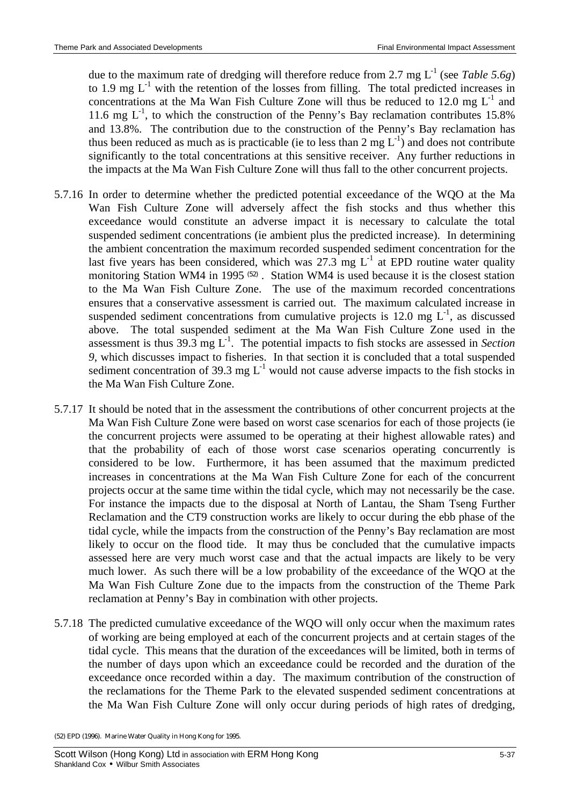due to the maximum rate of dredging will therefore reduce from 2.7 mg  $L^{-1}$  (see *Table 5.6g*) to 1.9 mg  $L^{-1}$  with the retention of the losses from filling. The total predicted increases in concentrations at the Ma Wan Fish Culture Zone will thus be reduced to 12.0 mg  $L^{-1}$  and 11.6 mg  $L^{-1}$ , to which the construction of the Penny's Bay reclamation contributes 15.8% and 13.8%. The contribution due to the construction of the Penny's Bay reclamation has thus been reduced as much as is practicable (ie to less than 2 mg  $L^{-1}$ ) and does not contribute significantly to the total concentrations at this sensitive receiver. Any further reductions in the impacts at the Ma Wan Fish Culture Zone will thus fall to the other concurrent projects.

- 5.7.16 In order to determine whether the predicted potential exceedance of the WQO at the Ma Wan Fish Culture Zone will adversely affect the fish stocks and thus whether this exceedance would constitute an adverse impact it is necessary to calculate the total suspended sediment concentrations (ie ambient plus the predicted increase). In determining the ambient concentration the maximum recorded suspended sediment concentration for the last five years has been considered, which was 27.3 mg  $L^{-1}$  at EPD routine water quality monitoring Station WM4 in 1995<sup>(52)</sup>. Station WM4 is used because it is the closest station to the Ma Wan Fish Culture Zone. The use of the maximum recorded concentrations ensures that a conservative assessment is carried out. The maximum calculated increase in suspended sediment concentrations from cumulative projects is 12.0 mg  $L^{-1}$ , as discussed above. The total suspended sediment at the Ma Wan Fish Culture Zone used in the assessment is thus  $39.3 \text{ mg } L^{-1}$ . The potential impacts to fish stocks are assessed in *Section 9*, which discusses impact to fisheries. In that section it is concluded that a total suspended sediment concentration of 39.3 mg  $L^{-1}$  would not cause adverse impacts to the fish stocks in the Ma Wan Fish Culture Zone.
- 5.7.17 It should be noted that in the assessment the contributions of other concurrent projects at the Ma Wan Fish Culture Zone were based on worst case scenarios for each of those projects (ie the concurrent projects were assumed to be operating at their highest allowable rates) and that the probability of each of those worst case scenarios operating concurrently is considered to be low. Furthermore, it has been assumed that the maximum predicted increases in concentrations at the Ma Wan Fish Culture Zone for each of the concurrent projects occur at the same time within the tidal cycle, which may not necessarily be the case. For instance the impacts due to the disposal at North of Lantau, the Sham Tseng Further Reclamation and the CT9 construction works are likely to occur during the ebb phase of the tidal cycle, while the impacts from the construction of the Penny's Bay reclamation are most likely to occur on the flood tide. It may thus be concluded that the cumulative impacts assessed here are very much worst case and that the actual impacts are likely to be very much lower. As such there will be a low probability of the exceedance of the WQO at the Ma Wan Fish Culture Zone due to the impacts from the construction of the Theme Park reclamation at Penny's Bay in combination with other projects.
- 5.7.18 The predicted cumulative exceedance of the WQO will only occur when the maximum rates of working are being employed at each of the concurrent projects and at certain stages of the tidal cycle. This means that the duration of the exceedances will be limited, both in terms of the number of days upon which an exceedance could be recorded and the duration of the exceedance once recorded within a day. The maximum contribution of the construction of the reclamations for the Theme Park to the elevated suspended sediment concentrations at the Ma Wan Fish Culture Zone will only occur during periods of high rates of dredging,

<sup>(52)</sup> EPD (1996). Marine Water Quality in Hong Kong for 1995.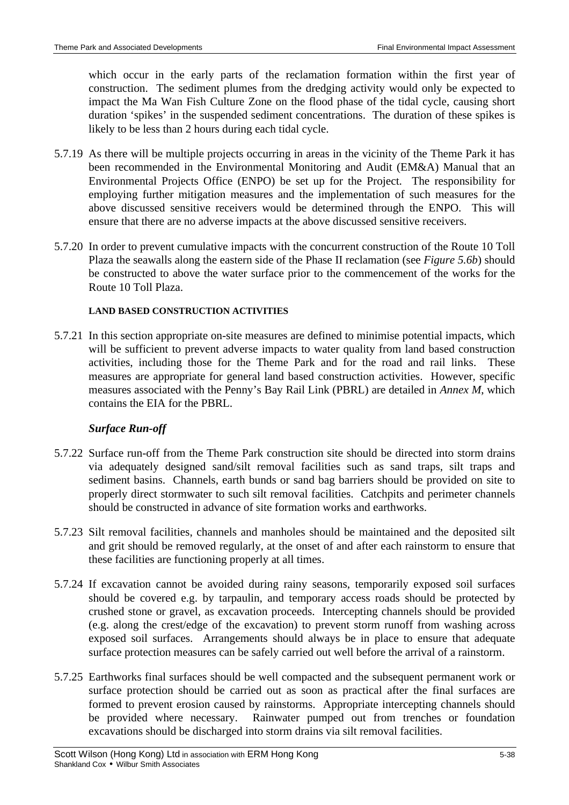which occur in the early parts of the reclamation formation within the first year of construction. The sediment plumes from the dredging activity would only be expected to impact the Ma Wan Fish Culture Zone on the flood phase of the tidal cycle, causing short duration 'spikes' in the suspended sediment concentrations. The duration of these spikes is likely to be less than 2 hours during each tidal cycle.

- 5.7.19 As there will be multiple projects occurring in areas in the vicinity of the Theme Park it has been recommended in the Environmental Monitoring and Audit (EM&A) Manual that an Environmental Projects Office (ENPO) be set up for the Project. The responsibility for employing further mitigation measures and the implementation of such measures for the above discussed sensitive receivers would be determined through the ENPO. This will ensure that there are no adverse impacts at the above discussed sensitive receivers.
- 5.7.20 In order to prevent cumulative impacts with the concurrent construction of the Route 10 Toll Plaza the seawalls along the eastern side of the Phase II reclamation (see *Figure 5.6b*) should be constructed to above the water surface prior to the commencement of the works for the Route 10 Toll Plaza.

# **LAND BASED CONSTRUCTION ACTIVITIES**

5.7.21 In this section appropriate on-site measures are defined to minimise potential impacts, which will be sufficient to prevent adverse impacts to water quality from land based construction activities, including those for the Theme Park and for the road and rail links. These measures are appropriate for general land based construction activities. However, specific measures associated with the Penny's Bay Rail Link (PBRL) are detailed in *Annex M*, which contains the EIA for the PBRL.

# *Surface Run-off*

- 5.7.22 Surface run-off from the Theme Park construction site should be directed into storm drains via adequately designed sand/silt removal facilities such as sand traps, silt traps and sediment basins. Channels, earth bunds or sand bag barriers should be provided on site to properly direct stormwater to such silt removal facilities. Catchpits and perimeter channels should be constructed in advance of site formation works and earthworks.
- 5.7.23 Silt removal facilities, channels and manholes should be maintained and the deposited silt and grit should be removed regularly, at the onset of and after each rainstorm to ensure that these facilities are functioning properly at all times.
- 5.7.24 If excavation cannot be avoided during rainy seasons, temporarily exposed soil surfaces should be covered e.g. by tarpaulin, and temporary access roads should be protected by crushed stone or gravel, as excavation proceeds. Intercepting channels should be provided (e.g. along the crest/edge of the excavation) to prevent storm runoff from washing across exposed soil surfaces. Arrangements should always be in place to ensure that adequate surface protection measures can be safely carried out well before the arrival of a rainstorm.
- 5.7.25 Earthworks final surfaces should be well compacted and the subsequent permanent work or surface protection should be carried out as soon as practical after the final surfaces are formed to prevent erosion caused by rainstorms. Appropriate intercepting channels should be provided where necessary. Rainwater pumped out from trenches or foundation excavations should be discharged into storm drains via silt removal facilities.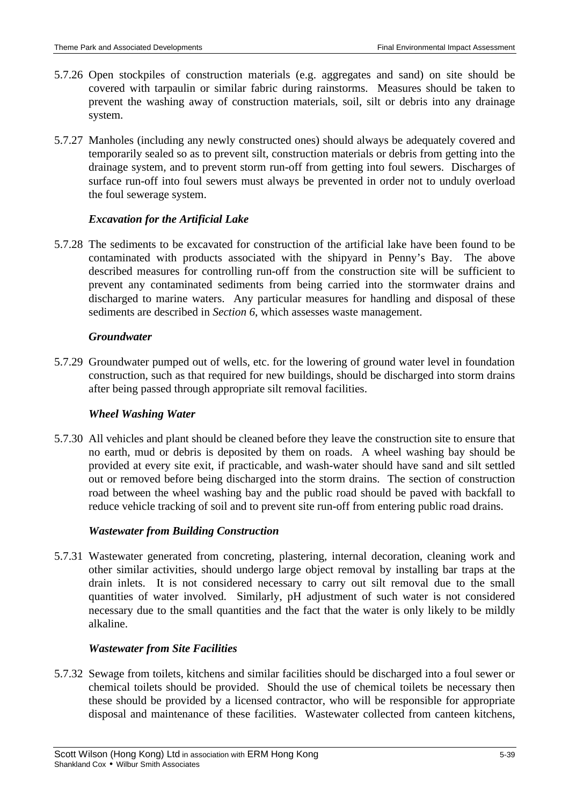- 5.7.26 Open stockpiles of construction materials (e.g. aggregates and sand) on site should be covered with tarpaulin or similar fabric during rainstorms. Measures should be taken to prevent the washing away of construction materials, soil, silt or debris into any drainage system.
- 5.7.27 Manholes (including any newly constructed ones) should always be adequately covered and temporarily sealed so as to prevent silt, construction materials or debris from getting into the drainage system, and to prevent storm run-off from getting into foul sewers. Discharges of surface run-off into foul sewers must always be prevented in order not to unduly overload the foul sewerage system.

## *Excavation for the Artificial Lake*

5.7.28 The sediments to be excavated for construction of the artificial lake have been found to be contaminated with products associated with the shipyard in Penny's Bay. The above described measures for controlling run-off from the construction site will be sufficient to prevent any contaminated sediments from being carried into the stormwater drains and discharged to marine waters. Any particular measures for handling and disposal of these sediments are described in *Section 6*, which assesses waste management.

### *Groundwater*

5.7.29 Groundwater pumped out of wells, etc. for the lowering of ground water level in foundation construction, such as that required for new buildings, should be discharged into storm drains after being passed through appropriate silt removal facilities.

### *Wheel Washing Water*

5.7.30 All vehicles and plant should be cleaned before they leave the construction site to ensure that no earth, mud or debris is deposited by them on roads. A wheel washing bay should be provided at every site exit, if practicable, and wash-water should have sand and silt settled out or removed before being discharged into the storm drains. The section of construction road between the wheel washing bay and the public road should be paved with backfall to reduce vehicle tracking of soil and to prevent site run-off from entering public road drains.

### *Wastewater from Building Construction*

5.7.31 Wastewater generated from concreting, plastering, internal decoration, cleaning work and other similar activities, should undergo large object removal by installing bar traps at the drain inlets. It is not considered necessary to carry out silt removal due to the small quantities of water involved. Similarly, pH adjustment of such water is not considered necessary due to the small quantities and the fact that the water is only likely to be mildly alkaline.

### *Wastewater from Site Facilities*

5.7.32 Sewage from toilets, kitchens and similar facilities should be discharged into a foul sewer or chemical toilets should be provided. Should the use of chemical toilets be necessary then these should be provided by a licensed contractor, who will be responsible for appropriate disposal and maintenance of these facilities. Wastewater collected from canteen kitchens,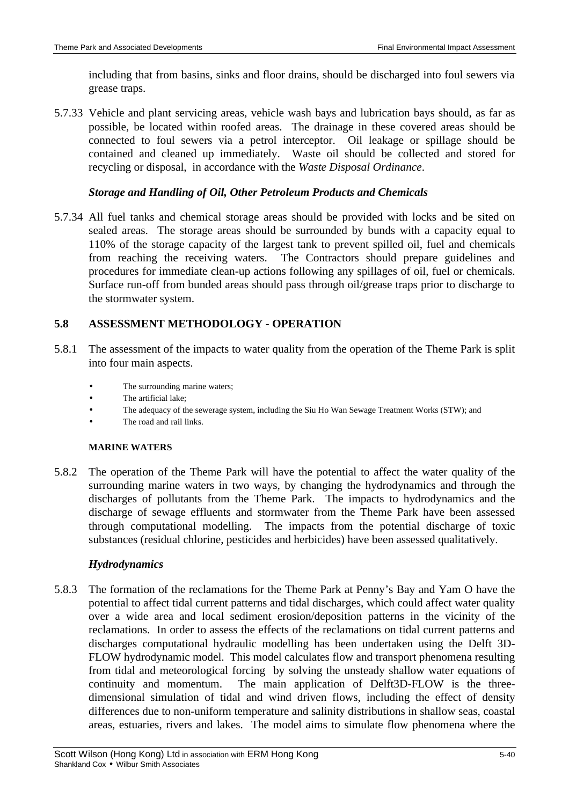including that from basins, sinks and floor drains, should be discharged into foul sewers via grease traps.

5.7.33 Vehicle and plant servicing areas, vehicle wash bays and lubrication bays should, as far as possible, be located within roofed areas. The drainage in these covered areas should be connected to foul sewers via a petrol interceptor. Oil leakage or spillage should be contained and cleaned up immediately. Waste oil should be collected and stored for recycling or disposal, in accordance with the *Waste Disposal Ordinance*.

## *Storage and Handling of Oil, Other Petroleum Products and Chemicals*

5.7.34 All fuel tanks and chemical storage areas should be provided with locks and be sited on sealed areas. The storage areas should be surrounded by bunds with a capacity equal to 110% of the storage capacity of the largest tank to prevent spilled oil, fuel and chemicals from reaching the receiving waters. The Contractors should prepare guidelines and procedures for immediate clean-up actions following any spillages of oil, fuel or chemicals. Surface run-off from bunded areas should pass through oil/grease traps prior to discharge to the stormwater system.

# **5.8 ASSESSMENT METHODOLOGY - OPERATION**

- 5.8.1 The assessment of the impacts to water quality from the operation of the Theme Park is split into four main aspects.
	- The surrounding marine waters:
	- The artificial lake;
	- The adequacy of the sewerage system, including the Siu Ho Wan Sewage Treatment Works (STW); and
	- The road and rail links.

### **MARINE WATERS**

5.8.2 The operation of the Theme Park will have the potential to affect the water quality of the surrounding marine waters in two ways, by changing the hydrodynamics and through the discharges of pollutants from the Theme Park. The impacts to hydrodynamics and the discharge of sewage effluents and stormwater from the Theme Park have been assessed through computational modelling. The impacts from the potential discharge of toxic substances (residual chlorine, pesticides and herbicides) have been assessed qualitatively.

### *Hydrodynamics*

5.8.3 The formation of the reclamations for the Theme Park at Penny's Bay and Yam O have the potential to affect tidal current patterns and tidal discharges, which could affect water quality over a wide area and local sediment erosion/deposition patterns in the vicinity of the reclamations. In order to assess the effects of the reclamations on tidal current patterns and discharges computational hydraulic modelling has been undertaken using the Delft 3D-FLOW hydrodynamic model. This model calculates flow and transport phenomena resulting from tidal and meteorological forcing by solving the unsteady shallow water equations of continuity and momentum. The main application of Delft3D-FLOW is the threedimensional simulation of tidal and wind driven flows, including the effect of density differences due to non-uniform temperature and salinity distributions in shallow seas, coastal areas, estuaries, rivers and lakes. The model aims to simulate flow phenomena where the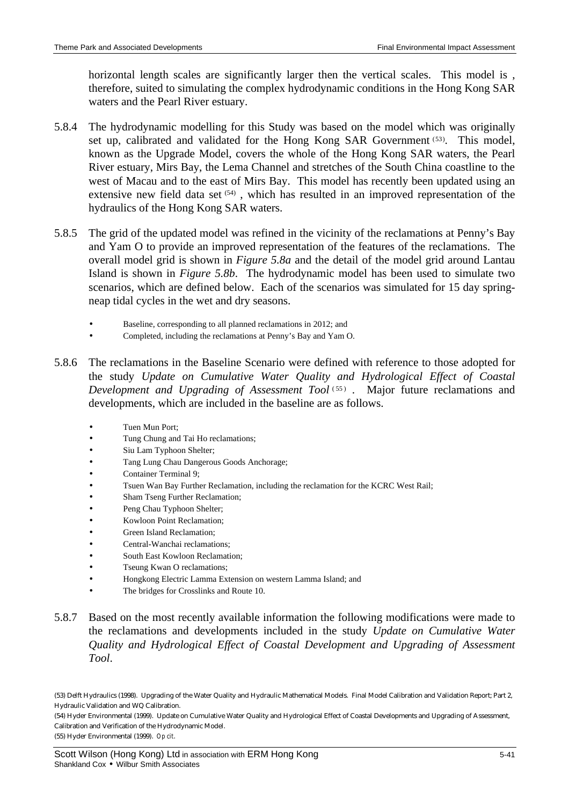horizontal length scales are significantly larger then the vertical scales. This model is , therefore, suited to simulating the complex hydrodynamic conditions in the Hong Kong SAR waters and the Pearl River estuary.

- 5.8.4 The hydrodynamic modelling for this Study was based on the model which was originally set up, calibrated and validated for the Hong Kong SAR Government (53). This model, known as the Upgrade Model, covers the whole of the Hong Kong SAR waters, the Pearl River estuary, Mirs Bay, the Lema Channel and stretches of the South China coastline to the west of Macau and to the east of Mirs Bay. This model has recently been updated using an extensive new field data set (54), which has resulted in an improved representation of the hydraulics of the Hong Kong SAR waters.
- 5.8.5 The grid of the updated model was refined in the vicinity of the reclamations at Penny's Bay and Yam O to provide an improved representation of the features of the reclamations. The overall model grid is shown in *Figure 5.8a* and the detail of the model grid around Lantau Island is shown in *Figure 5.8b*. The hydrodynamic model has been used to simulate two scenarios, which are defined below. Each of the scenarios was simulated for 15 day springneap tidal cycles in the wet and dry seasons.
	- Baseline, corresponding to all planned reclamations in 2012; and
	- Completed, including the reclamations at Penny's Bay and Yam O.
- 5.8.6 The reclamations in the Baseline Scenario were defined with reference to those adopted for the study *Update on Cumulative Water Quality and Hydrological Effect of Coastal*  Development and Upgrading of Assessment Tool<sup>(55)</sup>. Major future reclamations and developments, which are included in the baseline are as follows.
	- Tuen Mun Port;
	- Tung Chung and Tai Ho reclamations;
	- Siu Lam Typhoon Shelter;
	- Tang Lung Chau Dangerous Goods Anchorage;
	- Container Terminal 9;
	- Tsuen Wan Bay Further Reclamation, including the reclamation for the KCRC West Rail;
	- Sham Tseng Further Reclamation;
	- Peng Chau Typhoon Shelter;
	- Kowloon Point Reclamation;
	- Green Island Reclamation;
	- Central-Wanchai reclamations;
	- South East Kowloon Reclamation;
	- Tseung Kwan O reclamations;
	- Hongkong Electric Lamma Extension on western Lamma Island; and
	- The bridges for Crosslinks and Route 10.
- 5.8.7 Based on the most recently available information the following modifications were made to the reclamations and developments included in the study *Update on Cumulative Water Quality and Hydrological Effect of Coastal Development and Upgrading of Assessment Tool*.

(54) Hyder Environmental (1999). Update on Cumulative Water Quality and Hydrological Effect of Coastal Developments and Upgrading of Assessment, Calibration and Verification of the Hydrodynamic Model. (55) Hyder Environmental (1999). *Op cit*.

<sup>(53)</sup> Delft Hydraulics (1998). Upgrading of the Water Quality and Hydraulic Mathematical Models. Final Model Calibration and Validation Report; Part 2, Hydraulic Validation and WQ Calibration.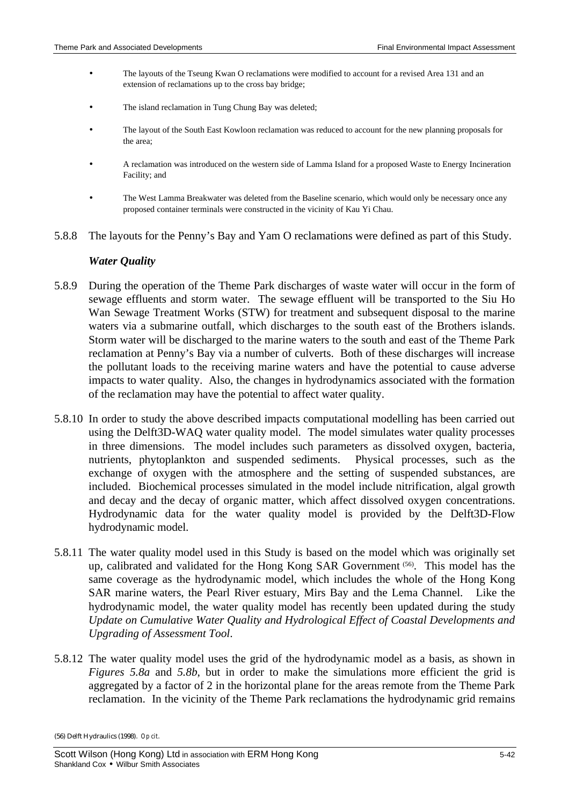- The layouts of the Tseung Kwan O reclamations were modified to account for a revised Area 131 and an extension of reclamations up to the cross bay bridge;
- The island reclamation in Tung Chung Bay was deleted;
- The layout of the South East Kowloon reclamation was reduced to account for the new planning proposals for the area;
- A reclamation was introduced on the western side of Lamma Island for a proposed Waste to Energy Incineration Facility; and
- The West Lamma Breakwater was deleted from the Baseline scenario, which would only be necessary once any proposed container terminals were constructed in the vicinity of Kau Yi Chau.
- 5.8.8 The layouts for the Penny's Bay and Yam O reclamations were defined as part of this Study.

#### *Water Quality*

- 5.8.9 During the operation of the Theme Park discharges of waste water will occur in the form of sewage effluents and storm water. The sewage effluent will be transported to the Siu Ho Wan Sewage Treatment Works (STW) for treatment and subsequent disposal to the marine waters via a submarine outfall, which discharges to the south east of the Brothers islands. Storm water will be discharged to the marine waters to the south and east of the Theme Park reclamation at Penny's Bay via a number of culverts. Both of these discharges will increase the pollutant loads to the receiving marine waters and have the potential to cause adverse impacts to water quality. Also, the changes in hydrodynamics associated with the formation of the reclamation may have the potential to affect water quality.
- 5.8.10 In order to study the above described impacts computational modelling has been carried out using the Delft3D-WAQ water quality model. The model simulates water quality processes in three dimensions. The model includes such parameters as dissolved oxygen, bacteria, nutrients, phytoplankton and suspended sediments. Physical processes, such as the exchange of oxygen with the atmosphere and the setting of suspended substances, are included. Biochemical processes simulated in the model include nitrification, algal growth and decay and the decay of organic matter, which affect dissolved oxygen concentrations. Hydrodynamic data for the water quality model is provided by the Delft3D-Flow hydrodynamic model.
- 5.8.11 The water quality model used in this Study is based on the model which was originally set up, calibrated and validated for the Hong Kong SAR Government (56) . This model has the same coverage as the hydrodynamic model, which includes the whole of the Hong Kong SAR marine waters, the Pearl River estuary, Mirs Bay and the Lema Channel. Like the hydrodynamic model, the water quality model has recently been updated during the study *Update on Cumulative Water Quality and Hydrological Effect of Coastal Developments and Upgrading of Assessment Tool*.
- 5.8.12 The water quality model uses the grid of the hydrodynamic model as a basis, as shown in *Figures 5.8a* and *5.8b*, but in order to make the simulations more efficient the grid is aggregated by a factor of 2 in the horizontal plane for the areas remote from the Theme Park reclamation. In the vicinity of the Theme Park reclamations the hydrodynamic grid remains

<sup>(56)</sup> Delft Hydraulics (1998). *Op cit*.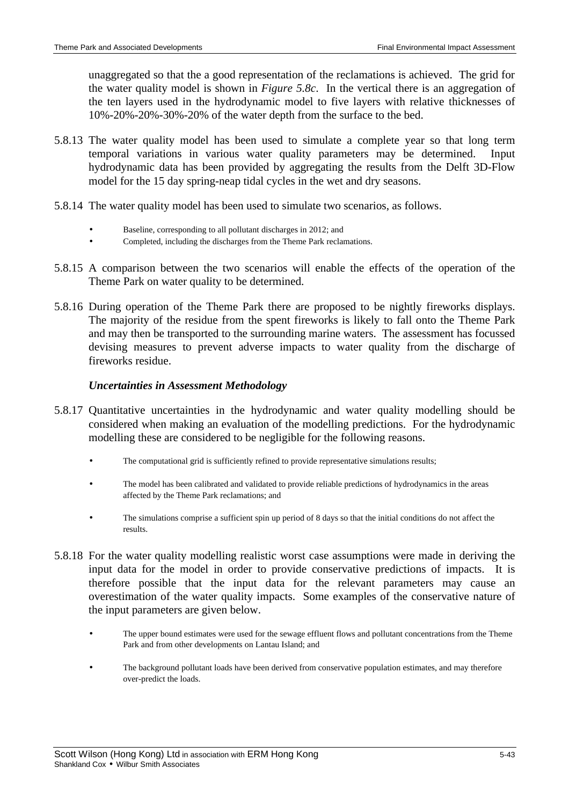unaggregated so that the a good representation of the reclamations is achieved. The grid for the water quality model is shown in *Figure 5.8c*. In the vertical there is an aggregation of the ten layers used in the hydrodynamic model to five layers with relative thicknesses of 10%-20%-20%-30%-20% of the water depth from the surface to the bed.

- 5.8.13 The water quality model has been used to simulate a complete year so that long term temporal variations in various water quality parameters may be determined. Input hydrodynamic data has been provided by aggregating the results from the Delft 3D-Flow model for the 15 day spring-neap tidal cycles in the wet and dry seasons.
- 5.8.14 The water quality model has been used to simulate two scenarios, as follows.
	- Baseline, corresponding to all pollutant discharges in 2012; and
	- Completed, including the discharges from the Theme Park reclamations.
- 5.8.15 A comparison between the two scenarios will enable the effects of the operation of the Theme Park on water quality to be determined.
- 5.8.16 During operation of the Theme Park there are proposed to be nightly fireworks displays. The majority of the residue from the spent fireworks is likely to fall onto the Theme Park and may then be transported to the surrounding marine waters. The assessment has focussed devising measures to prevent adverse impacts to water quality from the discharge of fireworks residue.

### *Uncertainties in Assessment Methodology*

- 5.8.17 Quantitative uncertainties in the hydrodynamic and water quality modelling should be considered when making an evaluation of the modelling predictions. For the hydrodynamic modelling these are considered to be negligible for the following reasons.
	- The computational grid is sufficiently refined to provide representative simulations results;
	- The model has been calibrated and validated to provide reliable predictions of hydrodynamics in the areas affected by the Theme Park reclamations; and
	- The simulations comprise a sufficient spin up period of 8 days so that the initial conditions do not affect the results.
- 5.8.18 For the water quality modelling realistic worst case assumptions were made in deriving the input data for the model in order to provide conservative predictions of impacts. It is therefore possible that the input data for the relevant parameters may cause an overestimation of the water quality impacts. Some examples of the conservative nature of the input parameters are given below.
	- The upper bound estimates were used for the sewage effluent flows and pollutant concentrations from the Theme Park and from other developments on Lantau Island; and
	- The background pollutant loads have been derived from conservative population estimates, and may therefore over-predict the loads.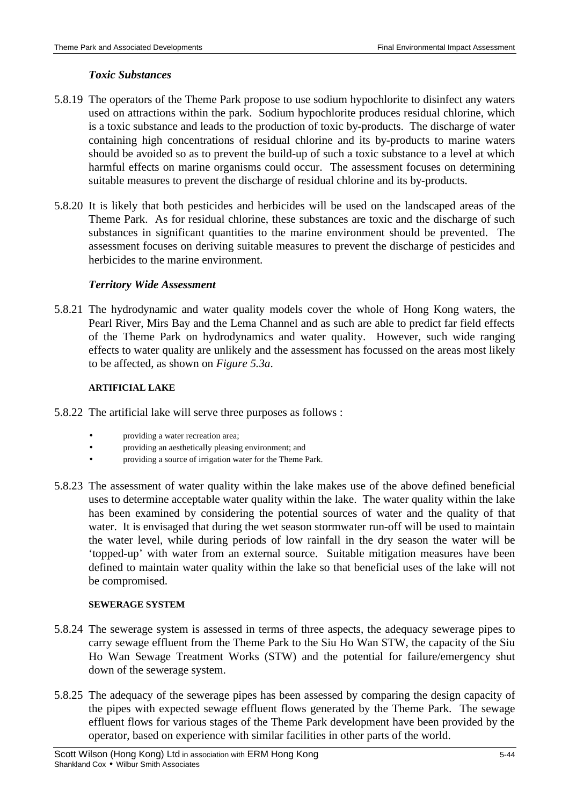### *Toxic Substances*

- 5.8.19 The operators of the Theme Park propose to use sodium hypochlorite to disinfect any waters used on attractions within the park. Sodium hypochlorite produces residual chlorine, which is a toxic substance and leads to the production of toxic by-products. The discharge of water containing high concentrations of residual chlorine and its by-products to marine waters should be avoided so as to prevent the build-up of such a toxic substance to a level at which harmful effects on marine organisms could occur. The assessment focuses on determining suitable measures to prevent the discharge of residual chlorine and its by-products.
- 5.8.20 It is likely that both pesticides and herbicides will be used on the landscaped areas of the Theme Park. As for residual chlorine, these substances are toxic and the discharge of such substances in significant quantities to the marine environment should be prevented. The assessment focuses on deriving suitable measures to prevent the discharge of pesticides and herbicides to the marine environment.

### *Territory Wide Assessment*

5.8.21 The hydrodynamic and water quality models cover the whole of Hong Kong waters, the Pearl River, Mirs Bay and the Lema Channel and as such are able to predict far field effects of the Theme Park on hydrodynamics and water quality. However, such wide ranging effects to water quality are unlikely and the assessment has focussed on the areas most likely to be affected, as shown on *Figure 5.3a*.

#### **ARTIFICIAL LAKE**

- 5.8.22 The artificial lake will serve three purposes as follows :
	- providing a water recreation area;
	- providing an aesthetically pleasing environment; and
	- providing a source of irrigation water for the Theme Park.
- 5.8.23 The assessment of water quality within the lake makes use of the above defined beneficial uses to determine acceptable water quality within the lake. The water quality within the lake has been examined by considering the potential sources of water and the quality of that water. It is envisaged that during the wet season stormwater run-off will be used to maintain the water level, while during periods of low rainfall in the dry season the water will be 'topped-up' with water from an external source. Suitable mitigation measures have been defined to maintain water quality within the lake so that beneficial uses of the lake will not be compromised.

#### **SEWERAGE SYSTEM**

- 5.8.24 The sewerage system is assessed in terms of three aspects, the adequacy sewerage pipes to carry sewage effluent from the Theme Park to the Siu Ho Wan STW, the capacity of the Siu Ho Wan Sewage Treatment Works (STW) and the potential for failure/emergency shut down of the sewerage system.
- 5.8.25 The adequacy of the sewerage pipes has been assessed by comparing the design capacity of the pipes with expected sewage effluent flows generated by the Theme Park. The sewage effluent flows for various stages of the Theme Park development have been provided by the operator, based on experience with similar facilities in other parts of the world.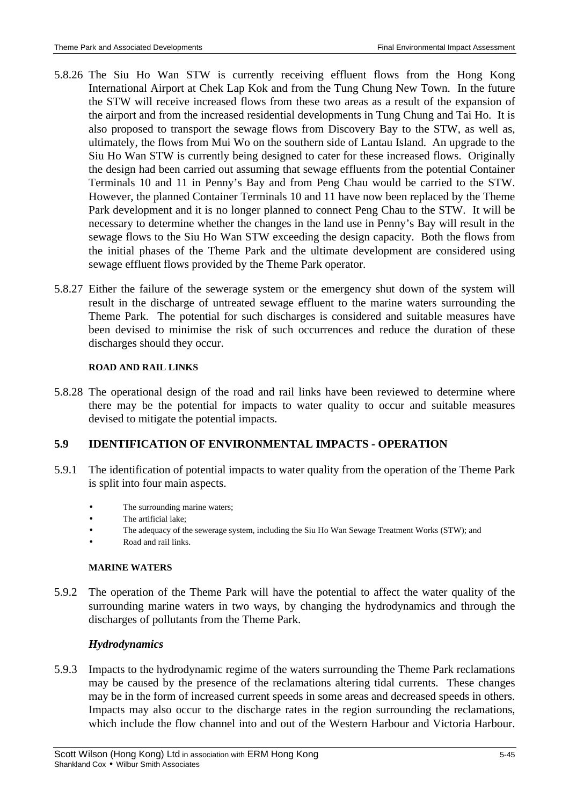- 5.8.26 The Siu Ho Wan STW is currently receiving effluent flows from the Hong Kong International Airport at Chek Lap Kok and from the Tung Chung New Town. In the future the STW will receive increased flows from these two areas as a result of the expansion of the airport and from the increased residential developments in Tung Chung and Tai Ho. It is also proposed to transport the sewage flows from Discovery Bay to the STW, as well as, ultimately, the flows from Mui Wo on the southern side of Lantau Island. An upgrade to the Siu Ho Wan STW is currently being designed to cater for these increased flows. Originally the design had been carried out assuming that sewage effluents from the potential Container Terminals 10 and 11 in Penny's Bay and from Peng Chau would be carried to the STW. However, the planned Container Terminals 10 and 11 have now been replaced by the Theme Park development and it is no longer planned to connect Peng Chau to the STW. It will be necessary to determine whether the changes in the land use in Penny's Bay will result in the sewage flows to the Siu Ho Wan STW exceeding the design capacity. Both the flows from the initial phases of the Theme Park and the ultimate development are considered using sewage effluent flows provided by the Theme Park operator.
- 5.8.27 Either the failure of the sewerage system or the emergency shut down of the system will result in the discharge of untreated sewage effluent to the marine waters surrounding the Theme Park. The potential for such discharges is considered and suitable measures have been devised to minimise the risk of such occurrences and reduce the duration of these discharges should they occur.

#### **ROAD AND RAIL LINKS**

5.8.28 The operational design of the road and rail links have been reviewed to determine where there may be the potential for impacts to water quality to occur and suitable measures devised to mitigate the potential impacts.

### **5.9 IDENTIFICATION OF ENVIRONMENTAL IMPACTS - OPERATION**

- 5.9.1 The identification of potential impacts to water quality from the operation of the Theme Park is split into four main aspects.
	- The surrounding marine waters;
	- The artificial lake;
	- The adequacy of the sewerage system, including the Siu Ho Wan Sewage Treatment Works (STW); and
	- Road and rail links.

#### **MARINE WATERS**

5.9.2 The operation of the Theme Park will have the potential to affect the water quality of the surrounding marine waters in two ways, by changing the hydrodynamics and through the discharges of pollutants from the Theme Park.

### *Hydrodynamics*

5.9.3 Impacts to the hydrodynamic regime of the waters surrounding the Theme Park reclamations may be caused by the presence of the reclamations altering tidal currents. These changes may be in the form of increased current speeds in some areas and decreased speeds in others. Impacts may also occur to the discharge rates in the region surrounding the reclamations, which include the flow channel into and out of the Western Harbour and Victoria Harbour.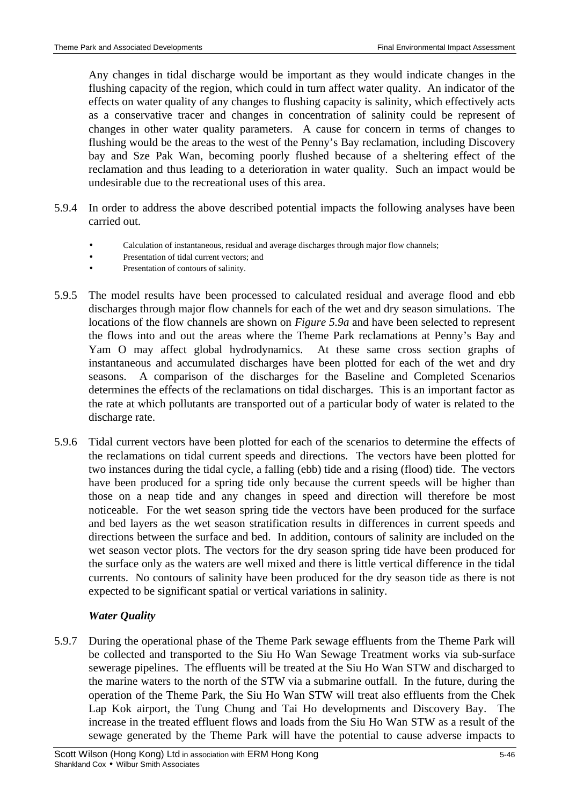Any changes in tidal discharge would be important as they would indicate changes in the flushing capacity of the region, which could in turn affect water quality. An indicator of the effects on water quality of any changes to flushing capacity is salinity, which effectively acts as a conservative tracer and changes in concentration of salinity could be represent of changes in other water quality parameters. A cause for concern in terms of changes to flushing would be the areas to the west of the Penny's Bay reclamation, including Discovery bay and Sze Pak Wan, becoming poorly flushed because of a sheltering effect of the reclamation and thus leading to a deterioration in water quality. Such an impact would be undesirable due to the recreational uses of this area.

- 5.9.4 In order to address the above described potential impacts the following analyses have been carried out.
	- Calculation of instantaneous, residual and average discharges through major flow channels;
	- Presentation of tidal current vectors; and
	- Presentation of contours of salinity.
- 5.9.5 The model results have been processed to calculated residual and average flood and ebb discharges through major flow channels for each of the wet and dry season simulations. The locations of the flow channels are shown on *Figure 5.9a* and have been selected to represent the flows into and out the areas where the Theme Park reclamations at Penny's Bay and Yam O may affect global hydrodynamics. At these same cross section graphs of instantaneous and accumulated discharges have been plotted for each of the wet and dry seasons. A comparison of the discharges for the Baseline and Completed Scenarios determines the effects of the reclamations on tidal discharges. This is an important factor as the rate at which pollutants are transported out of a particular body of water is related to the discharge rate.
- 5.9.6 Tidal current vectors have been plotted for each of the scenarios to determine the effects of the reclamations on tidal current speeds and directions. The vectors have been plotted for two instances during the tidal cycle, a falling (ebb) tide and a rising (flood) tide. The vectors have been produced for a spring tide only because the current speeds will be higher than those on a neap tide and any changes in speed and direction will therefore be most noticeable. For the wet season spring tide the vectors have been produced for the surface and bed layers as the wet season stratification results in differences in current speeds and directions between the surface and bed. In addition, contours of salinity are included on the wet season vector plots. The vectors for the dry season spring tide have been produced for the surface only as the waters are well mixed and there is little vertical difference in the tidal currents. No contours of salinity have been produced for the dry season tide as there is not expected to be significant spatial or vertical variations in salinity.

# *Water Quality*

5.9.7 During the operational phase of the Theme Park sewage effluents from the Theme Park will be collected and transported to the Siu Ho Wan Sewage Treatment works via sub-surface sewerage pipelines. The effluents will be treated at the Siu Ho Wan STW and discharged to the marine waters to the north of the STW via a submarine outfall. In the future, during the operation of the Theme Park, the Siu Ho Wan STW will treat also effluents from the Chek Lap Kok airport, the Tung Chung and Tai Ho developments and Discovery Bay. The increase in the treated effluent flows and loads from the Siu Ho Wan STW as a result of the sewage generated by the Theme Park will have the potential to cause adverse impacts to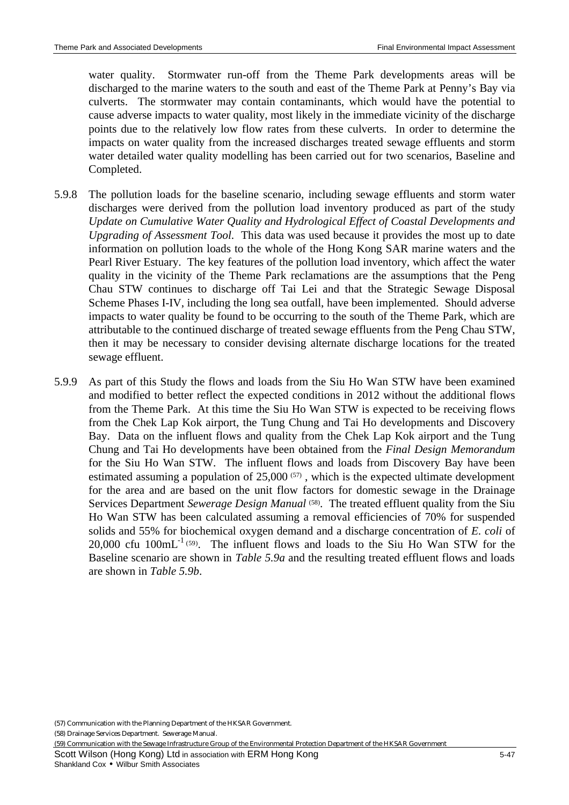water quality. Stormwater run-off from the Theme Park developments areas will be discharged to the marine waters to the south and east of the Theme Park at Penny's Bay via culverts. The stormwater may contain contaminants, which would have the potential to cause adverse impacts to water quality, most likely in the immediate vicinity of the discharge points due to the relatively low flow rates from these culverts. In order to determine the impacts on water quality from the increased discharges treated sewage effluents and storm water detailed water quality modelling has been carried out for two scenarios, Baseline and Completed.

- 5.9.8 The pollution loads for the baseline scenario, including sewage effluents and storm water discharges were derived from the pollution load inventory produced as part of the study *Update on Cumulative Water Quality and Hydrological Effect of Coastal Developments and Upgrading of Assessment Tool*. This data was used because it provides the most up to date information on pollution loads to the whole of the Hong Kong SAR marine waters and the Pearl River Estuary. The key features of the pollution load inventory, which affect the water quality in the vicinity of the Theme Park reclamations are the assumptions that the Peng Chau STW continues to discharge off Tai Lei and that the Strategic Sewage Disposal Scheme Phases I-IV, including the long sea outfall, have been implemented. Should adverse impacts to water quality be found to be occurring to the south of the Theme Park, which are attributable to the continued discharge of treated sewage effluents from the Peng Chau STW, then it may be necessary to consider devising alternate discharge locations for the treated sewage effluent.
- 5.9.9 As part of this Study the flows and loads from the Siu Ho Wan STW have been examined and modified to better reflect the expected conditions in 2012 without the additional flows from the Theme Park. At this time the Siu Ho Wan STW is expected to be receiving flows from the Chek Lap Kok airport, the Tung Chung and Tai Ho developments and Discovery Bay. Data on the influent flows and quality from the Chek Lap Kok airport and the Tung Chung and Tai Ho developments have been obtained from the *Final Design Memorandum* for the Siu Ho Wan STW. The influent flows and loads from Discovery Bay have been estimated assuming a population of  $25,000$   $(57)$ , which is the expected ultimate development for the area and are based on the unit flow factors for domestic sewage in the Drainage Services Department *Sewerage Design Manual*<sup>(58)</sup>. The treated effluent quality from the Siu Ho Wan STW has been calculated assuming a removal efficiencies of 70% for suspended solids and 55% for biochemical oxygen demand and a discharge concentration of *E. coli* of  $20,000$  cfu  $100 \text{mL}^{-1}$  (59). The influent flows and loads to the Siu Ho Wan STW for the Baseline scenario are shown in *Table 5.9a* and the resulting treated effluent flows and loads are shown in *Table 5.9b*.

(59) Communication with the Sewage Infrastructure Group of the Environmental Protection Department of the HKSAR Government

Scott Wilson (Hong Kong) Ltd in association with ERM Hong Kong 5-47 Shankland Cox • Wilbur Smith Associates

<sup>(57)</sup> Communication with the Planning Department of the HKSAR Government.

<sup>(58)</sup> Drainage Services Department. Sewerage Manual.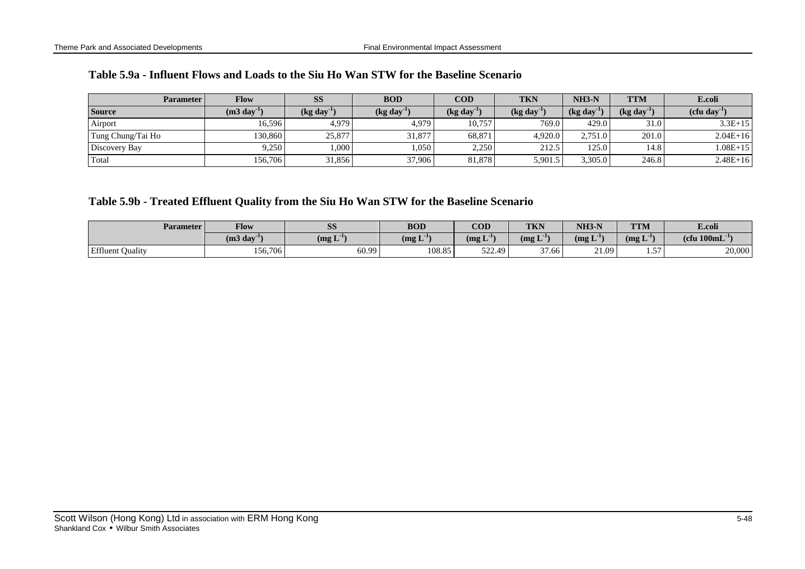|  |  |  |  |  | Table 5.9a - Influent Flows and Loads to the Siu Ho Wan STW for the Baseline Scenario |  |  |  |  |  |  |  |  |  |
|--|--|--|--|--|---------------------------------------------------------------------------------------|--|--|--|--|--|--|--|--|--|
|--|--|--|--|--|---------------------------------------------------------------------------------------|--|--|--|--|--|--|--|--|--|

| <b>Parameter</b>  | Flow                    | SS                                       | <b>BOD</b>                   | <b>COD</b>             | <b>TKN</b>                        | $NH3-N$                   | <b>TTM</b>             | E.coli       |
|-------------------|-------------------------|------------------------------------------|------------------------------|------------------------|-----------------------------------|---------------------------|------------------------|--------------|
| <b>Source</b>     | $(m3 \text{ day}^{-1})$ | $\left(\text{kg day}^{\text{-1}}\right)$ | $\left(\text{kg day}\right)$ | $(\text{kg day}^{-1})$ | $\left(\text{kg day}^{-1}\right)$ | $(kg \, \text{day}^{-1})$ | $(\text{kg day}^{-1})$ | (cfu dav     |
| Airport           | 16,596                  | 4,979                                    | 4.979                        | 10.757                 | 769.0                             | 429.0                     | 31.0                   | $3.3E+15$    |
| Tung Chung/Tai Ho | 130,860                 | 25,877                                   | 31,877                       | 68,871                 | 4.920.0                           | 2,751.0                   | 201.0                  | $2.04E+16$   |
| Discovery Bay     | 9,250                   | 1,000                                    | 0.050                        | 2,250                  | 212.5                             | 125.0                     | 14.8                   | $1.08E + 15$ |
| Total             | 156,706                 | 31,856                                   | 37,906                       | 81.878                 | 5,901.5                           | 3,305.0                   | 246.8                  | $2.48E + 16$ |

## **Table 5.9b - Treated Effluent Quality from the Siu Ho Wan STW for the Baseline Scenario**

| <b>Parameter</b>        | <b>Flow</b>        | $\alpha$<br><b>DD</b>       | <b>BOD</b>             | <b>COD</b>                  | <b>TKN</b>       | $NH3-N$                             | <b>TTM</b>                                        | E.coli                      |
|-------------------------|--------------------|-----------------------------|------------------------|-----------------------------|------------------|-------------------------------------|---------------------------------------------------|-----------------------------|
|                         | $(m3 \text{ day})$ | $\text{Im} \mathbf{L}^{-1}$ | . <b>.</b> .<br>(mg L) | - T - 1 -<br>$(mg_{\rm L})$ | . T - 1<br>(mg L | $\mathbf{r}$ - $\mathbf{r}$<br>(mg) | $\mathbf{r}$ - $\mathbf{r}$<br>(mg <sub>L</sub> ) | (cfu $100 \text{mL}^{-1}$ ) |
| <b>Effluent Quality</b> | 156,706            | 60.99                       | 108.85                 | 522.49                      | 27.62<br>1.66    | 21.09                               | 57<br>، ب.                                        | 20,000                      |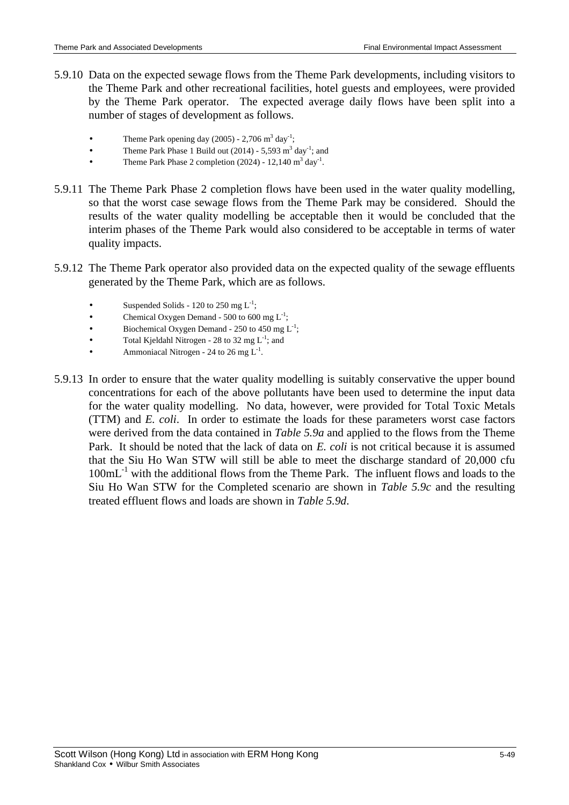- 5.9.10 Data on the expected sewage flows from the Theme Park developments, including visitors to the Theme Park and other recreational facilities, hotel guests and employees, were provided by the Theme Park operator. The expected average daily flows have been split into a number of stages of development as follows.
	- Theme Park opening day  $(2005)$  2,706 m<sup>3</sup> day<sup>-1</sup>;
	- Theme Park Phase 1 Build out  $(2014)$  5,593 m<sup>3</sup> day<sup>-1</sup>; and
	- Theme Park Phase 2 completion  $(2024) 12,140$  m<sup>3</sup> day<sup>-1</sup>.
- 5.9.11 The Theme Park Phase 2 completion flows have been used in the water quality modelling, so that the worst case sewage flows from the Theme Park may be considered. Should the results of the water quality modelling be acceptable then it would be concluded that the interim phases of the Theme Park would also considered to be acceptable in terms of water quality impacts.
- 5.9.12 The Theme Park operator also provided data on the expected quality of the sewage effluents generated by the Theme Park, which are as follows.
	- Suspended Solids 120 to 250 mg  $L^{-1}$ ;
	- Chemical Oxygen Demand 500 to 600 mg  $L^{-1}$ ;
	- Biochemical Oxygen Demand 250 to 450 mg  $L^{-1}$ ;
	- Total Kjeldahl Nitrogen 28 to 32 mg  $L^{-1}$ ; and
	- Ammoniacal Nitrogen 24 to 26 mg  $L^{-1}$ .
- 5.9.13 In order to ensure that the water quality modelling is suitably conservative the upper bound concentrations for each of the above pollutants have been used to determine the input data for the water quality modelling. No data, however, were provided for Total Toxic Metals (TTM) and *E. coli*. In order to estimate the loads for these parameters worst case factors were derived from the data contained in *Table 5.9a* and applied to the flows from the Theme Park. It should be noted that the lack of data on *E. coli* is not critical because it is assumed that the Siu Ho Wan STW will still be able to meet the discharge standard of 20,000 cfu 100mL<sup>-1</sup> with the additional flows from the Theme Park. The influent flows and loads to the Siu Ho Wan STW for the Completed scenario are shown in *Table 5.9c* and the resulting treated effluent flows and loads are shown in *Table 5.9d*.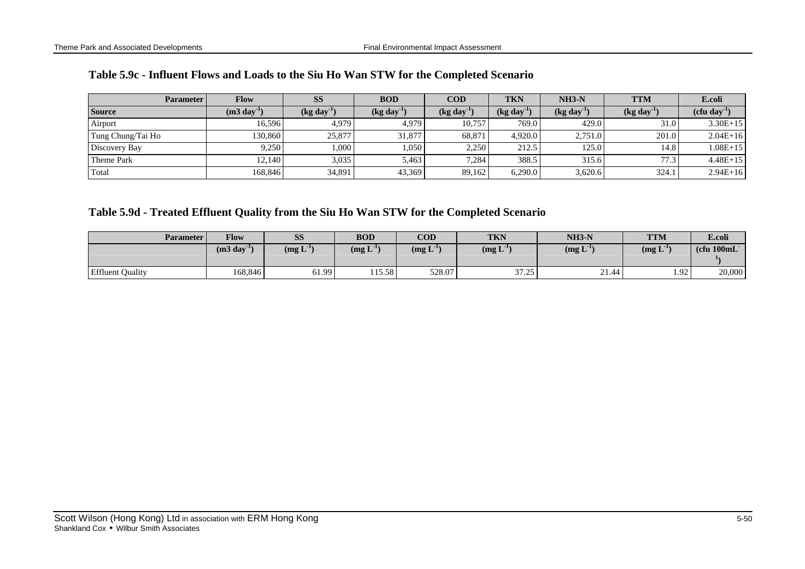| <b>Parameter</b>  | <b>Flow</b>             | <b>SS</b>             | <b>BOD</b>                   | $\bf{COD}$ | TKN                    | $NH3-N$                           | TTM                                      | E.coli       |
|-------------------|-------------------------|-----------------------|------------------------------|------------|------------------------|-----------------------------------|------------------------------------------|--------------|
| <b>Source</b>     | $(m3 \text{ day}^{-1})$ | (kg day <sup>-1</sup> | $\left(\text{kg day}\right)$ | (kg day    | $(\text{kg day}^{-1})$ | $\left(\text{kg day}^{-1}\right)$ | $\left(\text{kg day}^{\text{-1}}\right)$ | (cfu day     |
| Airport           | 16.596                  | 4.979                 | 4.979                        | 10.757     | 769.0                  | 429.0                             | 31.0                                     | $3.30E+15$   |
| Tung Chung/Tai Ho | 130.8601                | 25,877                | 31.877                       | 68,871     | 4.920.0                | 2,751.0                           | 201.0                                    | $2.04E+16$   |
| Discovery Bay     | 9.250                   | .000.                 | 1,050                        | 2,250      | 212.5                  | 125.0                             | 14.8                                     | $1.08E + 15$ |
| Theme Park        | 12.140                  | 3,035                 | 5,463                        | 7,284      | 388.5                  | 315.6                             | 77.3                                     | $4.48E+15$   |
| Total             | 168.846                 | 34,891                | 43,369                       | 89,162     | 6,290.0                | 3,620.6                           | 324.1                                    | $2.94E+16$   |

## **Table 5.9d - Treated Effluent Quality from the Siu Ho Wan STW for the Completed Scenario**

| <b>Parameter</b>        | Flow                    | SS                                    | <b>BOD</b>   | <b>COD</b>                         | <b>TKN</b>        | $NH3-N$                     | <b>TTM</b>   | E.coli                       |
|-------------------------|-------------------------|---------------------------------------|--------------|------------------------------------|-------------------|-----------------------------|--------------|------------------------------|
|                         | $(m3 \text{ day}^{-1})$ | $\mathbf{r}$ - $\mathbf{r}$<br>(mg L) | $\log L^{1}$ | $\text{Im} \mathbf{L}^{\text{1v}}$ | $\log L^{1}$      | $\text{Im} \mathbf{L}^{-1}$ | $\log L^{1}$ | $(c$ fu 100mL $\overline{c}$ |
| <b>Effluent Quality</b> | 168,846                 | 61.99                                 | 115.58       | 528.07                             | 27.25<br>رے ، ر د | 21<br>21.44                 | 1.92         | 20,000                       |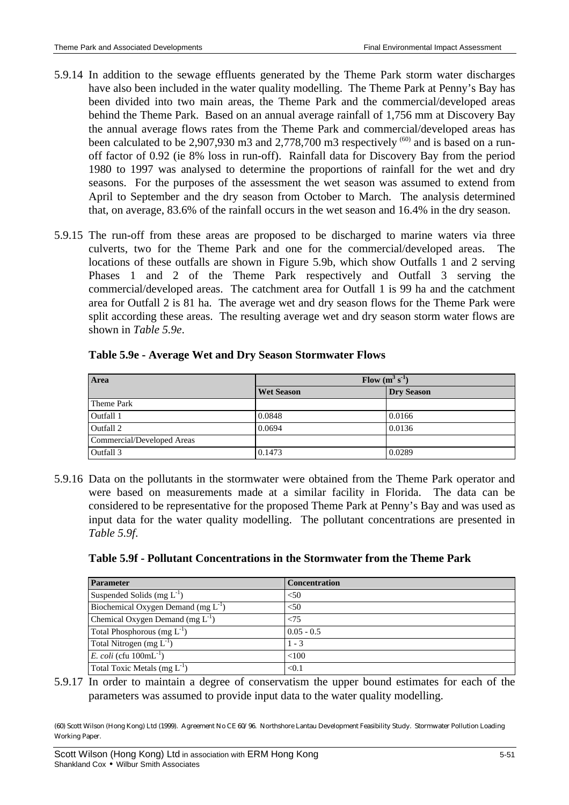- 5.9.14 In addition to the sewage effluents generated by the Theme Park storm water discharges have also been included in the water quality modelling. The Theme Park at Penny's Bay has been divided into two main areas, the Theme Park and the commercial/developed areas behind the Theme Park. Based on an annual average rainfall of 1,756 mm at Discovery Bay the annual average flows rates from the Theme Park and commercial/developed areas has been calculated to be 2,907,930 m3 and 2,778,700 m3 respectively  $^{(60)}$  and is based on a runoff factor of 0.92 (ie 8% loss in run-off). Rainfall data for Discovery Bay from the period 1980 to 1997 was analysed to determine the proportions of rainfall for the wet and dry seasons. For the purposes of the assessment the wet season was assumed to extend from April to September and the dry season from October to March. The analysis determined that, on average, 83.6% of the rainfall occurs in the wet season and 16.4% in the dry season.
- 5.9.15 The run-off from these areas are proposed to be discharged to marine waters via three culverts, two for the Theme Park and one for the commercial/developed areas. The locations of these outfalls are shown in Figure 5.9b, which show Outfalls 1 and 2 serving Phases 1 and 2 of the Theme Park respectively and Outfall 3 serving the commercial/developed areas. The catchment area for Outfall 1 is 99 ha and the catchment area for Outfall 2 is 81 ha. The average wet and dry season flows for the Theme Park were split according these areas. The resulting average wet and dry season storm water flows are shown in *Table 5.9e*.

| Area                       | Flow $(m^3 s^{-1})$ |                   |  |  |  |
|----------------------------|---------------------|-------------------|--|--|--|
|                            | <b>Wet Season</b>   | <b>Dry Season</b> |  |  |  |
| Theme Park                 |                     |                   |  |  |  |
| Outfall 1                  | 0.0848              | 0.0166            |  |  |  |
| Outfall 2                  | 0.0694              | 0.0136            |  |  |  |
| Commercial/Developed Areas |                     |                   |  |  |  |
| Outfall 3                  | 0.1473              | 0.0289            |  |  |  |

#### **Table 5.9e - Average Wet and Dry Season Stormwater Flows**

5.9.16 Data on the pollutants in the stormwater were obtained from the Theme Park operator and were based on measurements made at a similar facility in Florida. The data can be considered to be representative for the proposed Theme Park at Penny's Bay and was used as input data for the water quality modelling. The pollutant concentrations are presented in *Table 5.9f*.

| <b>Parameter</b>                         | <b>Concentration</b> |
|------------------------------------------|----------------------|
| Suspended Solids (mg $L^{-1}$ )          | < 50                 |
| Biochemical Oxygen Demand (mg $L^{-1}$ ) | < 50                 |
| Chemical Oxygen Demand (mg $L^{-1}$ )    | ${<}75$              |
| Total Phosphorous (mg $L^{-1}$ )         | $0.05 - 0.5$         |
| Total Nitrogen (mg $L^{-1}$ )            | $1 - 3$              |
| E. coli (cfu $100 \text{mL}^{-1}$ )      | < 100                |
| Total Toxic Metals (mg $L^{-1}$ )        | < 0.1                |

5.9.17 In order to maintain a degree of conservatism the upper bound estimates for each of the parameters was assumed to provide input data to the water quality modelling.

(60) Scott Wilson (Hong Kong) Ltd (1999). Agreement No CE 60/96. Northshore Lantau Development Feasibility Study. Stormwater Pollution Loading Working Paper.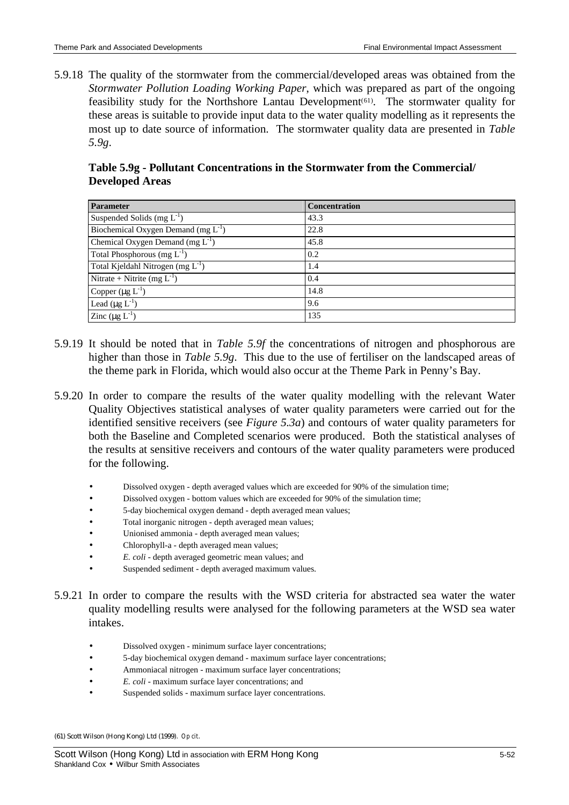5.9.18 The quality of the stormwater from the commercial/developed areas was obtained from the *Stormwater Pollution Loading Working Paper*, which was prepared as part of the ongoing feasibility study for the Northshore Lantau Development<sup>(61)</sup>. The stormwater quality for these areas is suitable to provide input data to the water quality modelling as it represents the most up to date source of information. The stormwater quality data are presented in *Table 5.9g*.

**Table 5.9g - Pollutant Concentrations in the Stormwater from the Commercial/ Developed Areas**

| <b>Parameter</b>                         | <b>Concentration</b> |
|------------------------------------------|----------------------|
| Suspended Solids $(mg L-1)$              | 43.3                 |
| Biochemical Oxygen Demand (mg $L^{-1}$ ) | 22.8                 |
| Chemical Oxygen Demand (mg $L^{-1}$ )    | 45.8                 |
| Total Phosphorous (mg $L^{-1}$ )         | 0.2                  |
| Total Kjeldahl Nitrogen (mg $L^{-1}$ )   | 1.4                  |
| Nitrate + Nitrite (mg $L^{-1}$ )         | 0.4                  |
| Copper $(\mu g L^{-1})$                  | 14.8                 |
| Lead $(\mu g L^{-1})$                    | 9.6                  |
| Zinc $(\mu g L^{-1})$                    | 135                  |

- 5.9.19 It should be noted that in *Table 5.9f* the concentrations of nitrogen and phosphorous are higher than those in *Table 5.9g*. This due to the use of fertiliser on the landscaped areas of the theme park in Florida, which would also occur at the Theme Park in Penny's Bay.
- 5.9.20 In order to compare the results of the water quality modelling with the relevant Water Quality Objectives statistical analyses of water quality parameters were carried out for the identified sensitive receivers (see *Figure 5.3a*) and contours of water quality parameters for both the Baseline and Completed scenarios were produced. Both the statistical analyses of the results at sensitive receivers and contours of the water quality parameters were produced for the following.
	- Dissolved oxygen depth averaged values which are exceeded for 90% of the simulation time;
	- Dissolved oxygen bottom values which are exceeded for 90% of the simulation time;
	- 5-day biochemical oxygen demand depth averaged mean values;
	- Total inorganic nitrogen depth averaged mean values;
	- Unionised ammonia depth averaged mean values;
	- Chlorophyll-a depth averaged mean values;
	- *E. coli* depth averaged geometric mean values; and
	- Suspended sediment depth averaged maximum values.
- 5.9.21 In order to compare the results with the WSD criteria for abstracted sea water the water quality modelling results were analysed for the following parameters at the WSD sea water intakes.
	- Dissolved oxygen minimum surface layer concentrations;
	- 5-day biochemical oxygen demand maximum surface layer concentrations;
	- Ammoniacal nitrogen maximum surface layer concentrations;
	- *E. coli* maximum surface layer concentrations; and
	- Suspended solids maximum surface layer concentrations.

(61) Scott Wilson (Hong Kong) Ltd (1999). *Op cit*.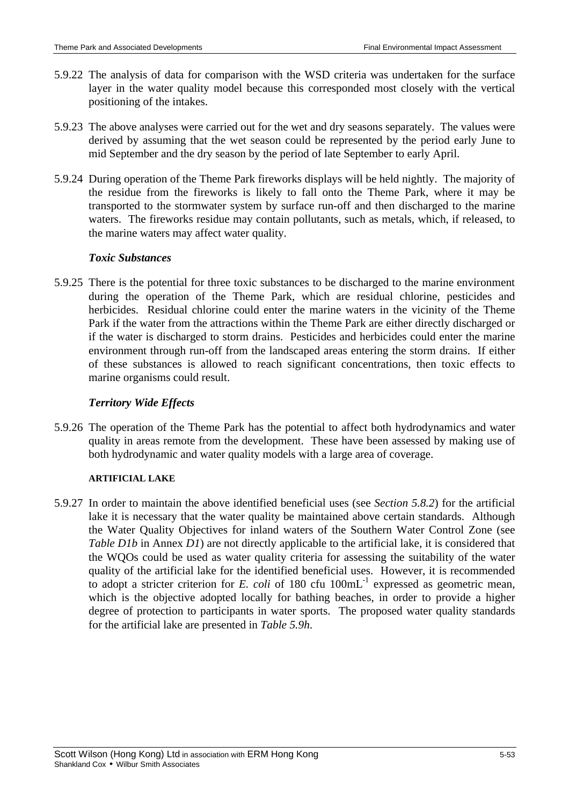- 5.9.22 The analysis of data for comparison with the WSD criteria was undertaken for the surface layer in the water quality model because this corresponded most closely with the vertical positioning of the intakes.
- 5.9.23 The above analyses were carried out for the wet and dry seasons separately. The values were derived by assuming that the wet season could be represented by the period early June to mid September and the dry season by the period of late September to early April.
- 5.9.24 During operation of the Theme Park fireworks displays will be held nightly. The majority of the residue from the fireworks is likely to fall onto the Theme Park, where it may be transported to the stormwater system by surface run-off and then discharged to the marine waters. The fireworks residue may contain pollutants, such as metals, which, if released, to the marine waters may affect water quality.

#### *Toxic Substances*

5.9.25 There is the potential for three toxic substances to be discharged to the marine environment during the operation of the Theme Park, which are residual chlorine, pesticides and herbicides. Residual chlorine could enter the marine waters in the vicinity of the Theme Park if the water from the attractions within the Theme Park are either directly discharged or if the water is discharged to storm drains. Pesticides and herbicides could enter the marine environment through run-off from the landscaped areas entering the storm drains. If either of these substances is allowed to reach significant concentrations, then toxic effects to marine organisms could result.

### *Territory Wide Effects*

5.9.26 The operation of the Theme Park has the potential to affect both hydrodynamics and water quality in areas remote from the development. These have been assessed by making use of both hydrodynamic and water quality models with a large area of coverage.

#### **ARTIFICIAL LAKE**

5.9.27 In order to maintain the above identified beneficial uses (see *Section 5.8.2*) for the artificial lake it is necessary that the water quality be maintained above certain standards. Although the Water Quality Objectives for inland waters of the Southern Water Control Zone (see *Table D1b* in Annex *D1*) are not directly applicable to the artificial lake, it is considered that the WQOs could be used as water quality criteria for assessing the suitability of the water quality of the artificial lake for the identified beneficial uses. However, it is recommended to adopt a stricter criterion for  $E$ . *coli* of 180 cfu  $100 \text{mL}^{-1}$  expressed as geometric mean, which is the objective adopted locally for bathing beaches, in order to provide a higher degree of protection to participants in water sports. The proposed water quality standards for the artificial lake are presented in *Table 5.9h*.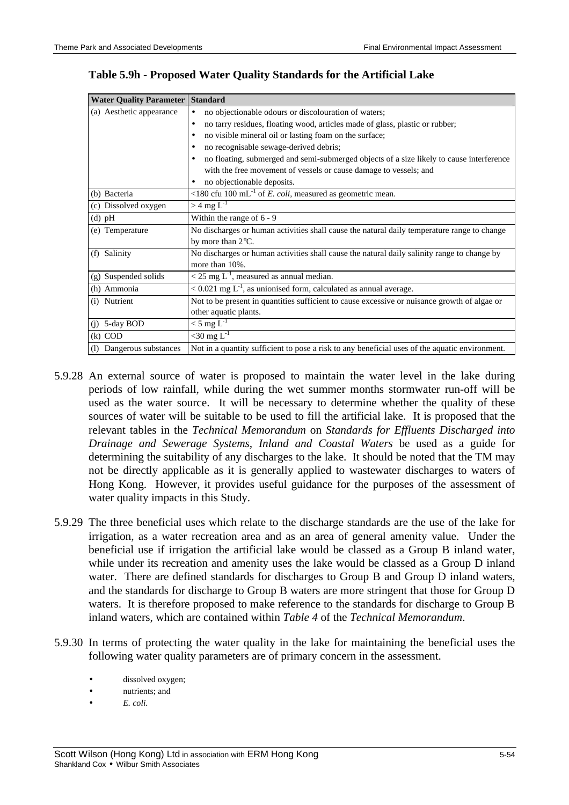**Water Quality Parameter Standard**

| $\cdots$ $\cdots$        |                                                                                                |
|--------------------------|------------------------------------------------------------------------------------------------|
| (a) Aesthetic appearance | no objectionable odours or discolouration of waters;<br>$\bullet$                              |
|                          | no tarry residues, floating wood, articles made of glass, plastic or rubber;<br>$\bullet$      |
|                          | no visible mineral oil or lasting foam on the surface;                                         |
|                          | no recognisable sewage-derived debris;                                                         |
|                          | no floating, submerged and semi-submerged objects of a size likely to cause interference       |
|                          | with the free movement of vessels or cause damage to vessels; and                              |
|                          | no objectionable deposits.                                                                     |
| (b) Bacteria             | <180 cfu 100 mL <sup>-1</sup> of <i>E. coli</i> , measured as geometric mean.                  |
| (c) Dissolved oxygen     | $>$ 4 mg L <sup>-1</sup>                                                                       |
| $(d)$ pH                 | Within the range of $6 - 9$                                                                    |
| (e) Temperature          | No discharges or human activities shall cause the natural daily temperature range to change    |
|                          | by more than $2^{\circ}$ C.                                                                    |
| (f) Salinity             | No discharges or human activities shall cause the natural daily salinity range to change by    |
|                          | more than 10%.                                                                                 |
| (g) Suspended solids     | $<$ 25 mg L <sup>-1</sup> , measured as annual median.                                         |
| (h) Ammonia              | $< 0.021$ mg L <sup>-1</sup> , as unionised form, calculated as annual average.                |
| (i) Nutrient             | Not to be present in quantities sufficient to cause excessive or nuisance growth of algae or   |
|                          | other aquatic plants.                                                                          |
| $(j)$ 5-day BOD          | $<$ 5 mg L <sup>-1</sup>                                                                       |
| $(k)$ COD                | $<$ 30 mg L <sup>-1</sup>                                                                      |
| (1) Dangerous substances | Not in a quantity sufficient to pose a risk to any beneficial uses of the aquatic environment. |

## **Table 5.9h - Proposed Water Quality Standards for the Artificial Lake**

- 5.9.28 An external source of water is proposed to maintain the water level in the lake during periods of low rainfall, while during the wet summer months stormwater run-off will be used as the water source. It will be necessary to determine whether the quality of these sources of water will be suitable to be used to fill the artificial lake. It is proposed that the relevant tables in the *Technical Memorandum* on *Standards for Effluents Discharged into Drainage and Sewerage Systems, Inland and Coastal Waters* be used as a guide for determining the suitability of any discharges to the lake. It should be noted that the TM may not be directly applicable as it is generally applied to wastewater discharges to waters of Hong Kong. However, it provides useful guidance for the purposes of the assessment of water quality impacts in this Study.
- 5.9.29 The three beneficial uses which relate to the discharge standards are the use of the lake for irrigation, as a water recreation area and as an area of general amenity value. Under the beneficial use if irrigation the artificial lake would be classed as a Group B inland water, while under its recreation and amenity uses the lake would be classed as a Group D inland water. There are defined standards for discharges to Group B and Group D inland waters, and the standards for discharge to Group B waters are more stringent that those for Group D waters. It is therefore proposed to make reference to the standards for discharge to Group B inland waters, which are contained within *Table 4* of the *Technical Memorandum*.
- 5.9.30 In terms of protecting the water quality in the lake for maintaining the beneficial uses the following water quality parameters are of primary concern in the assessment.
	- dissolved oxygen;
	- nutrients; and
	- *E. coli*.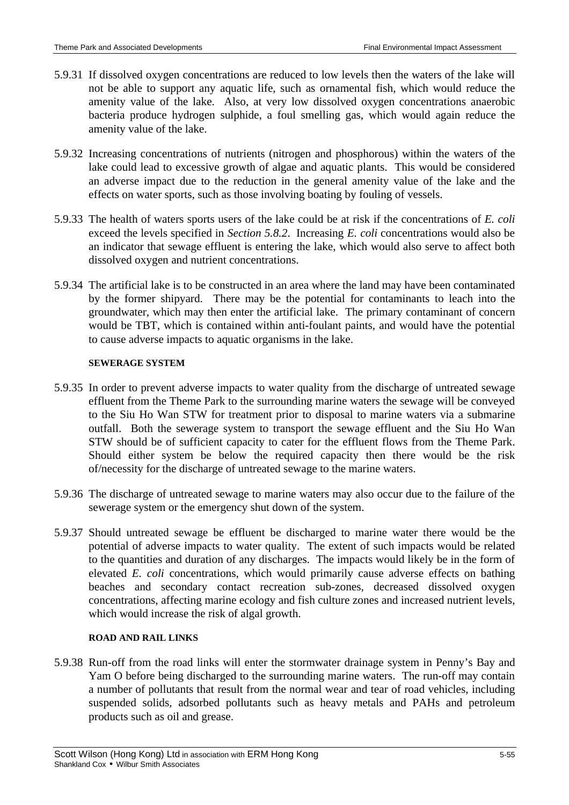- 5.9.31 If dissolved oxygen concentrations are reduced to low levels then the waters of the lake will not be able to support any aquatic life, such as ornamental fish, which would reduce the amenity value of the lake. Also, at very low dissolved oxygen concentrations anaerobic bacteria produce hydrogen sulphide, a foul smelling gas, which would again reduce the amenity value of the lake.
- 5.9.32 Increasing concentrations of nutrients (nitrogen and phosphorous) within the waters of the lake could lead to excessive growth of algae and aquatic plants. This would be considered an adverse impact due to the reduction in the general amenity value of the lake and the effects on water sports, such as those involving boating by fouling of vessels.
- 5.9.33 The health of waters sports users of the lake could be at risk if the concentrations of *E. coli* exceed the levels specified in *Section 5.8.2*. Increasing *E. coli* concentrations would also be an indicator that sewage effluent is entering the lake, which would also serve to affect both dissolved oxygen and nutrient concentrations.
- 5.9.34 The artificial lake is to be constructed in an area where the land may have been contaminated by the former shipyard. There may be the potential for contaminants to leach into the groundwater, which may then enter the artificial lake. The primary contaminant of concern would be TBT, which is contained within anti-foulant paints, and would have the potential to cause adverse impacts to aquatic organisms in the lake.

#### **SEWERAGE SYSTEM**

- 5.9.35 In order to prevent adverse impacts to water quality from the discharge of untreated sewage effluent from the Theme Park to the surrounding marine waters the sewage will be conveyed to the Siu Ho Wan STW for treatment prior to disposal to marine waters via a submarine outfall. Both the sewerage system to transport the sewage effluent and the Siu Ho Wan STW should be of sufficient capacity to cater for the effluent flows from the Theme Park. Should either system be below the required capacity then there would be the risk of/necessity for the discharge of untreated sewage to the marine waters.
- 5.9.36 The discharge of untreated sewage to marine waters may also occur due to the failure of the sewerage system or the emergency shut down of the system.
- 5.9.37 Should untreated sewage be effluent be discharged to marine water there would be the potential of adverse impacts to water quality. The extent of such impacts would be related to the quantities and duration of any discharges. The impacts would likely be in the form of elevated *E. coli* concentrations, which would primarily cause adverse effects on bathing beaches and secondary contact recreation sub-zones, decreased dissolved oxygen concentrations, affecting marine ecology and fish culture zones and increased nutrient levels, which would increase the risk of algal growth.

#### **ROAD AND RAIL LINKS**

5.9.38 Run-off from the road links will enter the stormwater drainage system in Penny's Bay and Yam O before being discharged to the surrounding marine waters. The run-off may contain a number of pollutants that result from the normal wear and tear of road vehicles, including suspended solids, adsorbed pollutants such as heavy metals and PAHs and petroleum products such as oil and grease.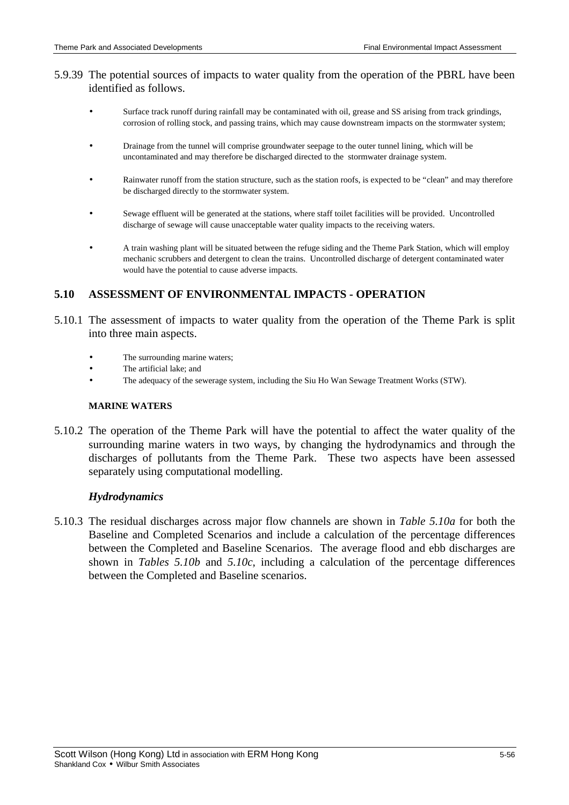## 5.9.39 The potential sources of impacts to water quality from the operation of the PBRL have been identified as follows.

- Surface track runoff during rainfall may be contaminated with oil, grease and SS arising from track grindings, corrosion of rolling stock, and passing trains, which may cause downstream impacts on the stormwater system;
- Drainage from the tunnel will comprise groundwater seepage to the outer tunnel lining, which will be uncontaminated and may therefore be discharged directed to the stormwater drainage system.
- Rainwater runoff from the station structure, such as the station roofs, is expected to be "clean" and may therefore be discharged directly to the stormwater system.
- Sewage effluent will be generated at the stations, where staff toilet facilities will be provided. Uncontrolled discharge of sewage will cause unacceptable water quality impacts to the receiving waters.
- A train washing plant will be situated between the refuge siding and the Theme Park Station, which will employ mechanic scrubbers and detergent to clean the trains. Uncontrolled discharge of detergent contaminated water would have the potential to cause adverse impacts.

# **5.10 ASSESSMENT OF ENVIRONMENTAL IMPACTS - OPERATION**

- 5.10.1 The assessment of impacts to water quality from the operation of the Theme Park is split into three main aspects.
	- The surrounding marine waters:
	- The artificial lake; and
	- The adequacy of the sewerage system, including the Siu Ho Wan Sewage Treatment Works (STW).

#### **MARINE WATERS**

5.10.2 The operation of the Theme Park will have the potential to affect the water quality of the surrounding marine waters in two ways, by changing the hydrodynamics and through the discharges of pollutants from the Theme Park. These two aspects have been assessed separately using computational modelling.

### *Hydrodynamics*

5.10.3 The residual discharges across major flow channels are shown in *Table 5.10a* for both the Baseline and Completed Scenarios and include a calculation of the percentage differences between the Completed and Baseline Scenarios. The average flood and ebb discharges are shown in *Tables 5.10b* and *5.10c*, including a calculation of the percentage differences between the Completed and Baseline scenarios.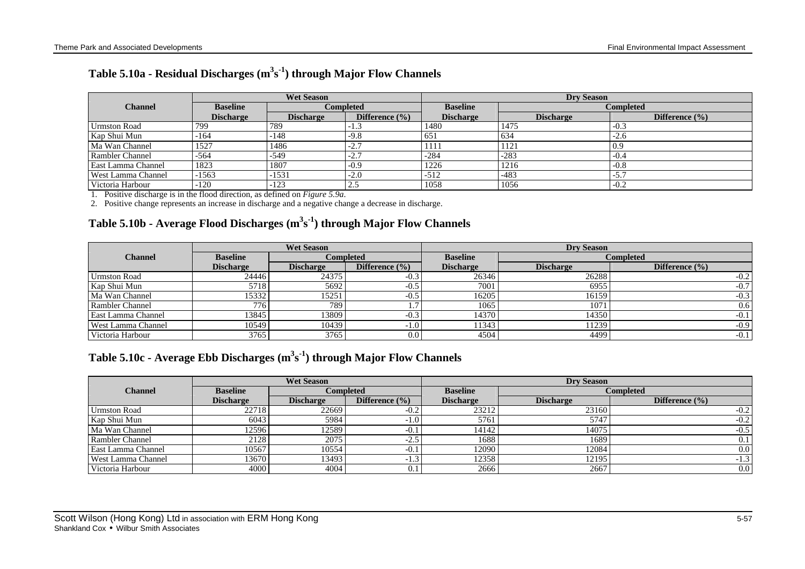| Table 5.10a - Residual Discharges $(m^3s^1)$ through Major Flow Channels |  |  |  |  |  |  |  |
|--------------------------------------------------------------------------|--|--|--|--|--|--|--|
|--------------------------------------------------------------------------|--|--|--|--|--|--|--|

|                        | <b>Wet Season</b> |                  |                    | <b>Dry Season</b> |                  |                    |  |
|------------------------|-------------------|------------------|--------------------|-------------------|------------------|--------------------|--|
| <b>Channel</b>         | <b>Baseline</b>   |                  | <b>Completed</b>   | <b>Baseline</b>   |                  | <b>Completed</b>   |  |
|                        | <b>Discharge</b>  | <b>Discharge</b> | Difference $(\% )$ | <b>Discharge</b>  | <b>Discharge</b> | Difference $(\% )$ |  |
| <b>Urmston Road</b>    | 799               | 789              | $-1.3$             | 1480              | 1475             | $-0.3$             |  |
| Kap Shui Mun           | -164              | $-148$           | $-9.8$             | 651               | 634              | $-2.6$             |  |
| Ma Wan Channel         | 1527              | 1486             | $-2.7$             | 1111              | 1121             | 0.9                |  |
| <b>Rambler Channel</b> | -564              | $-549$           | $-2.7$             | $-284$            | $-283$           | $-0.4$             |  |
| East Lamma Channel     | 1823              | 1807             | $-0.9$             | 1226              | 1216             | $-0.8$             |  |
| West Lamma Channel     | -1563             | $-1531$          | $-2.0$             | $-512$            | $-483$           | $-5.7$             |  |
| Victoria Harbour       | -120              | $-123$           | $\angle$ .)        | 1058              | 1056             | $-0.2$             |  |

1. Positive discharge is in the flood direction, as defined on *Figure 5.9a*.

2. Positive change represents an increase in discharge and a negative change a decrease in discharge.

# **Table 5.10b - Average Flood Discharges (m<sup>3</sup> s -1 ) through Major Flow Channels**

|                           | <b>Wet Season</b> |                  |                    | <b>Dry Season</b> |                  |                    |  |
|---------------------------|-------------------|------------------|--------------------|-------------------|------------------|--------------------|--|
| <b>Channel</b>            | <b>Baseline</b>   |                  | Completed          | <b>Baseline</b>   |                  | <b>Completed</b>   |  |
|                           | <b>Discharge</b>  | <b>Discharge</b> | Difference $(\% )$ | <b>Discharge</b>  | <b>Discharge</b> | Difference $(\% )$ |  |
| Urmston Road              | 24446             | 24375            | $-0.3$             | 26346             | 26288            | $-0.2$             |  |
| Kap Shui Mun              | 5718              | 5692             | $-0.5$             | 7001              | 6955             | $-0.7$             |  |
| Ma Wan Channel            | 15332             | 15251            | $-0.5$             | 16205             | 16159            | $-0.3$             |  |
| Rambler Channel           | 776               | 789              | ⇁<br>.             | 1065              | 1071             | 0.6                |  |
| <b>East Lamma Channel</b> | 13845             | 3809             | $-0.3$             | 14370             | 14350            | $-0.1$             |  |
| West Lamma Channel        | 10549             | 10439            | $-1.0$             | 11343             | 11239            | $-0.9$             |  |
| Victoria Harbour          | 3765              | 3765             | 0.0                | 4504              | 4499             | $-0.1$             |  |

# **Table 5.10c - Average Ebb Discharges (m<sup>3</sup> s -1 ) through Major Flow Channels**

|                        | <b>Wet Season</b> |                  |                    | <b>Drv Season</b> |                  |                    |  |
|------------------------|-------------------|------------------|--------------------|-------------------|------------------|--------------------|--|
| <b>Channel</b>         | <b>Baseline</b>   |                  | <b>Completed</b>   | <b>Baseline</b>   |                  | Completed          |  |
|                        | <b>Discharge</b>  | <b>Discharge</b> | Difference $(\% )$ | <b>Discharge</b>  | <b>Discharge</b> | Difference $(\% )$ |  |
| <b>Urmston Road</b>    | 22718             | 226691           | $-0.2$             | 23212             | 23160            | $-0.2$             |  |
| Kap Shui Mun           | 6043              | 5984             | $-1.0$             | 5761              | 5747             | $-0.2$             |  |
| Ma Wan Channel         | 12596             | 12589            | $-0.1$             | 14142             | 14075            | $-0.5$             |  |
| <b>Rambler Channel</b> | 2128              | 2075             | $-2.5$             | 1688              | 1689             | 0.1                |  |
| East Lamma Channel     | 10567             | 10554            | $-0.1$             | 12090             | 12084            | 0.0                |  |
| West Lamma Channel     | 13670             | 13493            | $-1.3$             | 12358             | 12195            | -1.3               |  |
| Victoria Harbour       | 4000              | 4004             | 0.1                | 2666              | 2667             | 0.0                |  |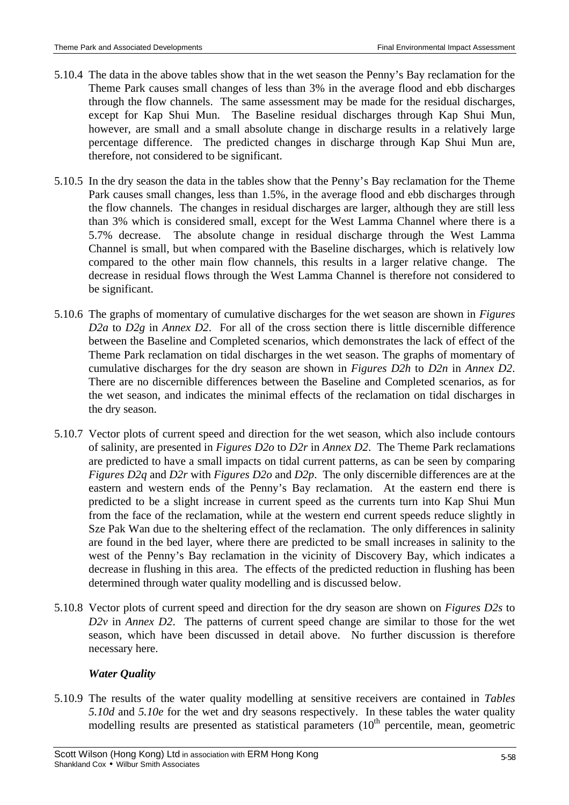- 5.10.4 The data in the above tables show that in the wet season the Penny's Bay reclamation for the Theme Park causes small changes of less than 3% in the average flood and ebb discharges through the flow channels. The same assessment may be made for the residual discharges, except for Kap Shui Mun. The Baseline residual discharges through Kap Shui Mun, however, are small and a small absolute change in discharge results in a relatively large percentage difference. The predicted changes in discharge through Kap Shui Mun are, therefore, not considered to be significant.
- 5.10.5 In the dry season the data in the tables show that the Penny's Bay reclamation for the Theme Park causes small changes, less than 1.5%, in the average flood and ebb discharges through the flow channels. The changes in residual discharges are larger, although they are still less than 3% which is considered small, except for the West Lamma Channel where there is a 5.7% decrease. The absolute change in residual discharge through the West Lamma Channel is small, but when compared with the Baseline discharges, which is relatively low compared to the other main flow channels, this results in a larger relative change. The decrease in residual flows through the West Lamma Channel is therefore not considered to be significant.
- 5.10.6 The graphs of momentary of cumulative discharges for the wet season are shown in *Figures D2a* to *D2g* in *Annex D2*. For all of the cross section there is little discernible difference between the Baseline and Completed scenarios, which demonstrates the lack of effect of the Theme Park reclamation on tidal discharges in the wet season. The graphs of momentary of cumulative discharges for the dry season are shown in *Figures D2h* to *D2n* in *Annex D2*. There are no discernible differences between the Baseline and Completed scenarios, as for the wet season, and indicates the minimal effects of the reclamation on tidal discharges in the dry season.
- 5.10.7 Vector plots of current speed and direction for the wet season, which also include contours of salinity, are presented in *Figures D2o* to *D2r* in *Annex D2*. The Theme Park reclamations are predicted to have a small impacts on tidal current patterns, as can be seen by comparing *Figures D2q* and *D2r* with *Figures D2o* and *D2p*. The only discernible differences are at the eastern and western ends of the Penny's Bay reclamation. At the eastern end there is predicted to be a slight increase in current speed as the currents turn into Kap Shui Mun from the face of the reclamation, while at the western end current speeds reduce slightly in Sze Pak Wan due to the sheltering effect of the reclamation. The only differences in salinity are found in the bed layer, where there are predicted to be small increases in salinity to the west of the Penny's Bay reclamation in the vicinity of Discovery Bay, which indicates a decrease in flushing in this area. The effects of the predicted reduction in flushing has been determined through water quality modelling and is discussed below.
- 5.10.8 Vector plots of current speed and direction for the dry season are shown on *Figures D2s* to *D2v* in *Annex D2*. The patterns of current speed change are similar to those for the wet season, which have been discussed in detail above. No further discussion is therefore necessary here.

# *Water Quality*

5.10.9 The results of the water quality modelling at sensitive receivers are contained in *Tables 5.10d* and *5.10e* for the wet and dry seasons respectively. In these tables the water quality modelling results are presented as statistical parameters  $(10<sup>th</sup>$  percentile, mean, geometric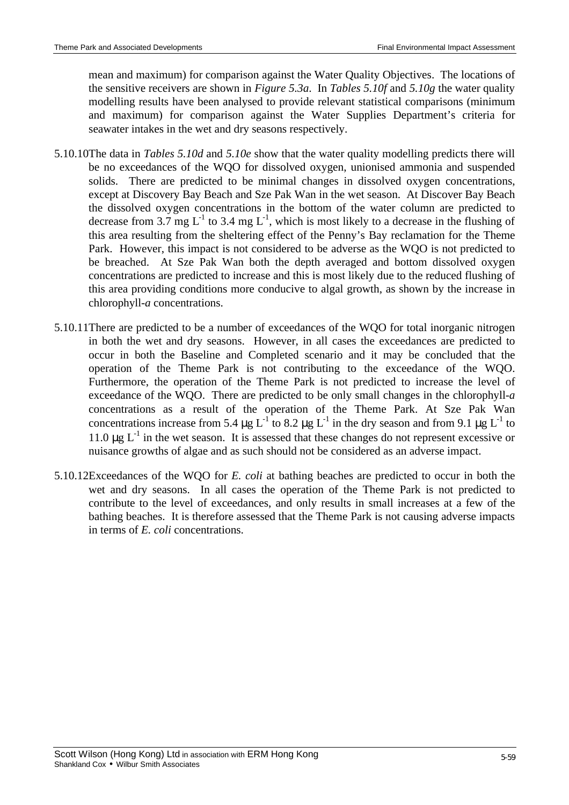mean and maximum) for comparison against the Water Quality Objectives. The locations of the sensitive receivers are shown in *Figure 5.3a*. In *Tables 5.10f* and *5.10g* the water quality modelling results have been analysed to provide relevant statistical comparisons (minimum and maximum) for comparison against the Water Supplies Department's criteria for seawater intakes in the wet and dry seasons respectively.

- 5.10.10The data in *Tables 5.10d* and *5.10e* show that the water quality modelling predicts there will be no exceedances of the WQO for dissolved oxygen, unionised ammonia and suspended solids. There are predicted to be minimal changes in dissolved oxygen concentrations, except at Discovery Bay Beach and Sze Pak Wan in the wet season. At Discover Bay Beach the dissolved oxygen concentrations in the bottom of the water column are predicted to decrease from 3.7 mg  $L^{-1}$  to 3.4 mg  $L^{-1}$ , which is most likely to a decrease in the flushing of this area resulting from the sheltering effect of the Penny's Bay reclamation for the Theme Park. However, this impact is not considered to be adverse as the WQO is not predicted to be breached. At Sze Pak Wan both the depth averaged and bottom dissolved oxygen concentrations are predicted to increase and this is most likely due to the reduced flushing of this area providing conditions more conducive to algal growth, as shown by the increase in chlorophyll-*a* concentrations.
- 5.10.11There are predicted to be a number of exceedances of the WQO for total inorganic nitrogen in both the wet and dry seasons. However, in all cases the exceedances are predicted to occur in both the Baseline and Completed scenario and it may be concluded that the operation of the Theme Park is not contributing to the exceedance of the WQO. Furthermore, the operation of the Theme Park is not predicted to increase the level of exceedance of the WQO. There are predicted to be only small changes in the chlorophyll-*a* concentrations as a result of the operation of the Theme Park. At Sze Pak Wan concentrations increase from 5.4  $\mu$ g L<sup>-1</sup> to 8.2  $\mu$ g L<sup>-1</sup> in the dry season and from 9.1  $\mu$ g L<sup>-1</sup> to 11.0  $\mu$ g L<sup>-1</sup> in the wet season. It is assessed that these changes do not represent excessive or nuisance growths of algae and as such should not be considered as an adverse impact.
- 5.10.12Exceedances of the WQO for *E. coli* at bathing beaches are predicted to occur in both the wet and dry seasons. In all cases the operation of the Theme Park is not predicted to contribute to the level of exceedances, and only results in small increases at a few of the bathing beaches. It is therefore assessed that the Theme Park is not causing adverse impacts in terms of *E. coli* concentrations.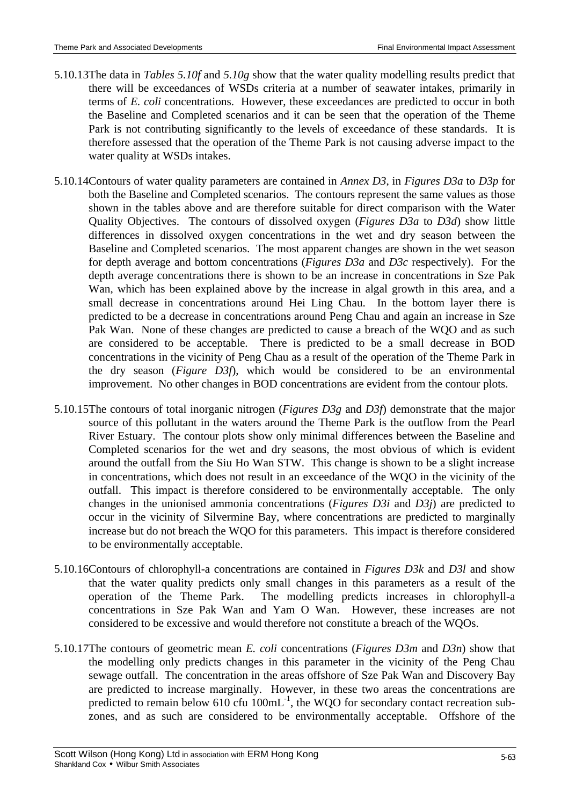- 5.10.13The data in *Tables 5.10f* and *5.10g* show that the water quality modelling results predict that there will be exceedances of WSDs criteria at a number of seawater intakes, primarily in terms of *E. coli* concentrations. However, these exceedances are predicted to occur in both the Baseline and Completed scenarios and it can be seen that the operation of the Theme Park is not contributing significantly to the levels of exceedance of these standards. It is therefore assessed that the operation of the Theme Park is not causing adverse impact to the water quality at WSDs intakes.
- 5.10.14Contours of water quality parameters are contained in *Annex D3*, in *Figures D3a* to *D3p* for both the Baseline and Completed scenarios. The contours represent the same values as those shown in the tables above and are therefore suitable for direct comparison with the Water Quality Objectives. The contours of dissolved oxygen (*Figures D3a* to *D3d*) show little differences in dissolved oxygen concentrations in the wet and dry season between the Baseline and Completed scenarios. The most apparent changes are shown in the wet season for depth average and bottom concentrations (*Figures D3a* and *D3c* respectively). For the depth average concentrations there is shown to be an increase in concentrations in Sze Pak Wan, which has been explained above by the increase in algal growth in this area, and a small decrease in concentrations around Hei Ling Chau. In the bottom layer there is predicted to be a decrease in concentrations around Peng Chau and again an increase in Sze Pak Wan. None of these changes are predicted to cause a breach of the WQO and as such are considered to be acceptable. There is predicted to be a small decrease in BOD concentrations in the vicinity of Peng Chau as a result of the operation of the Theme Park in the dry season (*Figure D3f*), which would be considered to be an environmental improvement. No other changes in BOD concentrations are evident from the contour plots.
- 5.10.15The contours of total inorganic nitrogen (*Figures D3g* and *D3f*) demonstrate that the major source of this pollutant in the waters around the Theme Park is the outflow from the Pearl River Estuary. The contour plots show only minimal differences between the Baseline and Completed scenarios for the wet and dry seasons, the most obvious of which is evident around the outfall from the Siu Ho Wan STW. This change is shown to be a slight increase in concentrations, which does not result in an exceedance of the WQO in the vicinity of the outfall. This impact is therefore considered to be environmentally acceptable. The only changes in the unionised ammonia concentrations (*Figures D3i* and *D3j*) are predicted to occur in the vicinity of Silvermine Bay, where concentrations are predicted to marginally increase but do not breach the WQO for this parameters. This impact is therefore considered to be environmentally acceptable.
- 5.10.16Contours of chlorophyll-a concentrations are contained in *Figures D3k* and *D3l* and show that the water quality predicts only small changes in this parameters as a result of the operation of the Theme Park. The modelling predicts increases in chlorophyll-a concentrations in Sze Pak Wan and Yam O Wan. However, these increases are not considered to be excessive and would therefore not constitute a breach of the WQOs.
- 5.10.17The contours of geometric mean *E. coli* concentrations (*Figures D3m* and *D3n*) show that the modelling only predicts changes in this parameter in the vicinity of the Peng Chau sewage outfall. The concentration in the areas offshore of Sze Pak Wan and Discovery Bay are predicted to increase marginally. However, in these two areas the concentrations are predicted to remain below 610 cfu  $100 \text{mL}^{-1}$ , the WQO for secondary contact recreation subzones, and as such are considered to be environmentally acceptable. Offshore of the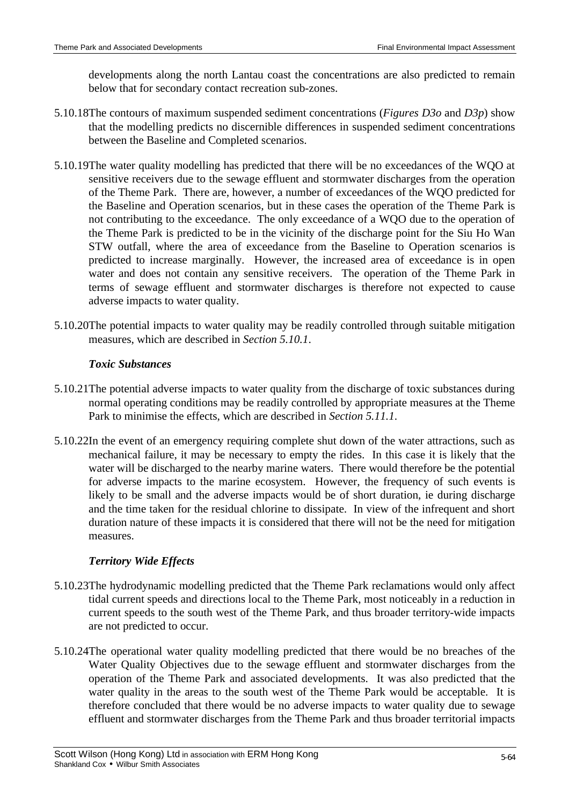developments along the north Lantau coast the concentrations are also predicted to remain below that for secondary contact recreation sub-zones.

- 5.10.18The contours of maximum suspended sediment concentrations (*Figures D3o* and *D3p*) show that the modelling predicts no discernible differences in suspended sediment concentrations between the Baseline and Completed scenarios.
- 5.10.19The water quality modelling has predicted that there will be no exceedances of the WQO at sensitive receivers due to the sewage effluent and stormwater discharges from the operation of the Theme Park. There are, however, a number of exceedances of the WQO predicted for the Baseline and Operation scenarios, but in these cases the operation of the Theme Park is not contributing to the exceedance. The only exceedance of a WQO due to the operation of the Theme Park is predicted to be in the vicinity of the discharge point for the Siu Ho Wan STW outfall, where the area of exceedance from the Baseline to Operation scenarios is predicted to increase marginally. However, the increased area of exceedance is in open water and does not contain any sensitive receivers. The operation of the Theme Park in terms of sewage effluent and stormwater discharges is therefore not expected to cause adverse impacts to water quality.
- 5.10.20The potential impacts to water quality may be readily controlled through suitable mitigation measures, which are described in *Section 5.10.1*.

## *Toxic Substances*

- 5.10.21The potential adverse impacts to water quality from the discharge of toxic substances during normal operating conditions may be readily controlled by appropriate measures at the Theme Park to minimise the effects, which are described in *Section 5.11.1*.
- 5.10.22In the event of an emergency requiring complete shut down of the water attractions, such as mechanical failure, it may be necessary to empty the rides. In this case it is likely that the water will be discharged to the nearby marine waters. There would therefore be the potential for adverse impacts to the marine ecosystem. However, the frequency of such events is likely to be small and the adverse impacts would be of short duration, ie during discharge and the time taken for the residual chlorine to dissipate. In view of the infrequent and short duration nature of these impacts it is considered that there will not be the need for mitigation measures.

# *Territory Wide Effects*

- 5.10.23The hydrodynamic modelling predicted that the Theme Park reclamations would only affect tidal current speeds and directions local to the Theme Park, most noticeably in a reduction in current speeds to the south west of the Theme Park, and thus broader territory-wide impacts are not predicted to occur.
- 5.10.24The operational water quality modelling predicted that there would be no breaches of the Water Quality Objectives due to the sewage effluent and stormwater discharges from the operation of the Theme Park and associated developments. It was also predicted that the water quality in the areas to the south west of the Theme Park would be acceptable. It is therefore concluded that there would be no adverse impacts to water quality due to sewage effluent and stormwater discharges from the Theme Park and thus broader territorial impacts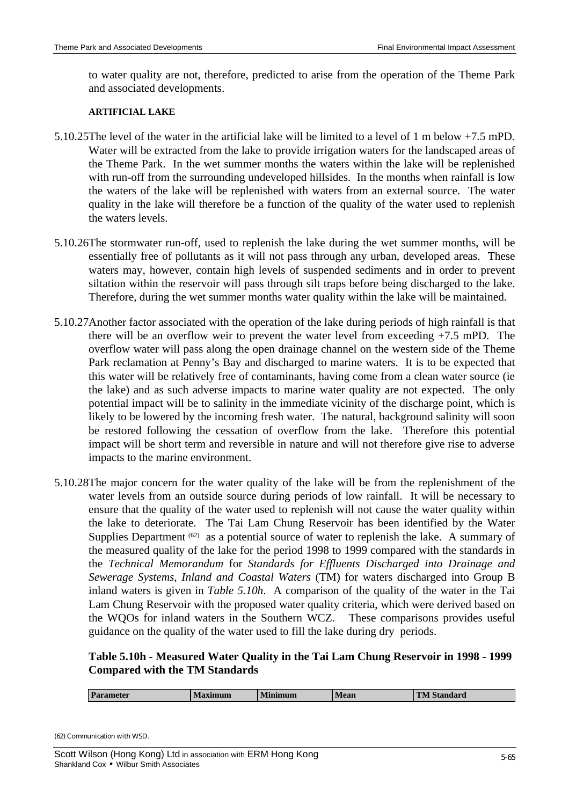to water quality are not, therefore, predicted to arise from the operation of the Theme Park and associated developments.

#### **ARTIFICIAL LAKE**

- 5.10.25The level of the water in the artificial lake will be limited to a level of 1 m below +7.5 mPD. Water will be extracted from the lake to provide irrigation waters for the landscaped areas of the Theme Park. In the wet summer months the waters within the lake will be replenished with run-off from the surrounding undeveloped hillsides. In the months when rainfall is low the waters of the lake will be replenished with waters from an external source. The water quality in the lake will therefore be a function of the quality of the water used to replenish the waters levels.
- 5.10.26The stormwater run-off, used to replenish the lake during the wet summer months, will be essentially free of pollutants as it will not pass through any urban, developed areas. These waters may, however, contain high levels of suspended sediments and in order to prevent siltation within the reservoir will pass through silt traps before being discharged to the lake. Therefore, during the wet summer months water quality within the lake will be maintained.
- 5.10.27Another factor associated with the operation of the lake during periods of high rainfall is that there will be an overflow weir to prevent the water level from exceeding +7.5 mPD. The overflow water will pass along the open drainage channel on the western side of the Theme Park reclamation at Penny's Bay and discharged to marine waters. It is to be expected that this water will be relatively free of contaminants, having come from a clean water source (ie the lake) and as such adverse impacts to marine water quality are not expected. The only potential impact will be to salinity in the immediate vicinity of the discharge point, which is likely to be lowered by the incoming fresh water. The natural, background salinity will soon be restored following the cessation of overflow from the lake. Therefore this potential impact will be short term and reversible in nature and will not therefore give rise to adverse impacts to the marine environment.
- 5.10.28The major concern for the water quality of the lake will be from the replenishment of the water levels from an outside source during periods of low rainfall. It will be necessary to ensure that the quality of the water used to replenish will not cause the water quality within the lake to deteriorate. The Tai Lam Chung Reservoir has been identified by the Water Supplies Department <sup>(62)</sup> as a potential source of water to replenish the lake. A summary of the measured quality of the lake for the period 1998 to 1999 compared with the standards in the *Technical Memorandum* for *Standards for Effluents Discharged into Drainage and Sewerage Systems, Inland and Coastal Waters* (TM) for waters discharged into Group B inland waters is given in *Table 5.10h*. A comparison of the quality of the water in the Tai Lam Chung Reservoir with the proposed water quality criteria, which were derived based on the WQOs for inland waters in the Southern WCZ. These comparisons provides useful guidance on the quality of the water used to fill the lake during dry periods.

# **Table 5.10h - Measured Water Quality in the Tai Lam Chung Reservoir in 1998 - 1999 Compared with the TM Standards**

| <b>Parameter</b><br><b>Minimum</b><br><b>Maximum</b> | <b>Mean</b> | <b>TM Standard</b> |
|------------------------------------------------------|-------------|--------------------|
|------------------------------------------------------|-------------|--------------------|

(62) Communication with WSD.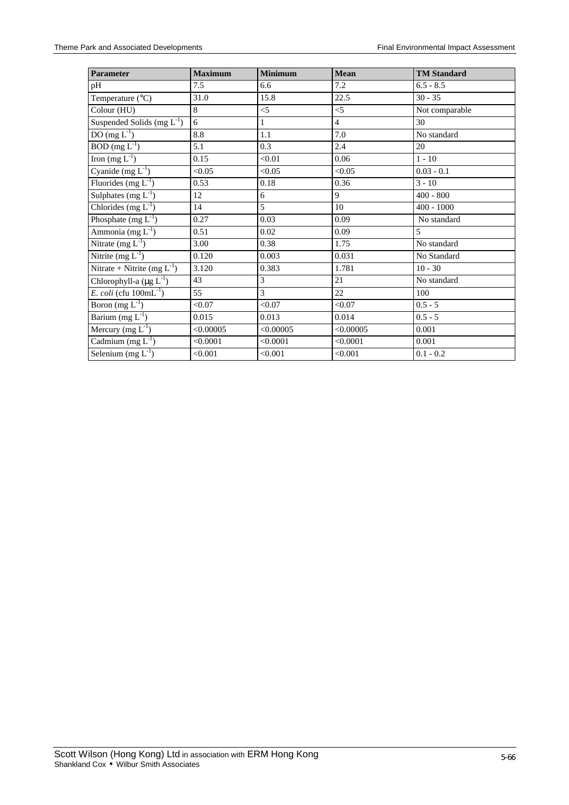| Parameter                           | <b>Maximum</b> | <b>Minimum</b> | <b>Mean</b>    | <b>TM Standard</b> |
|-------------------------------------|----------------|----------------|----------------|--------------------|
| pH                                  | 7.5            | 6.6            | 7.2            | $6.5 - 8.5$        |
| Temperature $(^{\circ}C)$           | 31.0           | 15.8           | 22.5           | $30 - 35$          |
| Colour (HU)                         | 8              | $<$ 5          | $<$ 5          | Not comparable     |
| Suspended Solids (mg $L^{-1}$ )     | 6              | 1              | $\overline{4}$ | 30                 |
| DO $(mg L^{-1})$                    | 8.8            | 1.1            | 7.0            | No standard        |
| $BOD$ (mg $L^{-1}$ )                | 5.1            | 0.3            | 2.4            | 20                 |
| Iron $(mg L^{-1})$                  | 0.15           | < 0.01         | 0.06           | $1 - 10$           |
| Cyanide $(mg L^{-1})$               | < 0.05         | < 0.05         | < 0.05         | $0.03 - 0.1$       |
| Fluorides (mg $L^{-1}$ )            | 0.53           | 0.18           | 0.36           | $3 - 10$           |
| Sulphates $(mg L^{-1})$             | 12             | 6              | 9              | $400 - 800$        |
| Chlorides (mg $L^{-1}$ )            | 14             | 5              | 10             | $400 - 1000$       |
| Phosphate $(mg L^{-1})$             | 0.27           | 0.03           | 0.09           | No standard        |
| Ammonia (mg $L^{-1}$ )              | 0.51           | 0.02           | 0.09           | 5                  |
| Nitrate $(mg L^{-1})$               | 3.00           | 0.38           | 1.75           | No standard        |
| Nitrite $(mg L^{-1})$               | 0.120          | 0.003          | 0.031          | No Standard        |
| Nitrate + Nitrite (mg $L^{-1}$ )    | 3.120          | 0.383          | 1.781          | $10 - 30$          |
| Chlorophyll-a $(\mu g L^{-1})$      | 43             | 3              | 21             | No standard        |
| E. coli (cfu $100 \text{mL}^{-1}$ ) | 55             | 3              | 22             | 100                |
| Boron $(mg L^{-1})$                 | < 0.07         | < 0.07         | < 0.07         | $0.5 - 5$          |
| Barium (mg $L^{-1}$ )               | 0.015          | 0.013          | 0.014          | $0.5 - 5$          |
| Mercury (mg $L^{-1}$ )              | < 0.00005      | < 0.00005      | < 0.00005      | 0.001              |
| Cadmium $(mg L^{-1})$               | < 0.0001       | < 0.0001       | < 0.0001       | 0.001              |
| Selenium $(mg L^{-1})$              | < 0.001        | < 0.001        | < 0.001        | $0.1 - 0.2$        |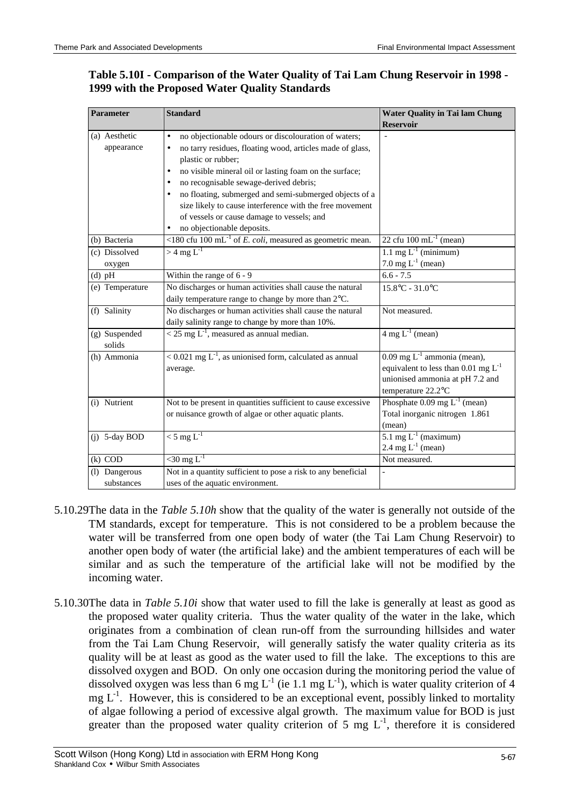# **Table 5.10I - Comparison of the Water Quality of Tai Lam Chung Reservoir in 1998 - 1999 with the Proposed Water Quality Standards**

| <b>Reservoir</b><br>(a) Aesthetic<br>no objectionable odours or discolouration of waters;<br>$\bullet$<br>appearance<br>no tarry residues, floating wood, articles made of glass,<br>$\bullet$<br>plastic or rubber;<br>no visible mineral oil or lasting foam on the surface;<br>$\bullet$<br>no recognisable sewage-derived debris;<br>no floating, submerged and semi-submerged objects of a |  |
|-------------------------------------------------------------------------------------------------------------------------------------------------------------------------------------------------------------------------------------------------------------------------------------------------------------------------------------------------------------------------------------------------|--|
|                                                                                                                                                                                                                                                                                                                                                                                                 |  |
|                                                                                                                                                                                                                                                                                                                                                                                                 |  |
|                                                                                                                                                                                                                                                                                                                                                                                                 |  |
|                                                                                                                                                                                                                                                                                                                                                                                                 |  |
|                                                                                                                                                                                                                                                                                                                                                                                                 |  |
|                                                                                                                                                                                                                                                                                                                                                                                                 |  |
|                                                                                                                                                                                                                                                                                                                                                                                                 |  |
| size likely to cause interference with the free movement                                                                                                                                                                                                                                                                                                                                        |  |
| of vessels or cause damage to vessels; and                                                                                                                                                                                                                                                                                                                                                      |  |
| no objectionable deposits.                                                                                                                                                                                                                                                                                                                                                                      |  |
| $\leq$ 180 cfu 100 mL <sup>-1</sup> of <i>E. coli</i> , measured as geometric mean.<br>22 cfu $100 \text{ mL}^{-1}$ (mean)<br>(b) Bacteria                                                                                                                                                                                                                                                      |  |
| $>$ 4 mg $L^{-1}$<br>1.1 mg $L^{-1}$ (minimum)<br>(c) Dissolved                                                                                                                                                                                                                                                                                                                                 |  |
| 7.0 mg $L^{-1}$ (mean)<br>oxygen                                                                                                                                                                                                                                                                                                                                                                |  |
| $6.6 - 7.5$<br>$(d)$ pH<br>Within the range of 6 - 9                                                                                                                                                                                                                                                                                                                                            |  |
| No discharges or human activities shall cause the natural<br>(e) Temperature<br>$15.8^{\circ}$ C - 31.0 $^{\circ}$ C                                                                                                                                                                                                                                                                            |  |
| daily temperature range to change by more than 2°C.                                                                                                                                                                                                                                                                                                                                             |  |
| No discharges or human activities shall cause the natural<br>(f) Salinity<br>Not measured.                                                                                                                                                                                                                                                                                                      |  |
| daily salinity range to change by more than 10%.                                                                                                                                                                                                                                                                                                                                                |  |
| $\sqrt{25}$ mg L <sup>-1</sup> , measured as annual median.<br>$4 \text{ mg } L^{-1}$ (mean)<br>(g) Suspended                                                                                                                                                                                                                                                                                   |  |
| solids                                                                                                                                                                                                                                                                                                                                                                                          |  |
| $< 0.021$ mg $L^{-1}$ , as unionised form, calculated as annual<br>$0.09$ mg L <sup>-1</sup> ammonia (mean),<br>(h) Ammonia                                                                                                                                                                                                                                                                     |  |
| equivalent to less than 0.01 mg $L^{-1}$<br>average.                                                                                                                                                                                                                                                                                                                                            |  |
| unionised ammonia at pH 7.2 and                                                                                                                                                                                                                                                                                                                                                                 |  |
| temperature 22.2°C                                                                                                                                                                                                                                                                                                                                                                              |  |
| Phosphate $0.09 \text{ mg } L^{-1}$ (mean)<br>Not to be present in quantities sufficient to cause excessive<br>(i) Nutrient                                                                                                                                                                                                                                                                     |  |
| or nuisance growth of algae or other aquatic plants.<br>Total inorganic nitrogen 1.861                                                                                                                                                                                                                                                                                                          |  |
| (mean)                                                                                                                                                                                                                                                                                                                                                                                          |  |
| $<$ 5 mg L <sup>-1</sup><br>5.1 mg $L^{-1}$ (maximum)<br>$(i)$ 5-day BOD                                                                                                                                                                                                                                                                                                                        |  |
| 2.4 mg $L^{-1}$ (mean)                                                                                                                                                                                                                                                                                                                                                                          |  |
| $<$ 30 mg L <sup>-1</sup><br>$(k)$ COD<br>Not measured.                                                                                                                                                                                                                                                                                                                                         |  |
| Not in a quantity sufficient to pose a risk to any beneficial<br>(l) Dangerous                                                                                                                                                                                                                                                                                                                  |  |
| uses of the aquatic environment.<br>substances                                                                                                                                                                                                                                                                                                                                                  |  |

- 5.10.29The data in the *Table 5.10h* show that the quality of the water is generally not outside of the TM standards, except for temperature. This is not considered to be a problem because the water will be transferred from one open body of water (the Tai Lam Chung Reservoir) to another open body of water (the artificial lake) and the ambient temperatures of each will be similar and as such the temperature of the artificial lake will not be modified by the incoming water.
- 5.10.30The data in *Table 5.10i* show that water used to fill the lake is generally at least as good as the proposed water quality criteria. Thus the water quality of the water in the lake, which originates from a combination of clean run-off from the surrounding hillsides and water from the Tai Lam Chung Reservoir, will generally satisfy the water quality criteria as its quality will be at least as good as the water used to fill the lake. The exceptions to this are dissolved oxygen and BOD. On only one occasion during the monitoring period the value of dissolved oxygen was less than 6 mg  $L^{-1}$  (ie 1.1 mg  $L^{-1}$ ), which is water quality criterion of 4  $mg L<sup>-1</sup>$ . However, this is considered to be an exceptional event, possibly linked to mortality of algae following a period of excessive algal growth. The maximum value for BOD is just greater than the proposed water quality criterion of 5 mg  $L^{-1}$ , therefore it is considered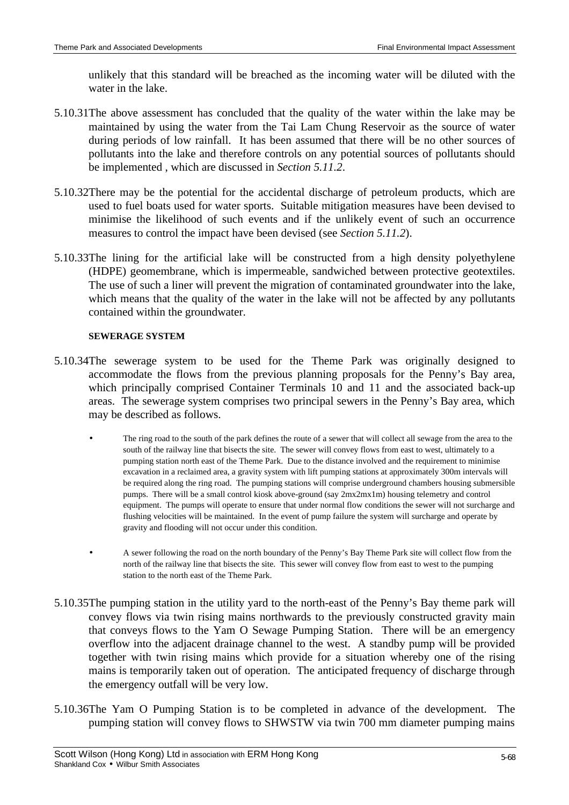unlikely that this standard will be breached as the incoming water will be diluted with the water in the lake.

- 5.10.31The above assessment has concluded that the quality of the water within the lake may be maintained by using the water from the Tai Lam Chung Reservoir as the source of water during periods of low rainfall. It has been assumed that there will be no other sources of pollutants into the lake and therefore controls on any potential sources of pollutants should be implemented , which are discussed in *Section 5.11.2*.
- 5.10.32There may be the potential for the accidental discharge of petroleum products, which are used to fuel boats used for water sports. Suitable mitigation measures have been devised to minimise the likelihood of such events and if the unlikely event of such an occurrence measures to control the impact have been devised (see *Section 5.11.2*).
- 5.10.33The lining for the artificial lake will be constructed from a high density polyethylene (HDPE) geomembrane, which is impermeable, sandwiched between protective geotextiles. The use of such a liner will prevent the migration of contaminated groundwater into the lake, which means that the quality of the water in the lake will not be affected by any pollutants contained within the groundwater.

#### **SEWERAGE SYSTEM**

- 5.10.34The sewerage system to be used for the Theme Park was originally designed to accommodate the flows from the previous planning proposals for the Penny's Bay area, which principally comprised Container Terminals 10 and 11 and the associated back-up areas. The sewerage system comprises two principal sewers in the Penny's Bay area, which may be described as follows.
	- The ring road to the south of the park defines the route of a sewer that will collect all sewage from the area to the south of the railway line that bisects the site. The sewer will convey flows from east to west, ultimately to a pumping station north east of the Theme Park. Due to the distance involved and the requirement to minimise excavation in a reclaimed area, a gravity system with lift pumping stations at approximately 300m intervals will be required along the ring road. The pumping stations will comprise underground chambers housing submersible pumps. There will be a small control kiosk above-ground (say 2mx2mx1m) housing telemetry and control equipment. The pumps will operate to ensure that under normal flow conditions the sewer will not surcharge and flushing velocities will be maintained. In the event of pump failure the system will surcharge and operate by gravity and flooding will not occur under this condition.
	- A sewer following the road on the north boundary of the Penny's Bay Theme Park site will collect flow from the north of the railway line that bisects the site. This sewer will convey flow from east to west to the pumping station to the north east of the Theme Park.
- 5.10.35The pumping station in the utility yard to the north-east of the Penny's Bay theme park will convey flows via twin rising mains northwards to the previously constructed gravity main that conveys flows to the Yam O Sewage Pumping Station. There will be an emergency overflow into the adjacent drainage channel to the west. A standby pump will be provided together with twin rising mains which provide for a situation whereby one of the rising mains is temporarily taken out of operation. The anticipated frequency of discharge through the emergency outfall will be very low.
- 5.10.36The Yam O Pumping Station is to be completed in advance of the development. The pumping station will convey flows to SHWSTW via twin 700 mm diameter pumping mains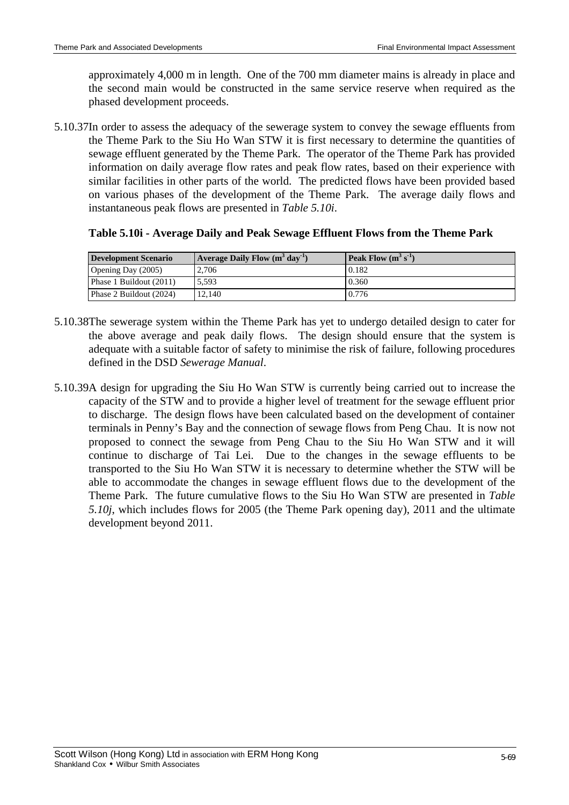approximately 4,000 m in length. One of the 700 mm diameter mains is already in place and the second main would be constructed in the same service reserve when required as the phased development proceeds.

5.10.37In order to assess the adequacy of the sewerage system to convey the sewage effluents from the Theme Park to the Siu Ho Wan STW it is first necessary to determine the quantities of sewage effluent generated by the Theme Park. The operator of the Theme Park has provided information on daily average flow rates and peak flow rates, based on their experience with similar facilities in other parts of the world. The predicted flows have been provided based on various phases of the development of the Theme Park. The average daily flows and instantaneous peak flows are presented in *Table 5.10i*.

|  |  | Table 5.10i - Average Daily and Peak Sewage Effluent Flows from the Theme Park |  |  |
|--|--|--------------------------------------------------------------------------------|--|--|
|  |  |                                                                                |  |  |
|  |  |                                                                                |  |  |
|  |  |                                                                                |  |  |

| Development Scenario    | $\vert$ Average Daily Flow $(m^{3} \, \text{day}^{-1})$ | Peak Flow $(m^3 s^1)$ |
|-------------------------|---------------------------------------------------------|-----------------------|
| Opening Day (2005)      | 2.706                                                   | 0.182                 |
| Phase 1 Buildout (2011) | 5.593                                                   | 0.360                 |
| Phase 2 Buildout (2024) | 12.140                                                  | 0.776                 |

- 5.10.38The sewerage system within the Theme Park has yet to undergo detailed design to cater for the above average and peak daily flows. The design should ensure that the system is adequate with a suitable factor of safety to minimise the risk of failure, following procedures defined in the DSD *Sewerage Manual*.
- 5.10.39A design for upgrading the Siu Ho Wan STW is currently being carried out to increase the capacity of the STW and to provide a higher level of treatment for the sewage effluent prior to discharge. The design flows have been calculated based on the development of container terminals in Penny's Bay and the connection of sewage flows from Peng Chau. It is now not proposed to connect the sewage from Peng Chau to the Siu Ho Wan STW and it will continue to discharge of Tai Lei. Due to the changes in the sewage effluents to be transported to the Siu Ho Wan STW it is necessary to determine whether the STW will be able to accommodate the changes in sewage effluent flows due to the development of the Theme Park. The future cumulative flows to the Siu Ho Wan STW are presented in *Table 5.10j*, which includes flows for 2005 (the Theme Park opening day), 2011 and the ultimate development beyond 2011.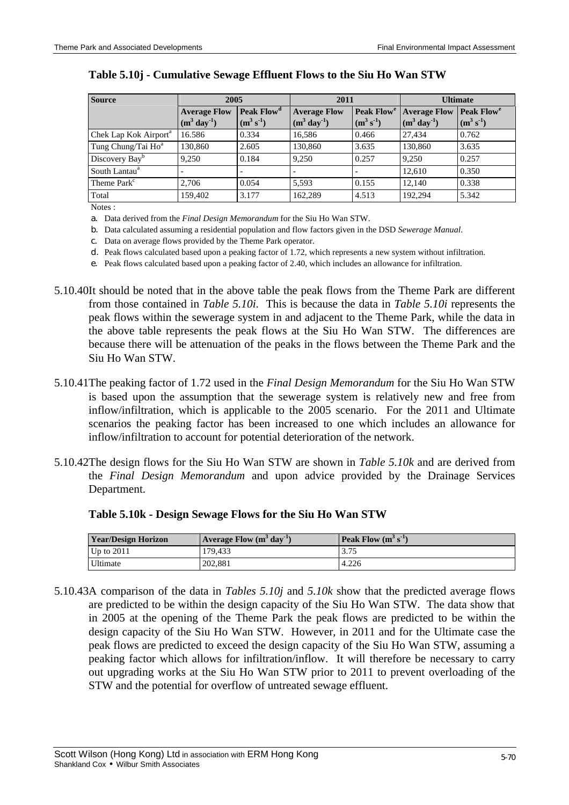| <b>Source</b>                     | 2005                                       |                                                 | 2011                                      |                                          | <b>Ultimate</b>                            |                                                |
|-----------------------------------|--------------------------------------------|-------------------------------------------------|-------------------------------------------|------------------------------------------|--------------------------------------------|------------------------------------------------|
|                                   | <b>Average Flow</b><br>$(m^3 \, day^{-1})$ | Peak Flow <sup>a</sup><br>$(m^3 s^{\text{-}1})$ | <b>Average Flow</b><br>$(m^3 \,day^{-1})$ | Peak Flow <sup>e</sup><br>$(m^3 s^{-1})$ | <b>Average Flow</b><br>$(m^3 \, day^{-1})$ | <b>Peak Flow<sup>e</sup></b><br>$(m^3 s^{-1})$ |
| Chek Lap Kok Airport <sup>a</sup> | 16.586                                     | 0.334                                           | 16,586                                    | 0.466                                    | 27,434                                     | 0.762                                          |
| Tung Chung/Tai Ho <sup>a</sup>    | 130.860                                    | 2.605                                           | 130,860                                   | 3.635                                    | 130,860                                    | 3.635                                          |
| Discovery Bay <sup>b</sup>        | 9,250                                      | 0.184                                           | 9.250                                     | 0.257                                    | 9.250                                      | 0.257                                          |
| South Lantau <sup>a</sup>         |                                            |                                                 |                                           |                                          | 12.610                                     | 0.350                                          |
| Theme Park <sup>c</sup>           | 2.706                                      | 0.054                                           | 5.593                                     | 0.155                                    | 12.140                                     | 0.338                                          |
| Total                             | 159,402                                    | 3.177                                           | 162,289                                   | 4.513                                    | 192,294                                    | 5.342                                          |

#### **Table 5.10j - Cumulative Sewage Effluent Flows to the Siu Ho Wan STW**

Notes :

a. Data derived from the *Final Design Memorandum* for the Siu Ho Wan STW.

b. Data calculated assuming a residential population and flow factors given in the DSD *Sewerage Manual*.

c. Data on average flows provided by the Theme Park operator.

d. Peak flows calculated based upon a peaking factor of 1.72, which represents a new system without infiltration.

e. Peak flows calculated based upon a peaking factor of 2.40, which includes an allowance for infiltration.

- 5.10.40It should be noted that in the above table the peak flows from the Theme Park are different from those contained in *Table 5.10i*. This is because the data in *Table 5.10i* represents the peak flows within the sewerage system in and adjacent to the Theme Park, while the data in the above table represents the peak flows at the Siu Ho Wan STW. The differences are because there will be attenuation of the peaks in the flows between the Theme Park and the Siu Ho Wan STW.
- 5.10.41The peaking factor of 1.72 used in the *Final Design Memorandum* for the Siu Ho Wan STW is based upon the assumption that the sewerage system is relatively new and free from inflow/infiltration, which is applicable to the 2005 scenario. For the 2011 and Ultimate scenarios the peaking factor has been increased to one which includes an allowance for inflow/infiltration to account for potential deterioration of the network.
- 5.10.42The design flows for the Siu Ho Wan STW are shown in *Table 5.10k* and are derived from the *Final Design Memorandum* and upon advice provided by the Drainage Services Department.

| <b>Year/Design Horizon</b> | Average Flow $(m^3 \, \text{day}^{-1})$ | <b>Peak Flow</b> $(m^3 s^{-1})$ |
|----------------------------|-----------------------------------------|---------------------------------|
| Up to $2011$               | 179.433                                 | 3.75                            |
| Ultimate                   | 202,881                                 | 4.226                           |

### **Table 5.10k - Design Sewage Flows for the Siu Ho Wan STW**

5.10.43A comparison of the data in *Tables 5.10j* and *5.10k* show that the predicted average flows are predicted to be within the design capacity of the Siu Ho Wan STW. The data show that in 2005 at the opening of the Theme Park the peak flows are predicted to be within the design capacity of the Siu Ho Wan STW. However, in 2011 and for the Ultimate case the peak flows are predicted to exceed the design capacity of the Siu Ho Wan STW, assuming a peaking factor which allows for infiltration/inflow. It will therefore be necessary to carry out upgrading works at the Siu Ho Wan STW prior to 2011 to prevent overloading of the STW and the potential for overflow of untreated sewage effluent.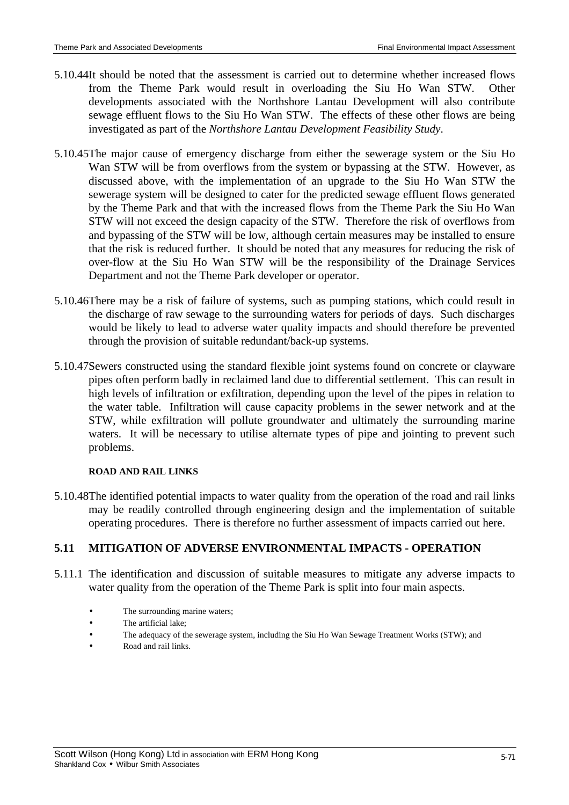- 5.10.44It should be noted that the assessment is carried out to determine whether increased flows from the Theme Park would result in overloading the Siu Ho Wan STW. Other developments associated with the Northshore Lantau Development will also contribute sewage effluent flows to the Siu Ho Wan STW. The effects of these other flows are being investigated as part of the *Northshore Lantau Development Feasibility Study*.
- 5.10.45The major cause of emergency discharge from either the sewerage system or the Siu Ho Wan STW will be from overflows from the system or bypassing at the STW. However, as discussed above, with the implementation of an upgrade to the Siu Ho Wan STW the sewerage system will be designed to cater for the predicted sewage effluent flows generated by the Theme Park and that with the increased flows from the Theme Park the Siu Ho Wan STW will not exceed the design capacity of the STW. Therefore the risk of overflows from and bypassing of the STW will be low, although certain measures may be installed to ensure that the risk is reduced further. It should be noted that any measures for reducing the risk of over-flow at the Siu Ho Wan STW will be the responsibility of the Drainage Services Department and not the Theme Park developer or operator.
- 5.10.46There may be a risk of failure of systems, such as pumping stations, which could result in the discharge of raw sewage to the surrounding waters for periods of days. Such discharges would be likely to lead to adverse water quality impacts and should therefore be prevented through the provision of suitable redundant/back-up systems.
- 5.10.47Sewers constructed using the standard flexible joint systems found on concrete or clayware pipes often perform badly in reclaimed land due to differential settlement. This can result in high levels of infiltration or exfiltration, depending upon the level of the pipes in relation to the water table. Infiltration will cause capacity problems in the sewer network and at the STW, while exfiltration will pollute groundwater and ultimately the surrounding marine waters. It will be necessary to utilise alternate types of pipe and jointing to prevent such problems.

#### **ROAD AND RAIL LINKS**

5.10.48The identified potential impacts to water quality from the operation of the road and rail links may be readily controlled through engineering design and the implementation of suitable operating procedures. There is therefore no further assessment of impacts carried out here.

### **5.11 MITIGATION OF ADVERSE ENVIRONMENTAL IMPACTS - OPERATION**

- 5.11.1 The identification and discussion of suitable measures to mitigate any adverse impacts to water quality from the operation of the Theme Park is split into four main aspects.
	- The surrounding marine waters;
	- The artificial lake;
	- The adequacy of the sewerage system, including the Siu Ho Wan Sewage Treatment Works (STW); and
	- Road and rail links.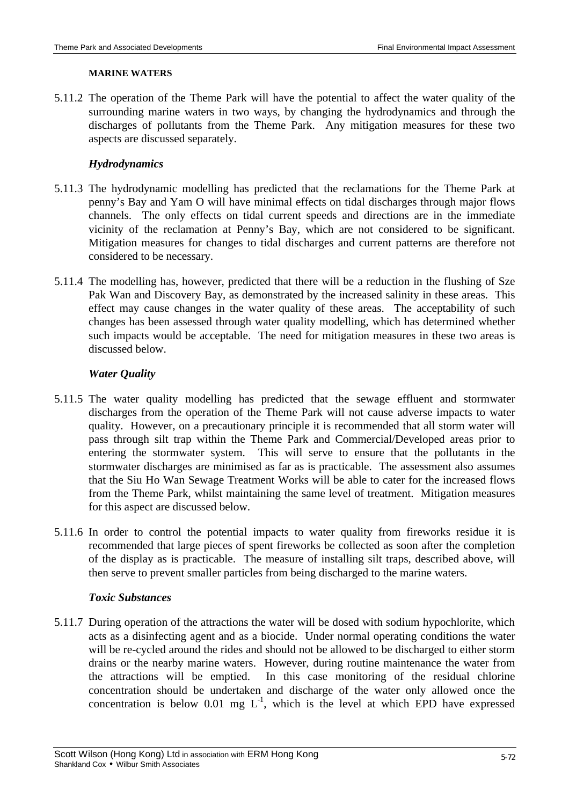#### **MARINE WATERS**

5.11.2 The operation of the Theme Park will have the potential to affect the water quality of the surrounding marine waters in two ways, by changing the hydrodynamics and through the discharges of pollutants from the Theme Park. Any mitigation measures for these two aspects are discussed separately.

### *Hydrodynamics*

- 5.11.3 The hydrodynamic modelling has predicted that the reclamations for the Theme Park at penny's Bay and Yam O will have minimal effects on tidal discharges through major flows channels. The only effects on tidal current speeds and directions are in the immediate vicinity of the reclamation at Penny's Bay, which are not considered to be significant. Mitigation measures for changes to tidal discharges and current patterns are therefore not considered to be necessary.
- 5.11.4 The modelling has, however, predicted that there will be a reduction in the flushing of Sze Pak Wan and Discovery Bay, as demonstrated by the increased salinity in these areas. This effect may cause changes in the water quality of these areas. The acceptability of such changes has been assessed through water quality modelling, which has determined whether such impacts would be acceptable. The need for mitigation measures in these two areas is discussed below.

#### *Water Quality*

- 5.11.5 The water quality modelling has predicted that the sewage effluent and stormwater discharges from the operation of the Theme Park will not cause adverse impacts to water quality. However, on a precautionary principle it is recommended that all storm water will pass through silt trap within the Theme Park and Commercial/Developed areas prior to entering the stormwater system. This will serve to ensure that the pollutants in the stormwater discharges are minimised as far as is practicable. The assessment also assumes that the Siu Ho Wan Sewage Treatment Works will be able to cater for the increased flows from the Theme Park, whilst maintaining the same level of treatment. Mitigation measures for this aspect are discussed below.
- 5.11.6 In order to control the potential impacts to water quality from fireworks residue it is recommended that large pieces of spent fireworks be collected as soon after the completion of the display as is practicable. The measure of installing silt traps, described above, will then serve to prevent smaller particles from being discharged to the marine waters.

### *Toxic Substances*

5.11.7 During operation of the attractions the water will be dosed with sodium hypochlorite, which acts as a disinfecting agent and as a biocide. Under normal operating conditions the water will be re-cycled around the rides and should not be allowed to be discharged to either storm drains or the nearby marine waters. However, during routine maintenance the water from the attractions will be emptied. In this case monitoring of the residual chlorine concentration should be undertaken and discharge of the water only allowed once the concentration is below 0.01 mg  $L^{-1}$ , which is the level at which EPD have expressed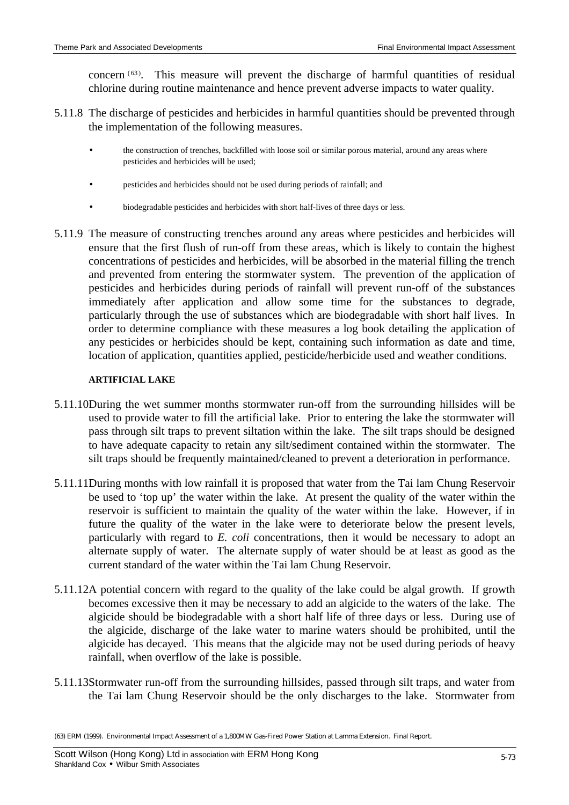concern (63). This measure will prevent the discharge of harmful quantities of residual chlorine during routine maintenance and hence prevent adverse impacts to water quality.

- 5.11.8 The discharge of pesticides and herbicides in harmful quantities should be prevented through the implementation of the following measures.
	- the construction of trenches, backfilled with loose soil or similar porous material, around any areas where pesticides and herbicides will be used;
	- pesticides and herbicides should not be used during periods of rainfall; and
	- biodegradable pesticides and herbicides with short half-lives of three days or less.
- 5.11.9 The measure of constructing trenches around any areas where pesticides and herbicides will ensure that the first flush of run-off from these areas, which is likely to contain the highest concentrations of pesticides and herbicides, will be absorbed in the material filling the trench and prevented from entering the stormwater system. The prevention of the application of pesticides and herbicides during periods of rainfall will prevent run-off of the substances immediately after application and allow some time for the substances to degrade, particularly through the use of substances which are biodegradable with short half lives. In order to determine compliance with these measures a log book detailing the application of any pesticides or herbicides should be kept, containing such information as date and time, location of application, quantities applied, pesticide/herbicide used and weather conditions.

#### **ARTIFICIAL LAKE**

- 5.11.10During the wet summer months stormwater run-off from the surrounding hillsides will be used to provide water to fill the artificial lake. Prior to entering the lake the stormwater will pass through silt traps to prevent siltation within the lake. The silt traps should be designed to have adequate capacity to retain any silt/sediment contained within the stormwater. The silt traps should be frequently maintained/cleaned to prevent a deterioration in performance.
- 5.11.11During months with low rainfall it is proposed that water from the Tai lam Chung Reservoir be used to 'top up' the water within the lake. At present the quality of the water within the reservoir is sufficient to maintain the quality of the water within the lake. However, if in future the quality of the water in the lake were to deteriorate below the present levels, particularly with regard to *E. coli* concentrations, then it would be necessary to adopt an alternate supply of water. The alternate supply of water should be at least as good as the current standard of the water within the Tai lam Chung Reservoir.
- 5.11.12A potential concern with regard to the quality of the lake could be algal growth. If growth becomes excessive then it may be necessary to add an algicide to the waters of the lake. The algicide should be biodegradable with a short half life of three days or less. During use of the algicide, discharge of the lake water to marine waters should be prohibited, until the algicide has decayed. This means that the algicide may not be used during periods of heavy rainfall, when overflow of the lake is possible.
- 5.11.13Stormwater run-off from the surrounding hillsides, passed through silt traps, and water from the Tai lam Chung Reservoir should be the only discharges to the lake. Stormwater from

<sup>(63)</sup> ERM (1999). Environmental Impact Assessment of a 1,800MW Gas-Fired Power Station at Lamma Extension. Final Report.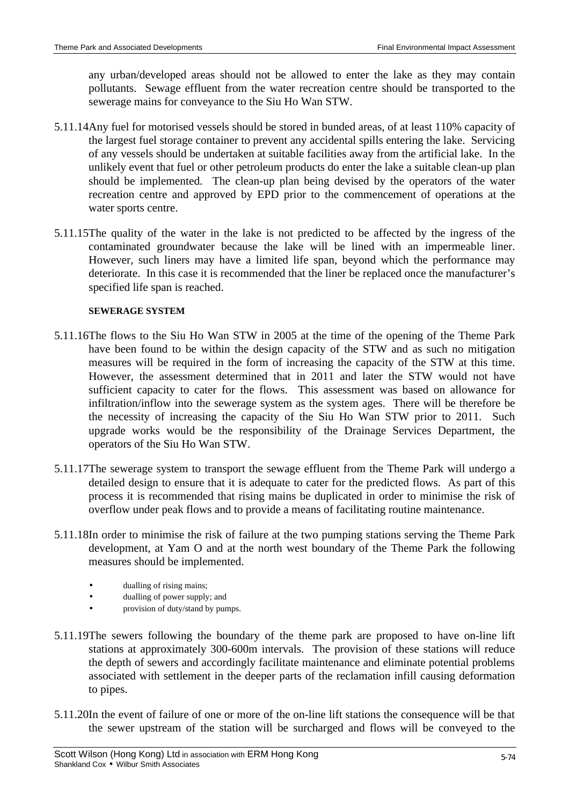any urban/developed areas should not be allowed to enter the lake as they may contain pollutants. Sewage effluent from the water recreation centre should be transported to the sewerage mains for conveyance to the Siu Ho Wan STW.

- 5.11.14Any fuel for motorised vessels should be stored in bunded areas, of at least 110% capacity of the largest fuel storage container to prevent any accidental spills entering the lake. Servicing of any vessels should be undertaken at suitable facilities away from the artificial lake. In the unlikely event that fuel or other petroleum products do enter the lake a suitable clean-up plan should be implemented. The clean-up plan being devised by the operators of the water recreation centre and approved by EPD prior to the commencement of operations at the water sports centre.
- 5.11.15The quality of the water in the lake is not predicted to be affected by the ingress of the contaminated groundwater because the lake will be lined with an impermeable liner. However, such liners may have a limited life span, beyond which the performance may deteriorate. In this case it is recommended that the liner be replaced once the manufacturer's specified life span is reached.

### **SEWERAGE SYSTEM**

- 5.11.16The flows to the Siu Ho Wan STW in 2005 at the time of the opening of the Theme Park have been found to be within the design capacity of the STW and as such no mitigation measures will be required in the form of increasing the capacity of the STW at this time. However, the assessment determined that in 2011 and later the STW would not have sufficient capacity to cater for the flows. This assessment was based on allowance for infiltration/inflow into the sewerage system as the system ages. There will be therefore be the necessity of increasing the capacity of the Siu Ho Wan STW prior to 2011. Such upgrade works would be the responsibility of the Drainage Services Department, the operators of the Siu Ho Wan STW.
- 5.11.17The sewerage system to transport the sewage effluent from the Theme Park will undergo a detailed design to ensure that it is adequate to cater for the predicted flows. As part of this process it is recommended that rising mains be duplicated in order to minimise the risk of overflow under peak flows and to provide a means of facilitating routine maintenance.
- 5.11.18In order to minimise the risk of failure at the two pumping stations serving the Theme Park development, at Yam O and at the north west boundary of the Theme Park the following measures should be implemented.
	- dualling of rising mains;
	- dualling of power supply; and
	- provision of duty/stand by pumps.
- 5.11.19The sewers following the boundary of the theme park are proposed to have on-line lift stations at approximately 300-600m intervals. The provision of these stations will reduce the depth of sewers and accordingly facilitate maintenance and eliminate potential problems associated with settlement in the deeper parts of the reclamation infill causing deformation to pipes.
- 5.11.20In the event of failure of one or more of the on-line lift stations the consequence will be that the sewer upstream of the station will be surcharged and flows will be conveyed to the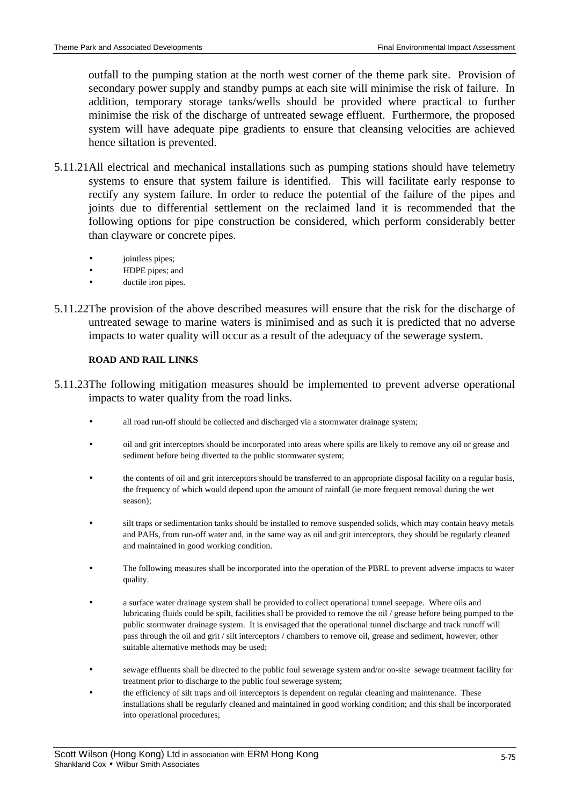outfall to the pumping station at the north west corner of the theme park site. Provision of secondary power supply and standby pumps at each site will minimise the risk of failure. In addition, temporary storage tanks/wells should be provided where practical to further minimise the risk of the discharge of untreated sewage effluent. Furthermore, the proposed system will have adequate pipe gradients to ensure that cleansing velocities are achieved hence siltation is prevented.

- 5.11.21All electrical and mechanical installations such as pumping stations should have telemetry systems to ensure that system failure is identified. This will facilitate early response to rectify any system failure. In order to reduce the potential of the failure of the pipes and joints due to differential settlement on the reclaimed land it is recommended that the following options for pipe construction be considered, which perform considerably better than clayware or concrete pipes.
	- jointless pipes;
	- HDPE pipes; and
	- ductile iron pipes.
- 5.11.22The provision of the above described measures will ensure that the risk for the discharge of untreated sewage to marine waters is minimised and as such it is predicted that no adverse impacts to water quality will occur as a result of the adequacy of the sewerage system.

#### **ROAD AND RAIL LINKS**

- 5.11.23The following mitigation measures should be implemented to prevent adverse operational impacts to water quality from the road links.
	- all road run-off should be collected and discharged via a stormwater drainage system;
	- oil and grit interceptors should be incorporated into areas where spills are likely to remove any oil or grease and sediment before being diverted to the public stormwater system;
	- the contents of oil and grit interceptors should be transferred to an appropriate disposal facility on a regular basis, the frequency of which would depend upon the amount of rainfall (ie more frequent removal during the wet season);
	- silt traps or sedimentation tanks should be installed to remove suspended solids, which may contain heavy metals and PAHs, from run-off water and, in the same way as oil and grit interceptors, they should be regularly cleaned and maintained in good working condition.
	- The following measures shall be incorporated into the operation of the PBRL to prevent adverse impacts to water quality.
	- a surface water drainage system shall be provided to collect operational tunnel seepage. Where oils and lubricating fluids could be spilt, facilities shall be provided to remove the oil / grease before being pumped to the public stormwater drainage system. It is envisaged that the operational tunnel discharge and track runoff will pass through the oil and grit / silt interceptors / chambers to remove oil, grease and sediment, however, other suitable alternative methods may be used;
	- sewage effluents shall be directed to the public foul sewerage system and/or on-site sewage treatment facility for treatment prior to discharge to the public foul sewerage system;
	- the efficiency of silt traps and oil interceptors is dependent on regular cleaning and maintenance. These installations shall be regularly cleaned and maintained in good working condition; and this shall be incorporated into operational procedures;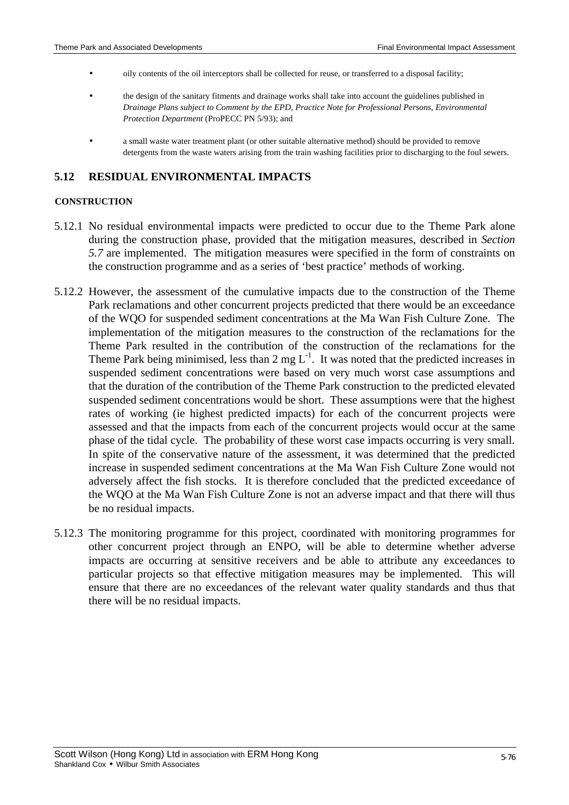- oily contents of the oil interceptors shall be collected for reuse, or transferred to a disposal facility;
- the design of the sanitary fitments and drainage works shall take into account the guidelines published in *Drainage Plans subject to Comment by the EPD*, *Practice Note for Professional Persons*, *Environmental Protection Department* (ProPECC PN 5/93); and
- a small waste water treatment plant (or other suitable alternative method) should be provided to remove detergents from the waste waters arising from the train washing facilities prior to discharging to the foul sewers.

## **5.12 RESIDUAL ENVIRONMENTAL IMPACTS**

#### **CONSTRUCTION**

- 5.12.1 No residual environmental impacts were predicted to occur due to the Theme Park alone during the construction phase, provided that the mitigation measures, described in *Section 5.7* are implemented. The mitigation measures were specified in the form of constraints on the construction programme and as a series of 'best practice' methods of working.
- 5.12.2 However, the assessment of the cumulative impacts due to the construction of the Theme Park reclamations and other concurrent projects predicted that there would be an exceedance of the WQO for suspended sediment concentrations at the Ma Wan Fish Culture Zone. The implementation of the mitigation measures to the construction of the reclamations for the Theme Park resulted in the contribution of the construction of the reclamations for the Theme Park being minimised, less than 2 mg  $L^{-1}$ . It was noted that the predicted increases in suspended sediment concentrations were based on very much worst case assumptions and that the duration of the contribution of the Theme Park construction to the predicted elevated suspended sediment concentrations would be short. These assumptions were that the highest rates of working (ie highest predicted impacts) for each of the concurrent projects were assessed and that the impacts from each of the concurrent projects would occur at the same phase of the tidal cycle. The probability of these worst case impacts occurring is very small. In spite of the conservative nature of the assessment, it was determined that the predicted increase in suspended sediment concentrations at the Ma Wan Fish Culture Zone would not adversely affect the fish stocks. It is therefore concluded that the predicted exceedance of the WQO at the Ma Wan Fish Culture Zone is not an adverse impact and that there will thus be no residual impacts.
- 5.12.3 The monitoring programme for this project, coordinated with monitoring programmes for other concurrent project through an ENPO, will be able to determine whether adverse impacts are occurring at sensitive receivers and be able to attribute any exceedances to particular projects so that effective mitigation measures may be implemented. This will ensure that there are no exceedances of the relevant water quality standards and thus that there will be no residual impacts.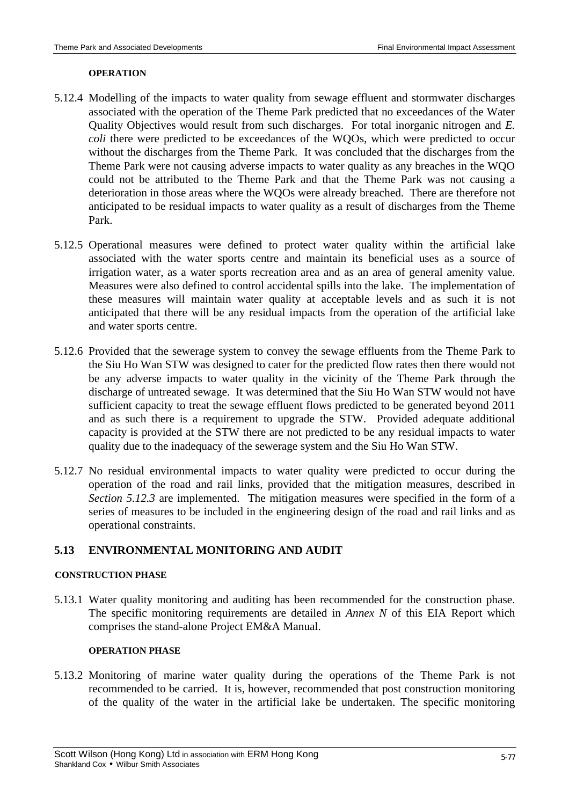#### **OPERATION**

- 5.12.4 Modelling of the impacts to water quality from sewage effluent and stormwater discharges associated with the operation of the Theme Park predicted that no exceedances of the Water Quality Objectives would result from such discharges. For total inorganic nitrogen and *E. coli* there were predicted to be exceedances of the WQOs, which were predicted to occur without the discharges from the Theme Park. It was concluded that the discharges from the Theme Park were not causing adverse impacts to water quality as any breaches in the WQO could not be attributed to the Theme Park and that the Theme Park was not causing a deterioration in those areas where the WQOs were already breached. There are therefore not anticipated to be residual impacts to water quality as a result of discharges from the Theme Park.
- 5.12.5 Operational measures were defined to protect water quality within the artificial lake associated with the water sports centre and maintain its beneficial uses as a source of irrigation water, as a water sports recreation area and as an area of general amenity value. Measures were also defined to control accidental spills into the lake. The implementation of these measures will maintain water quality at acceptable levels and as such it is not anticipated that there will be any residual impacts from the operation of the artificial lake and water sports centre.
- 5.12.6 Provided that the sewerage system to convey the sewage effluents from the Theme Park to the Siu Ho Wan STW was designed to cater for the predicted flow rates then there would not be any adverse impacts to water quality in the vicinity of the Theme Park through the discharge of untreated sewage. It was determined that the Siu Ho Wan STW would not have sufficient capacity to treat the sewage effluent flows predicted to be generated beyond 2011 and as such there is a requirement to upgrade the STW. Provided adequate additional capacity is provided at the STW there are not predicted to be any residual impacts to water quality due to the inadequacy of the sewerage system and the Siu Ho Wan STW.
- 5.12.7 No residual environmental impacts to water quality were predicted to occur during the operation of the road and rail links, provided that the mitigation measures, described in *Section 5.12.3* are implemented. The mitigation measures were specified in the form of a series of measures to be included in the engineering design of the road and rail links and as operational constraints.

## **5.13 ENVIRONMENTAL MONITORING AND AUDIT**

### **CONSTRUCTION PHASE**

5.13.1 Water quality monitoring and auditing has been recommended for the construction phase. The specific monitoring requirements are detailed in *Annex N* of this EIA Report which comprises the stand-alone Project EM&A Manual.

#### **OPERATION PHASE**

5.13.2 Monitoring of marine water quality during the operations of the Theme Park is not recommended to be carried. It is, however, recommended that post construction monitoring of the quality of the water in the artificial lake be undertaken. The specific monitoring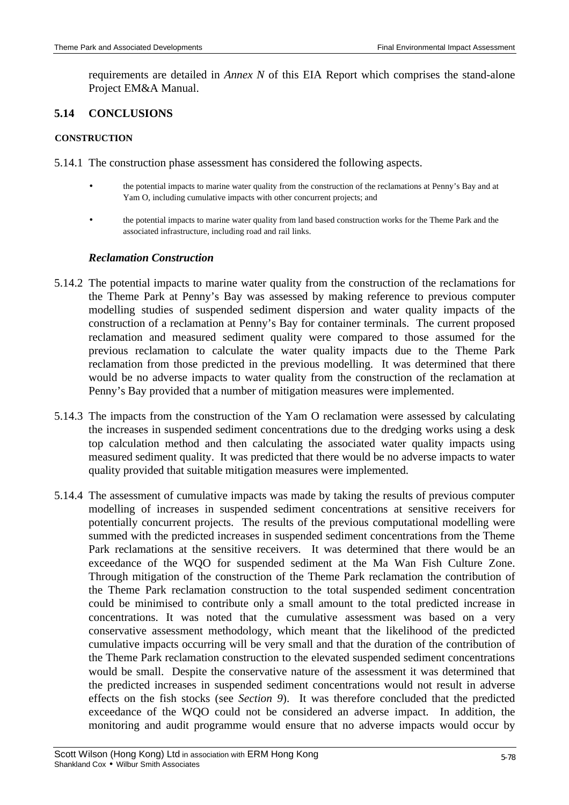requirements are detailed in *Annex N* of this EIA Report which comprises the stand-alone Project EM&A Manual.

## **5.14 CONCLUSIONS**

#### **CONSTRUCTION**

- 5.14.1 The construction phase assessment has considered the following aspects.
	- the potential impacts to marine water quality from the construction of the reclamations at Penny's Bay and at Yam O, including cumulative impacts with other concurrent projects; and
	- the potential impacts to marine water quality from land based construction works for the Theme Park and the associated infrastructure, including road and rail links.

## *Reclamation Construction*

- 5.14.2 The potential impacts to marine water quality from the construction of the reclamations for the Theme Park at Penny's Bay was assessed by making reference to previous computer modelling studies of suspended sediment dispersion and water quality impacts of the construction of a reclamation at Penny's Bay for container terminals. The current proposed reclamation and measured sediment quality were compared to those assumed for the previous reclamation to calculate the water quality impacts due to the Theme Park reclamation from those predicted in the previous modelling. It was determined that there would be no adverse impacts to water quality from the construction of the reclamation at Penny's Bay provided that a number of mitigation measures were implemented.
- 5.14.3 The impacts from the construction of the Yam O reclamation were assessed by calculating the increases in suspended sediment concentrations due to the dredging works using a desk top calculation method and then calculating the associated water quality impacts using measured sediment quality. It was predicted that there would be no adverse impacts to water quality provided that suitable mitigation measures were implemented.
- 5.14.4 The assessment of cumulative impacts was made by taking the results of previous computer modelling of increases in suspended sediment concentrations at sensitive receivers for potentially concurrent projects. The results of the previous computational modelling were summed with the predicted increases in suspended sediment concentrations from the Theme Park reclamations at the sensitive receivers. It was determined that there would be an exceedance of the WQO for suspended sediment at the Ma Wan Fish Culture Zone. Through mitigation of the construction of the Theme Park reclamation the contribution of the Theme Park reclamation construction to the total suspended sediment concentration could be minimised to contribute only a small amount to the total predicted increase in concentrations. It was noted that the cumulative assessment was based on a very conservative assessment methodology, which meant that the likelihood of the predicted cumulative impacts occurring will be very small and that the duration of the contribution of the Theme Park reclamation construction to the elevated suspended sediment concentrations would be small. Despite the conservative nature of the assessment it was determined that the predicted increases in suspended sediment concentrations would not result in adverse effects on the fish stocks (see *Section 9*). It was therefore concluded that the predicted exceedance of the WQO could not be considered an adverse impact. In addition, the monitoring and audit programme would ensure that no adverse impacts would occur by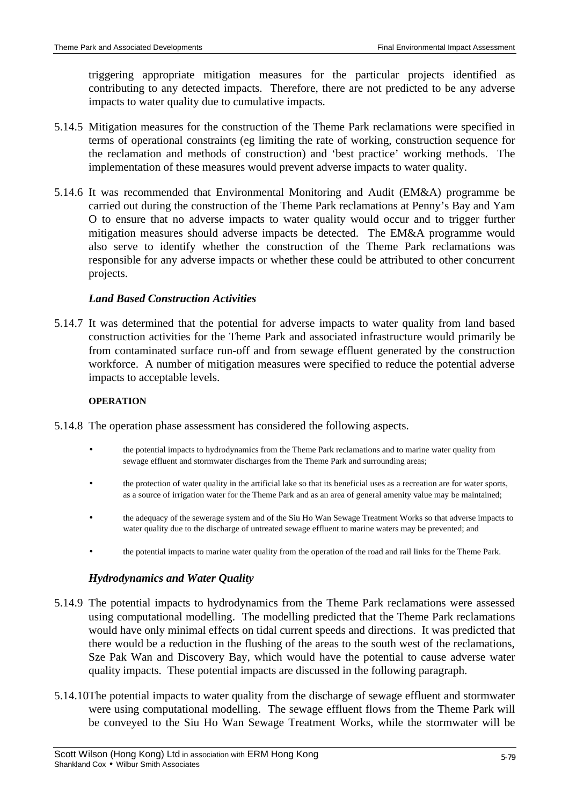triggering appropriate mitigation measures for the particular projects identified as contributing to any detected impacts. Therefore, there are not predicted to be any adverse impacts to water quality due to cumulative impacts.

- 5.14.5 Mitigation measures for the construction of the Theme Park reclamations were specified in terms of operational constraints (eg limiting the rate of working, construction sequence for the reclamation and methods of construction) and 'best practice' working methods. The implementation of these measures would prevent adverse impacts to water quality.
- 5.14.6 It was recommended that Environmental Monitoring and Audit (EM&A) programme be carried out during the construction of the Theme Park reclamations at Penny's Bay and Yam O to ensure that no adverse impacts to water quality would occur and to trigger further mitigation measures should adverse impacts be detected. The EM&A programme would also serve to identify whether the construction of the Theme Park reclamations was responsible for any adverse impacts or whether these could be attributed to other concurrent projects.

## *Land Based Construction Activities*

5.14.7 It was determined that the potential for adverse impacts to water quality from land based construction activities for the Theme Park and associated infrastructure would primarily be from contaminated surface run-off and from sewage effluent generated by the construction workforce. A number of mitigation measures were specified to reduce the potential adverse impacts to acceptable levels.

### **OPERATION**

- 5.14.8 The operation phase assessment has considered the following aspects.
	- the potential impacts to hydrodynamics from the Theme Park reclamations and to marine water quality from sewage effluent and stormwater discharges from the Theme Park and surrounding areas;
	- the protection of water quality in the artificial lake so that its beneficial uses as a recreation are for water sports, as a source of irrigation water for the Theme Park and as an area of general amenity value may be maintained;
	- the adequacy of the sewerage system and of the Siu Ho Wan Sewage Treatment Works so that adverse impacts to water quality due to the discharge of untreated sewage effluent to marine waters may be prevented; and
	- the potential impacts to marine water quality from the operation of the road and rail links for the Theme Park.

## *Hydrodynamics and Water Quality*

- 5.14.9 The potential impacts to hydrodynamics from the Theme Park reclamations were assessed using computational modelling. The modelling predicted that the Theme Park reclamations would have only minimal effects on tidal current speeds and directions. It was predicted that there would be a reduction in the flushing of the areas to the south west of the reclamations, Sze Pak Wan and Discovery Bay, which would have the potential to cause adverse water quality impacts. These potential impacts are discussed in the following paragraph.
- 5.14.10The potential impacts to water quality from the discharge of sewage effluent and stormwater were using computational modelling. The sewage effluent flows from the Theme Park will be conveyed to the Siu Ho Wan Sewage Treatment Works, while the stormwater will be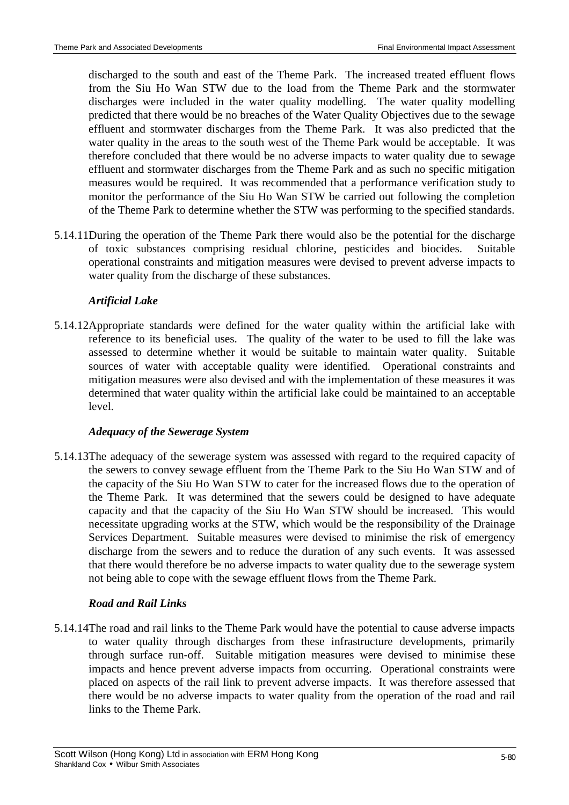discharged to the south and east of the Theme Park. The increased treated effluent flows from the Siu Ho Wan STW due to the load from the Theme Park and the stormwater discharges were included in the water quality modelling. The water quality modelling predicted that there would be no breaches of the Water Quality Objectives due to the sewage effluent and stormwater discharges from the Theme Park. It was also predicted that the water quality in the areas to the south west of the Theme Park would be acceptable. It was therefore concluded that there would be no adverse impacts to water quality due to sewage effluent and stormwater discharges from the Theme Park and as such no specific mitigation measures would be required. It was recommended that a performance verification study to monitor the performance of the Siu Ho Wan STW be carried out following the completion of the Theme Park to determine whether the STW was performing to the specified standards.

5.14.11During the operation of the Theme Park there would also be the potential for the discharge of toxic substances comprising residual chlorine, pesticides and biocides. Suitable operational constraints and mitigation measures were devised to prevent adverse impacts to water quality from the discharge of these substances.

# *Artificial Lake*

5.14.12Appropriate standards were defined for the water quality within the artificial lake with reference to its beneficial uses. The quality of the water to be used to fill the lake was assessed to determine whether it would be suitable to maintain water quality. Suitable sources of water with acceptable quality were identified. Operational constraints and mitigation measures were also devised and with the implementation of these measures it was determined that water quality within the artificial lake could be maintained to an acceptable level.

# *Adequacy of the Sewerage System*

5.14.13The adequacy of the sewerage system was assessed with regard to the required capacity of the sewers to convey sewage effluent from the Theme Park to the Siu Ho Wan STW and of the capacity of the Siu Ho Wan STW to cater for the increased flows due to the operation of the Theme Park. It was determined that the sewers could be designed to have adequate capacity and that the capacity of the Siu Ho Wan STW should be increased. This would necessitate upgrading works at the STW, which would be the responsibility of the Drainage Services Department. Suitable measures were devised to minimise the risk of emergency discharge from the sewers and to reduce the duration of any such events. It was assessed that there would therefore be no adverse impacts to water quality due to the sewerage system not being able to cope with the sewage effluent flows from the Theme Park.

# *Road and Rail Links*

5.14.14The road and rail links to the Theme Park would have the potential to cause adverse impacts to water quality through discharges from these infrastructure developments, primarily through surface run-off. Suitable mitigation measures were devised to minimise these impacts and hence prevent adverse impacts from occurring. Operational constraints were placed on aspects of the rail link to prevent adverse impacts. It was therefore assessed that there would be no adverse impacts to water quality from the operation of the road and rail links to the Theme Park.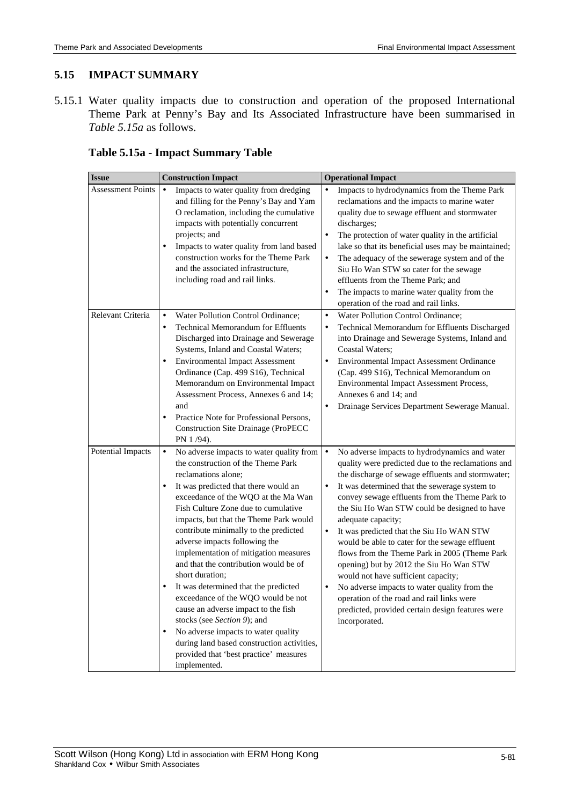# **5.15 IMPACT SUMMARY**

5.15.1 Water quality impacts due to construction and operation of the proposed International Theme Park at Penny's Bay and Its Associated Infrastructure have been summarised in *Table 5.15a* as follows.

| <b>Issue</b>             | <b>Construction Impact</b>                                                                                                                                                                                                                                                                                                                                                                                                                                                                                                                                                                                                                                                                                                                                                             | <b>Operational Impact</b>                                                                                                                                                                                                                                                                                                                                                                                                                                                                                                                                                                                                                                                                                                                                                                |
|--------------------------|----------------------------------------------------------------------------------------------------------------------------------------------------------------------------------------------------------------------------------------------------------------------------------------------------------------------------------------------------------------------------------------------------------------------------------------------------------------------------------------------------------------------------------------------------------------------------------------------------------------------------------------------------------------------------------------------------------------------------------------------------------------------------------------|------------------------------------------------------------------------------------------------------------------------------------------------------------------------------------------------------------------------------------------------------------------------------------------------------------------------------------------------------------------------------------------------------------------------------------------------------------------------------------------------------------------------------------------------------------------------------------------------------------------------------------------------------------------------------------------------------------------------------------------------------------------------------------------|
| <b>Assessment Points</b> | Impacts to water quality from dredging<br>$\bullet$<br>and filling for the Penny's Bay and Yam<br>O reclamation, including the cumulative<br>impacts with potentially concurrent<br>projects; and<br>Impacts to water quality from land based<br>٠<br>construction works for the Theme Park<br>and the associated infrastructure,<br>including road and rail links.                                                                                                                                                                                                                                                                                                                                                                                                                    | Impacts to hydrodynamics from the Theme Park<br>$\bullet$<br>reclamations and the impacts to marine water<br>quality due to sewage effluent and stormwater<br>discharges;<br>$\bullet$<br>The protection of water quality in the artificial<br>lake so that its beneficial uses may be maintained;<br>The adequacy of the sewerage system and of the<br>$\bullet$<br>Siu Ho Wan STW so cater for the sewage<br>effluents from the Theme Park; and<br>The impacts to marine water quality from the<br>$\bullet$<br>operation of the road and rail links.                                                                                                                                                                                                                                  |
| Relevant Criteria        | Water Pollution Control Ordinance;<br>$\bullet$<br><b>Technical Memorandum for Effluents</b><br>$\bullet$<br>Discharged into Drainage and Sewerage<br>Systems, Inland and Coastal Waters;<br><b>Environmental Impact Assessment</b><br>$\bullet$<br>Ordinance (Cap. 499 S16), Technical<br>Memorandum on Environmental Impact<br>Assessment Process, Annexes 6 and 14;<br>and<br>Practice Note for Professional Persons,<br>$\bullet$<br><b>Construction Site Drainage (ProPECC</b><br>PN 1/94).                                                                                                                                                                                                                                                                                       | Water Pollution Control Ordinance;<br>$\bullet$<br>Technical Memorandum for Effluents Discharged<br>$\bullet$<br>into Drainage and Sewerage Systems, Inland and<br>Coastal Waters;<br>$\bullet$<br><b>Environmental Impact Assessment Ordinance</b><br>(Cap. 499 S16), Technical Memorandum on<br>Environmental Impact Assessment Process,<br>Annexes 6 and 14; and<br>Drainage Services Department Sewerage Manual.<br>$\bullet$                                                                                                                                                                                                                                                                                                                                                        |
| Potential Impacts        | No adverse impacts to water quality from<br>$\bullet$<br>the construction of the Theme Park<br>reclamations alone;<br>It was predicted that there would an<br>٠<br>exceedance of the WQO at the Ma Wan<br>Fish Culture Zone due to cumulative<br>impacts, but that the Theme Park would<br>contribute minimally to the predicted<br>adverse impacts following the<br>implementation of mitigation measures<br>and that the contribution would be of<br>short duration:<br>It was determined that the predicted<br>exceedance of the WQO would be not<br>cause an adverse impact to the fish<br>stocks (see Section 9); and<br>No adverse impacts to water quality<br>$\bullet$<br>during land based construction activities,<br>provided that 'best practice' measures<br>implemented. | No adverse impacts to hydrodynamics and water<br>$\bullet$<br>quality were predicted due to the reclamations and<br>the discharge of sewage effluents and stormwater;<br>It was determined that the sewerage system to<br>$\bullet$<br>convey sewage effluents from the Theme Park to<br>the Siu Ho Wan STW could be designed to have<br>adequate capacity;<br>It was predicted that the Siu Ho WAN STW<br>$\bullet$<br>would be able to cater for the sewage effluent<br>flows from the Theme Park in 2005 (Theme Park<br>opening) but by 2012 the Siu Ho Wan STW<br>would not have sufficient capacity;<br>No adverse impacts to water quality from the<br>$\bullet$<br>operation of the road and rail links were<br>predicted, provided certain design features were<br>incorporated. |

**Table 5.15a - Impact Summary Table**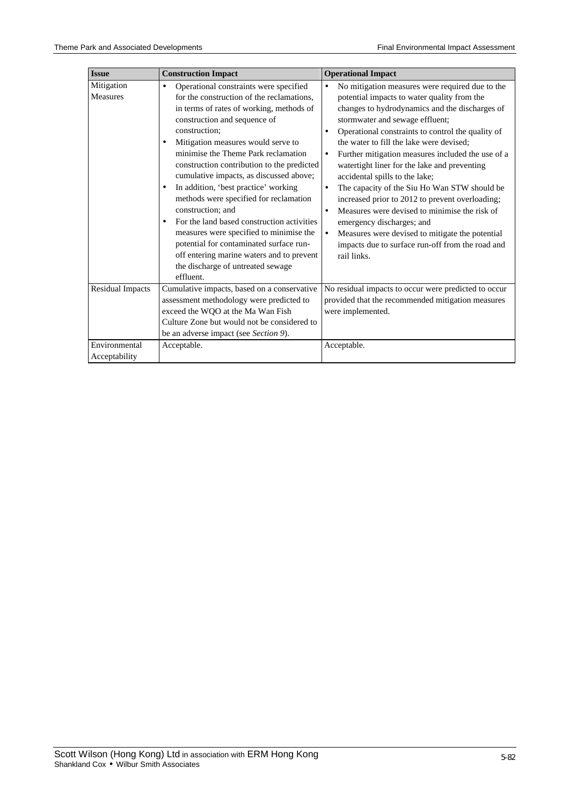| <b>Issue</b>                  | <b>Construction Impact</b>                                                                                                                                                                                                                                                                                                                                                                                                                                                                           | <b>Operational Impact</b>                                                                                                                                                                                                                                                                                                                                                                                                                                                                                                                                                                                                           |
|-------------------------------|------------------------------------------------------------------------------------------------------------------------------------------------------------------------------------------------------------------------------------------------------------------------------------------------------------------------------------------------------------------------------------------------------------------------------------------------------------------------------------------------------|-------------------------------------------------------------------------------------------------------------------------------------------------------------------------------------------------------------------------------------------------------------------------------------------------------------------------------------------------------------------------------------------------------------------------------------------------------------------------------------------------------------------------------------------------------------------------------------------------------------------------------------|
| Mitigation<br><b>Measures</b> | Operational constraints were specified<br>$\bullet$<br>for the construction of the reclamations,<br>in terms of rates of working, methods of<br>construction and sequence of<br>construction;<br>Mitigation measures would serve to<br>$\bullet$<br>minimise the Theme Park reclamation<br>construction contribution to the predicted<br>cumulative impacts, as discussed above;<br>In addition, 'best practice' working<br>$\bullet$<br>methods were specified for reclamation<br>construction; and | No mitigation measures were required due to the<br>potential impacts to water quality from the<br>changes to hydrodynamics and the discharges of<br>stormwater and sewage effluent;<br>Operational constraints to control the quality of<br>$\bullet$<br>the water to fill the lake were devised:<br>Further mitigation measures included the use of a<br>$\bullet$<br>watertight liner for the lake and preventing<br>accidental spills to the lake;<br>The capacity of the Siu Ho Wan STW should be<br>$\bullet$<br>increased prior to 2012 to prevent overloading;<br>Measures were devised to minimise the risk of<br>$\bullet$ |
|                               | For the land based construction activities<br>$\bullet$<br>measures were specified to minimise the<br>potential for contaminated surface run-<br>off entering marine waters and to prevent<br>the discharge of untreated sewage                                                                                                                                                                                                                                                                      | emergency discharges; and<br>Measures were devised to mitigate the potential<br>$\bullet$<br>impacts due to surface run-off from the road and<br>rail links.                                                                                                                                                                                                                                                                                                                                                                                                                                                                        |
|                               | effluent.                                                                                                                                                                                                                                                                                                                                                                                                                                                                                            |                                                                                                                                                                                                                                                                                                                                                                                                                                                                                                                                                                                                                                     |
| <b>Residual Impacts</b>       | Cumulative impacts, based on a conservative<br>assessment methodology were predicted to<br>exceed the WQO at the Ma Wan Fish<br>Culture Zone but would not be considered to<br>be an adverse impact (see Section 9).                                                                                                                                                                                                                                                                                 | No residual impacts to occur were predicted to occur<br>provided that the recommended mitigation measures<br>were implemented.                                                                                                                                                                                                                                                                                                                                                                                                                                                                                                      |
| Environmental                 | Acceptable.                                                                                                                                                                                                                                                                                                                                                                                                                                                                                          | Acceptable.                                                                                                                                                                                                                                                                                                                                                                                                                                                                                                                                                                                                                         |
| Acceptability                 |                                                                                                                                                                                                                                                                                                                                                                                                                                                                                                      |                                                                                                                                                                                                                                                                                                                                                                                                                                                                                                                                                                                                                                     |